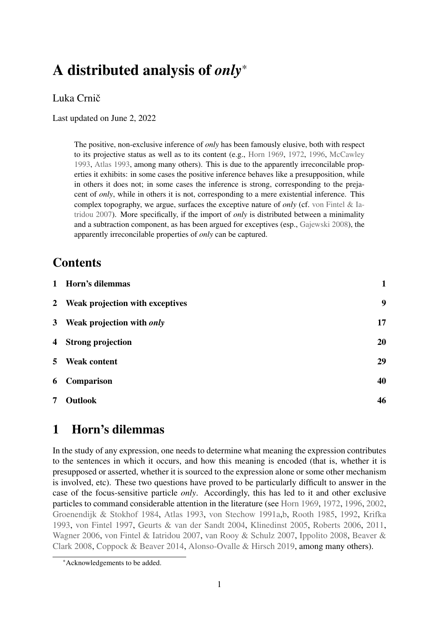# A distributed analysis of *only*\*

# Luka Crnič

Last updated on June 2, 2022

The positive, non-exclusive inference of *only* has been famously elusive, both with respect to its projective status as well as to its content (e.g., [Horn](#page-50-0) [1969,](#page-50-0) [1972,](#page-51-0) [1996,](#page-51-1) [McCawley](#page-52-0) [1993,](#page-52-0) [Atlas](#page-47-0) [1993,](#page-47-0) among many others). This is due to the apparently irreconcilable properties it exhibits: in some cases the positive inference behaves like a presupposition, while in others it does not; in some cases the inference is strong, corresponding to the prejacent of *only*, while in others it is not, corresponding to a mere existential inference. This complex topography, we argue, surfaces the exceptive nature of *only* (cf. [von Fintel & Ia](#page-49-0)[tridou](#page-49-0) [2007\)](#page-49-0). More specifically, if the import of *only* is distributed between a minimality and a subtraction component, as has been argued for exceptives (esp., [Gajewski](#page-50-1) [2008\)](#page-50-1), the apparently irreconcilable properties of *only* can be captured.

# **Contents**

|                | 1 Horn's dilemmas                 | $\mathbf{1}$ |
|----------------|-----------------------------------|--------------|
|                | 2 Weak projection with exceptives | 9            |
|                | 3 Weak projection with only       | 17           |
| $\overline{4}$ | <b>Strong projection</b>          | 20           |
| 5 <sup>5</sup> | <b>Weak content</b>               | 29           |
| 6              | <b>Comparison</b>                 | 40           |
| 7              | <b>Outlook</b>                    | 46           |

# <span id="page-0-0"></span>1 Horn's dilemmas

In the study of any expression, one needs to determine what meaning the expression contributes to the sentences in which it occurs, and how this meaning is encoded (that is, whether it is presupposed or asserted, whether it is sourced to the expression alone or some other mechanism is involved, etc). These two questions have proved to be particularly difficult to answer in the case of the focus-sensitive particle *only*. Accordingly, this has led to it and other exclusive particles to command considerable attention in the literature (see [Horn](#page-50-0) [1969,](#page-50-0) [1972,](#page-51-0) [1996,](#page-51-1) [2002,](#page-51-2) [Groenendijk & Stokhof](#page-50-2) [1984,](#page-50-2) [Atlas](#page-47-0) [1993,](#page-47-0) [von Stechow](#page-52-1) [1991a](#page-52-1)[,b,](#page-52-2) [Rooth](#page-52-3) [1985,](#page-52-3) [1992,](#page-52-4) [Krifka](#page-51-3) [1993,](#page-51-3) [von Fintel](#page-49-1) [1997,](#page-49-1) [Geurts & van der Sandt](#page-50-3) [2004,](#page-50-3) [Klinedinst](#page-51-4) [2005,](#page-51-4) [Roberts](#page-52-5) [2006,](#page-52-5) [2011,](#page-52-6) [Wagner](#page-53-0) [2006,](#page-53-0) [von Fintel & Iatridou](#page-49-0) [2007,](#page-49-0) [van Rooy & Schulz](#page-52-7) [2007,](#page-52-7) [Ippolito](#page-51-5) [2008,](#page-51-5) [Beaver &](#page-48-0) [Clark](#page-48-0) [2008,](#page-48-0) [Coppock & Beaver](#page-48-1) [2014,](#page-48-1) [Alonso-Ovalle & Hirsch](#page-47-1) [2019,](#page-47-1) among many others).

<sup>\*</sup>Acknowledgements to be added.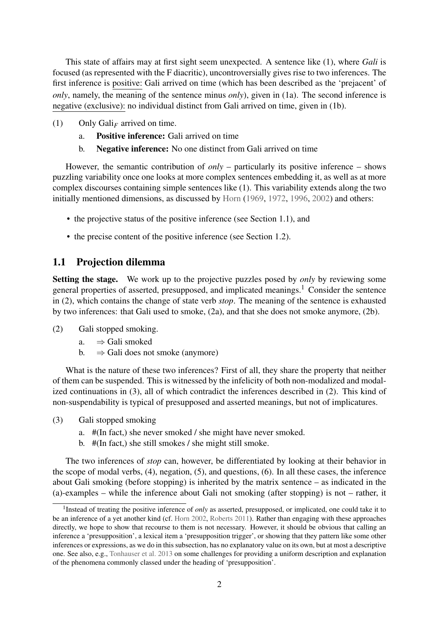This state of affairs may at first sight seem unexpected. A sentence like (1), where *Gali* is focused (as represented with the F diacritic), uncontroversially gives rise to two inferences. The first inference is positive: Gali arrived on time (which has been described as the 'prejacent' of *only*, namely, the meaning of the sentence minus *only*), given in (1a). The second inference is negative (exclusive): no individual distinct from Gali arrived on time, given in (1b).

- <span id="page-1-3"></span>(1) Only Gali*<sup>F</sup>* arrived on time.
	- a. Positive inference: Gali arrived on time
	- b. Negative inference: No one distinct from Gali arrived on time

However, the semantic contribution of *only* – particularly its positive inference – shows puzzling variability once one looks at more complex sentences embedding it, as well as at more complex discourses containing simple sentences like (1). This variability extends along the two initially mentioned dimensions, as discussed by [Horn](#page-50-0) [\(1969,](#page-50-0) [1972,](#page-51-0) [1996,](#page-51-1) [2002\)](#page-51-2) and others:

- the projective status of the positive inference (see Section [1.1\)](#page-1-0), and
- the precise content of the positive inference (see Section [1.2\)](#page-4-0).

# <span id="page-1-0"></span>1.1 Projection dilemma

Setting the stage. We work up to the projective puzzles posed by *only* by reviewing some general properties of asserted, presupposed, and implicated meanings.<sup>[1](#page-1-1)</sup> Consider the sentence in (2), which contains the change of state verb *stop*. The meaning of the sentence is exhausted by two inferences: that Gali used to smoke, (2a), and that she does not smoke anymore, (2b).

- <span id="page-1-2"></span>(2) Gali stopped smoking.
	- a.  $\Rightarrow$  Gali smoked
	- b.  $\Rightarrow$  Gali does not smoke (anymore)

What is the nature of these two inferences? First of all, they share the property that neither of them can be suspended. This is witnessed by the infelicity of both non-modalized and modalized continuations in (3), all of which contradict the inferences described in (2). This kind of non-suspendability is typical of presupposed and asserted meanings, but not of implicatures.

- (3) Gali stopped smoking
	- a. #(In fact,) she never smoked / she might have never smoked.
	- b. #(In fact,) she still smokes / she might still smoke.

The two inferences of *stop* can, however, be differentiated by looking at their behavior in the scope of modal verbs, (4), negation, (5), and questions, [\(6\).](#page-2-0) In all these cases, the inference about Gali smoking (before stopping) is inherited by the matrix sentence – as indicated in the (a)-examples – while the inference about Gali not smoking (after stopping) is not – rather, it

<span id="page-1-1"></span><sup>&</sup>lt;sup>1</sup> Instead of treating the positive inference of *only* as asserted, presupposed, or implicated, one could take it to be an inference of a yet another kind (cf. [Horn](#page-51-2) [2002,](#page-51-2) [Roberts](#page-52-6) [2011\)](#page-52-6). Rather than engaging with these approaches directly, we hope to show that recourse to them is not necessary. However, it should be obvious that calling an inference a 'presupposition', a lexical item a 'presupposition trigger', or showing that they pattern like some other inferences or expressions, as we do in this subsection, has no explanatory value on its own, but at most a descriptive one. See also, e.g., [Tonhauser et al.](#page-53-1) [2013](#page-53-1) on some challenges for providing a uniform description and explanation of the phenomena commonly classed under the heading of 'presupposition'.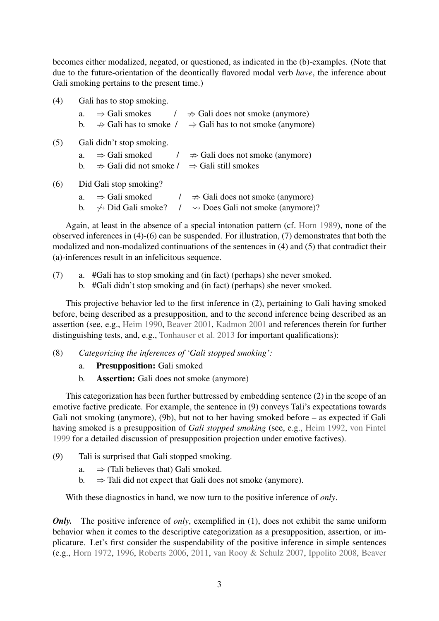becomes either modalized, negated, or questioned, as indicated in the (b)-examples. (Note that due to the future-orientation of the deontically flavored modal verb *have*, the inference about Gali smoking pertains to the present time.)

<span id="page-2-1"></span>

| (4) | Gali has to stop smoking.                                                                |  |
|-----|------------------------------------------------------------------------------------------|--|
|     | $\Rightarrow$ Gali smokes<br>$\Rightarrow$ Gali does not smoke (anymore)<br>a.           |  |
|     | $\Rightarrow$ Gali has to smoke /<br>$\Rightarrow$ Gali has to not smoke (anymore)<br>b. |  |
| (5) | Gali didn't stop smoking.                                                                |  |
|     | $\Rightarrow$ Gali smoked<br>$\Rightarrow$ Gali does not smoke (anymore)<br>a.           |  |
|     | $\Rightarrow$ Gali still smokes<br>$\Rightarrow$ Gali did not smoke /<br>b.              |  |
| (6) | Did Gali stop smoking?                                                                   |  |
|     | $\Rightarrow$ Gali smoked<br>$\Rightarrow$ Gali does not smoke (anymore)<br>a.           |  |
|     | $\rightsquigarrow$ Does Gali not smoke (anymore)?<br>$\rightarrow$ Did Gali smoke?<br>b. |  |

<span id="page-2-0"></span>Again, at least in the absence of a special intonation pattern (cf. [Horn](#page-51-6) [1989\)](#page-51-6), none of the observed inferences in [\(4\)-](#page-2-1)(6) can be suspended. For illustration, (7) demonstrates that both the modalized and non-modalized continuations of the sentences in [\(4\)](#page-2-1) and (5) that contradict their (a)-inferences result in an infelicitous sequence.

- (7) a. #Gali has to stop smoking and (in fact) (perhaps) she never smoked.
	- b. #Gali didn't stop smoking and (in fact) (perhaps) she never smoked.

This projective behavior led to the first inference in [\(2\),](#page-1-2) pertaining to Gali having smoked before, being described as a presupposition, and to the second inference being described as an assertion (see, e.g., [Heim](#page-50-4) [1990,](#page-50-4) [Beaver](#page-48-2) [2001,](#page-48-2) [Kadmon](#page-51-7) [2001](#page-51-7) and references therein for further distinguishing tests, and, e.g., [Tonhauser et al.](#page-53-1) [2013](#page-53-1) for important qualifications):

- (8) *Categorizing the inferences of 'Gali stopped smoking':*
	- a. Presupposition: Gali smoked
	- b. Assertion: Gali does not smoke (anymore)

This categorization has been further buttressed by embedding sentence [\(2\)](#page-1-2) in the scope of an emotive factive predicate. For example, the sentence in (9) conveys Tali's expectations towards Gali not smoking (anymore), (9b), but not to her having smoked before – as expected if Gali having smoked is a presupposition of *Gali stopped smoking* (see, e.g., [Heim](#page-50-5) [1992,](#page-50-5) [von Fintel](#page-49-2) [1999](#page-49-2) for a detailed discussion of presupposition projection under emotive factives).

- (9) Tali is surprised that Gali stopped smoking.
	- a.  $\Rightarrow$  (Tali believes that) Gali smoked.
	- b.  $\Rightarrow$  Tali did not expect that Gali does not smoke (anymore).

With these diagnostics in hand, we now turn to the positive inference of *only*.

*Only.* The positive inference of *only*, exemplified in [\(1\),](#page-1-3) does not exhibit the same uniform behavior when it comes to the descriptive categorization as a presupposition, assertion, or implicature. Let's first consider the suspendability of the positive inference in simple sentences (e.g., [Horn](#page-51-0) [1972,](#page-51-0) [1996,](#page-51-1) [Roberts](#page-52-5) [2006,](#page-52-5) [2011,](#page-52-6) [van Rooy & Schulz](#page-52-7) [2007,](#page-52-7) [Ippolito](#page-51-5) [2008,](#page-51-5) [Beaver](#page-48-0)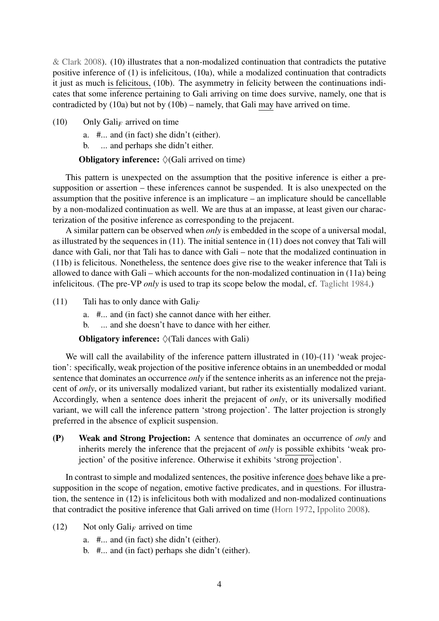[& Clark](#page-48-0) [2008\)](#page-48-0). (10) illustrates that a non-modalized continuation that contradicts the putative positive inference of [\(1\)](#page-1-3) is infelicitous, (10a), while a modalized continuation that contradicts it just as much is felicitous, (10b). The asymmetry in felicity between the continuations indicates that some inference pertaining to Gali arriving on time does survive, namely, one that is contradicted by (10a) but not by (10b) – namely, that Gali may have arrived on time.

<span id="page-3-0"></span>(10) Only Gali<sub>F</sub> arrived on time

a. #... and (in fact) she didn't (either).

b. ... and perhaps she didn't either.

**Obligatory inference:**  $\Diamond$  (Gali arrived on time)

This pattern is unexpected on the assumption that the positive inference is either a presupposition or assertion – these inferences cannot be suspended. It is also unexpected on the assumption that the positive inference is an implicature – an implicature should be cancellable by a non-modalized continuation as well. We are thus at an impasse, at least given our characterization of the positive inference as corresponding to the prejacent.

A similar pattern can be observed when *only* is embedded in the scope of a universal modal, as illustrated by the sequences in (11). The initial sentence in (11) does not convey that Tali will dance with Gali, nor that Tali has to dance with Gali – note that the modalized continuation in (11b) is felicitous. Nonetheless, the sentence does give rise to the weaker inference that Tali is allowed to dance with Gali – which accounts for the non-modalized continuation in (11a) being infelicitous. (The pre-VP *only* is used to trap its scope below the modal, cf. [Taglicht](#page-53-2) [1984.](#page-53-2))

- <span id="page-3-1"></span>(11) Tali has to only dance with Gali*<sup>F</sup>*
	- a. #... and (in fact) she cannot dance with her either.
	- b. ... and she doesn't have to dance with her either.

**Obligatory inference:**  $\Diamond$  (Tali dances with Gali)

We will call the availability of the inference pattern illustrated in (10)-(11) 'weak projection': specifically, weak projection of the positive inference obtains in an unembedded or modal sentence that dominates an occurrence *only* if the sentence inherits as an inference not the prejacent of *only*, or its universally modalized variant, but rather its existentially modalized variant. Accordingly, when a sentence does inherit the prejacent of *only*, or its universally modified variant, we will call the inference pattern 'strong projection'. The latter projection is strongly preferred in the absence of explicit suspension.

(P) Weak and Strong Projection: A sentence that dominates an occurrence of *only* and inherits merely the inference that the prejacent of *only* is possible exhibits 'weak projection' of the positive inference. Otherwise it exhibits 'strong projection'.

In contrast to simple and modalized sentences, the positive inference does behave like a presupposition in the scope of negation, emotive factive predicates, and in questions. For illustration, the sentence in (12) is infelicitous both with modalized and non-modalized continuations that contradict the positive inference that Gali arrived on time [\(Horn](#page-51-0) [1972,](#page-51-0) [Ippolito](#page-51-5) [2008\)](#page-51-5).

- <span id="page-3-2"></span> $(12)$  Not only Gali<sub>F</sub> arrived on time
	- a. #... and (in fact) she didn't (either).
	- b. #... and (in fact) perhaps she didn't (either).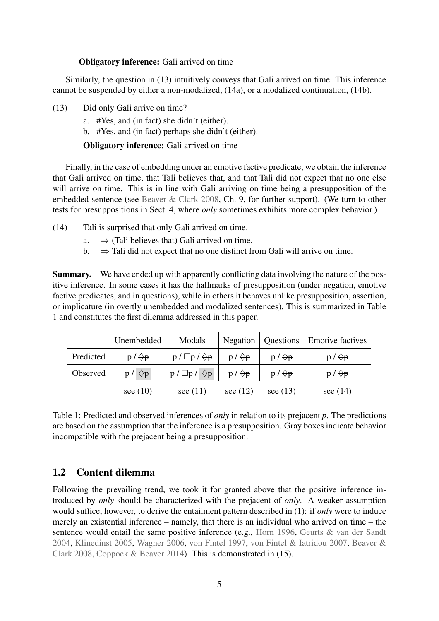#### Obligatory inference: Gali arrived on time

Similarly, the question in (13) intuitively conveys that Gali arrived on time. This inference cannot be suspended by either a non-modalized, (14a), or a modalized continuation, (14b).

- <span id="page-4-2"></span>(13) Did only Gali arrive on time?
	- a. #Yes, and (in fact) she didn't (either).
	- b. #Yes, and (in fact) perhaps she didn't (either).

Obligatory inference: Gali arrived on time

Finally, in the case of embedding under an emotive factive predicate, we obtain the inference that Gali arrived on time, that Tali believes that, and that Tali did not expect that no one else will arrive on time. This is in line with Gali arriving on time being a presupposition of the embedded sentence (see [Beaver & Clark](#page-48-0) [2008,](#page-48-0) Ch. 9, for further support). (We turn to other tests for presuppositions in Sect. [4,](#page-19-0) where *only* sometimes exhibits more complex behavior.)

- <span id="page-4-3"></span>(14) Tali is surprised that only Gali arrived on time.
	- a.  $\Rightarrow$  (Tali believes that) Gali arrived on time.
	- b.  $\Rightarrow$  Tali did not expect that no one distinct from Gali will arrive on time.

Summary. We have ended up with apparently conflicting data involving the nature of the positive inference. In some cases it has the hallmarks of presupposition (under negation, emotive factive predicates, and in questions), while in others it behaves unlike presupposition, assertion, or implicature (in overtly unembedded and modalized sentences). This is summarized in Table [1](#page-4-1) and constitutes the first dilemma addressed in this paper.

|           | Unembedded        | Modals                                                |                   |                   | Negation   Questions   Emotive factives |
|-----------|-------------------|-------------------------------------------------------|-------------------|-------------------|-----------------------------------------|
| Predicted | $p / \bigoplus p$ | $p / \Box p / \Diamond p$                             | $p / \bigoplus p$ | $p / \bigoplus p$ | $p / \bigoplus p$                       |
| Observed  | $p / \Diamond p$  | $ p/\Box p/\Diamond p $ $p/\Diamond p$ $p/\Diamond p$ |                   |                   | $p / \bigoplus p$                       |
|           | see $(10)$        | see $(11)$                                            | see $(12)$        | see $(13)$        | see $(14)$                              |

<span id="page-4-1"></span>Table 1: Predicted and observed inferences of *only* in relation to its prejacent *p*. The predictions are based on the assumption that the inference is a presupposition. Gray boxes indicate behavior incompatible with the prejacent being a presupposition.

# <span id="page-4-0"></span>1.2 Content dilemma

Following the prevailing trend, we took it for granted above that the positive inference introduced by *only* should be characterized with the prejacent of *only*. A weaker assumption would suffice, however, to derive the entailment pattern described in [\(1\):](#page-1-3) if *only* were to induce merely an existential inference – namely, that there is an individual who arrived on time – the sentence would entail the same positive inference (e.g., [Horn](#page-51-1) [1996,](#page-51-1) [Geurts & van der Sandt](#page-50-3) [2004,](#page-50-3) [Klinedinst](#page-51-4) [2005,](#page-51-4) [Wagner](#page-53-0) [2006,](#page-53-0) [von Fintel](#page-49-1) [1997,](#page-49-1) [von Fintel & Iatridou](#page-49-0) [2007,](#page-49-0) [Beaver &](#page-48-0) [Clark](#page-48-0) [2008,](#page-48-0) [Coppock & Beaver](#page-48-1) [2014\)](#page-48-1). This is demonstrated in (15).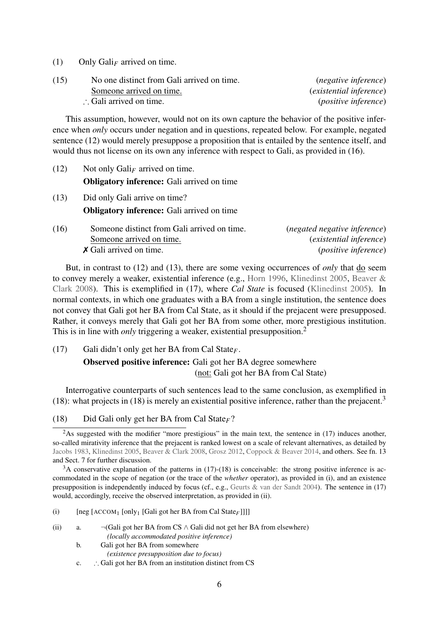[\(1\)](#page-1-3) Only  $Gali<sub>F</sub>$  arrived on time.

| (15) | No one distinct from Gali arrived on time. | ( <i>negative inference</i> )  |
|------|--------------------------------------------|--------------------------------|
|      | Someone arrived on time.                   | <i>(existential inference)</i> |
|      | $\therefore$ Gali arrived on time.         | <i>(positive inference)</i>    |

This assumption, however, would not on its own capture the behavior of the positive inference when *only* occurs under negation and in questions, repeated below. For example, negated sentence [\(12\)](#page-3-2) would merely presuppose a proposition that is entailed by the sentence itself, and would thus not license on its own any inference with respect to Gali, as provided in (16).

[\(12\)](#page-3-2) Not only Gali*<sup>F</sup>* arrived on time. Obligatory inference: Gali arrived on time [\(13\)](#page-4-2) Did only Gali arrive on time? Obligatory inference: Gali arrived on time (16) Someone distinct from Gali arrived on time. (*negated negative inference*) Someone arrived on time. (*existential inference*) ✗ Gali arrived on time. (*positive inference*)

But, in contrast to [\(12\)](#page-3-2) and [\(13\),](#page-4-2) there are some vexing occurrences of *only* that do seem to convey merely a weaker, existential inference (e.g., [Horn](#page-51-1) [1996,](#page-51-1) [Klinedinst](#page-51-4) [2005,](#page-51-4) [Beaver &](#page-48-0) [Clark](#page-48-0) [2008\)](#page-48-0). This is exemplified in (17), where *Cal State* is focused [\(Klinedinst](#page-51-4) [2005\)](#page-51-4). In normal contexts, in which one graduates with a BA from a single institution, the sentence does not convey that Gali got her BA from Cal State, as it should if the prejacent were presupposed. Rather, it conveys merely that Gali got her BA from some other, more prestigious institution. This is in line with *only* triggering a weaker, existential presupposition.<sup>[2](#page-5-0)</sup>

<span id="page-5-2"></span>(17) Gali didn't only get her BA from Cal State*F*.

Observed positive inference: Gali got her BA degree somewhere (not: Gali got her BA from Cal State)

Interrogative counterparts of such sentences lead to the same conclusion, as exemplified in (18): what projects in (18) is merely an existential positive inference, rather than the prejacent.<sup>[3](#page-5-1)</sup>

<span id="page-5-3"></span>(18) Did Gali only get her BA from Cal State*F*?

<span id="page-5-1"></span><sup>3</sup>A conservative explanation of the patterns in [\(17\)-](#page-5-2)[\(18\)](#page-5-3) is conceivable: the strong positive inference is accommodated in the scope of negation (or the trace of the *whether* operator), as provided in (i), and an existence presupposition is independently induced by focus (cf., e.g., [Geurts & van der Sandt](#page-50-3) [2004\)](#page-50-3). The sentence in [\(17\)](#page-5-2) would, accordingly, receive the observed interpretation, as provided in (ii).

- (i) [neg [ACCOM<sup>1</sup> [only<sup>1</sup> [Gali got her BA from Cal State*F*]]]]
- (ii) a.  $\neg(Gali got her BA from CS \wedge Gali did not get her BA from elsewhere)$ *(locally accommodated positive inference)*
	- b. Gali got her BA from somewhere
		- *(existence presupposition due to focus)*
	- c. ∴ Gali got her BA from an institution distinct from CS

<span id="page-5-0"></span><sup>&</sup>lt;sup>2</sup>As suggested with the modifier "more prestigious" in the main text, the sentence in  $(17)$  induces another, so-called mirativity inference that the prejacent is ranked lowest on a scale of relevant alternatives, as detailed by [Jacobs](#page-51-8) [1983,](#page-51-8) [Klinedinst](#page-51-4) [2005,](#page-51-4) [Beaver & Clark](#page-48-0) [2008,](#page-48-0) [Grosz](#page-50-6) [2012,](#page-50-6) [Coppock & Beaver](#page-48-1) [2014,](#page-48-1) and others. See fn. [13](#page-30-0) and Sect. [7](#page-45-0) for further discussion.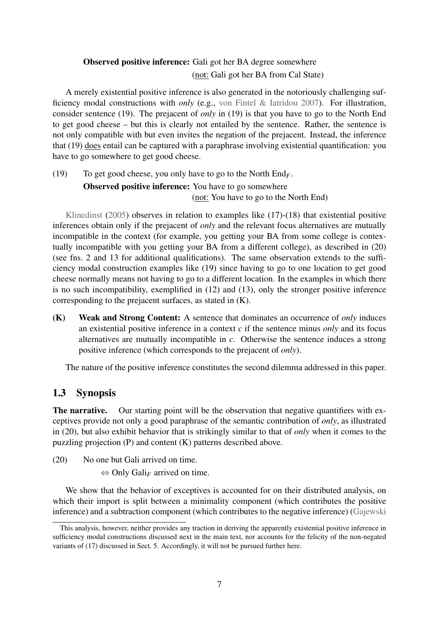# Observed positive inference: Gali got her BA degree somewhere (not: Gali got her BA from Cal State)

A merely existential positive inference is also generated in the notoriously challenging sufficiency modal constructions with *only* (e.g., [von Fintel & Iatridou](#page-49-0) [2007\)](#page-49-0). For illustration, consider sentence (19). The prejacent of *only* in (19) is that you have to go to the North End to get good cheese – but this is clearly not entailed by the sentence. Rather, the sentence is not only compatible with but even invites the negation of the prejacent. Instead, the inference that (19) does entail can be captured with a paraphrase involving existential quantification: you have to go somewhere to get good cheese.

<span id="page-6-1"></span>(19) To get good cheese, you only have to go to the North End*F*. **Observed positive inference:** You have to go somewhere (not: You have to go to the North End)

[Klinedinst](#page-51-4)  $(2005)$  observes in relation to examples like  $(17)-(18)$  $(17)-(18)$  that existential positive inferences obtain only if the prejacent of *only* and the relevant focus alternatives are mutually incompatible in the context (for example, you getting your BA from some college is contextually incompatible with you getting your BA from a different college), as described in (20) (see fns. [2](#page-5-0) and [13](#page-30-0) for additional qualifications). The same observation extends to the sufficiency modal construction examples like (19) since having to go to one location to get good cheese normally means not having to go to a different location. In the examples in which there is no such incompatibility, exemplified in [\(12\)](#page-3-2) and [\(13\),](#page-4-2) only the stronger positive inference corresponding to the prejacent surfaces, as stated in (K).

(K) Weak and Strong Content: A sentence that dominates an occurrence of *only* induces an existential positive inference in a context *c* if the sentence minus *only* and its focus alternatives are mutually incompatible in *c*. Otherwise the sentence induces a strong positive inference (which corresponds to the prejacent of *only*).

The nature of the positive inference constitutes the second dilemma addressed in this paper.

# 1.3 Synopsis

The narrative. Our starting point will be the observation that negative quantifiers with exceptives provide not only a good paraphrase of the semantic contribution of *only*, as illustrated in (20), but also exhibit behavior that is strikingly similar to that of *only* when it comes to the puzzling projection (P) and content (K) patterns described above.

<span id="page-6-0"></span>(20) No one but Gali arrived on time.

⇔ Only Gali*<sup>F</sup>* arrived on time.

We show that the behavior of exceptives is accounted for on their distributed analysis, on which their import is split between a minimality component (which contributes the positive inference) and a subtraction component (which contributes to the negative inference) [\(Gajewski](#page-50-1)

This analysis, however, neither provides any traction in deriving the apparently existential positive inference in sufficiency modal constructions discussed next in the main text, nor accounts for the felicity of the non-negated variants of [\(17\)](#page-5-2) discussed in Sect. [5.](#page-28-0) Accordingly, it will not be pursued further here.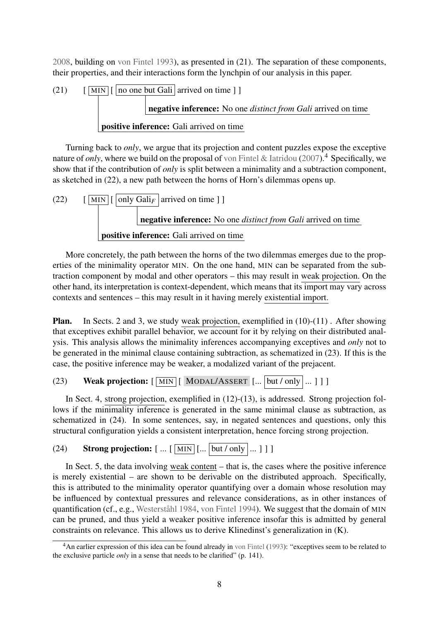[2008,](#page-50-1) building on [von Fintel](#page-49-3) [1993\)](#page-49-3), as presented in (21). The separation of these components, their properties, and their interactions form the lynchpin of our analysis in this paper.

(21) 
$$
[\boxed{\text{MIN}} \boxed{\boxed{\text{no one but Gali} \text{ arrived on time } ]}
$$
\n**negative inference:** No one *distinct from Gali* arrived on time positive **inference:** Gali arrived on time

Turning back to *only*, we argue that its projection and content puzzles expose the exceptive nature of *only*, where we build on the proposal of [von Fintel & Iatridou](#page-49-0) [\(2007\)](#page-49-0).<sup>[4](#page-7-0)</sup> Specifically, we show that if the contribution of *only* is split between a minimality and a subtraction component, as sketched in (22), a new path between the horns of Horn's dilemmas opens up.

(22) 
$$
\begin{array}{|c|c|}\n\hline\n\text{MIN} & \boxed{\text{only } \text{Gal}_F} \text{ arrived on time } ] \\
\hline\n\text{negative inference: No one distinct from } \text{Gal}i \text{ arrived on time} \\
\text{positive inference: } \text{Gal}i \text{ arrived on time}\n\end{array}
$$

More concretely, the path between the horns of the two dilemmas emerges due to the properties of the minimality operator MIN. On the one hand, MIN can be separated from the subtraction component by modal and other operators – this may result in weak projection. On the other hand, its interpretation is context-dependent, which means that its import may vary across contexts and sentences – this may result in it having merely existential import.

Plan. In Sects. [2](#page-8-0) and [3,](#page-16-0) we study weak projection, exemplified in [\(10\)-](#page-3-0)[\(11\)](#page-3-1) . After showing that exceptives exhibit parallel behavior, we account for it by relying on their distributed analysis. This analysis allows the minimality inferences accompanying exceptives and *only* not to be generated in the minimal clause containing subtraction, as schematized in (23). If this is the case, the positive inference may be weaker, a modalized variant of the prejacent.

# (23) Weak projection:  $[\overline{\text{MIN}}] [\overline{\text{ MODAL/ASSERT}}] [\dots [\overline{\text{but/only}}] \dots ] ]$

In Sect. [4,](#page-19-0) strong projection, exemplified in  $(12)-(13)$  $(12)-(13)$ , is addressed. Strong projection follows if the minimality inference is generated in the same minimal clause as subtraction, as schematized in (24). In some sentences, say, in negated sentences and questions, only this structural configuration yields a consistent interpretation, hence forcing strong projection.

# (24) Strong projection:  $[ ... [ \overline{\text{MIN}}] ... [ \overline{\text{but}/\text{only}}] ... ] ]$

In Sect. [5,](#page-28-0) the data involving weak content – that is, the cases where the positive inference is merely existential – are shown to be derivable on the distributed approach. Specifically, this is attributed to the minimality operator quantifying over a domain whose resolution may be influenced by contextual pressures and relevance considerations, as in other instances of quantification (cf., e.g., [Westerståhl](#page-53-3) [1984,](#page-53-3) [von Fintel](#page-49-4) [1994\)](#page-49-4). We suggest that the domain of MIN can be pruned, and thus yield a weaker positive inference insofar this is admitted by general constraints on relevance. This allows us to derive Klinedinst's generalization in (K).

<span id="page-7-0"></span> $4\text{A}$ n earlier expression of this idea can be found already in [von Fintel](#page-49-3) [\(1993\)](#page-49-3): "exceptives seem to be related to the exclusive particle *only* in a sense that needs to be clarified" (p. 141).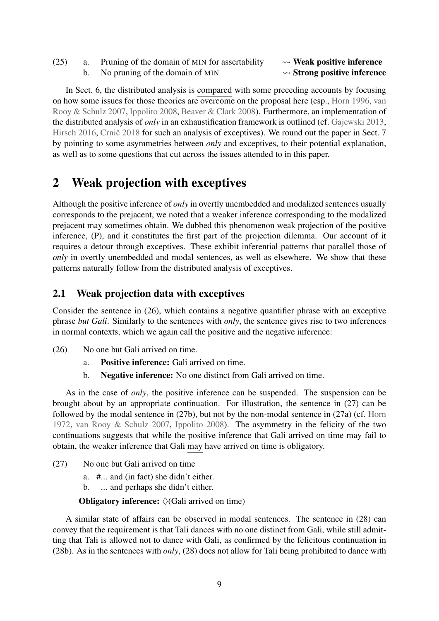- (25) a. Pruning of the domain of MIN for assertability  $\rightarrow \mathbf{Weak}$  positive inference
	- b. No pruning of the domain of MIN  $\rightsquigarrow$  Strong positive inference

In Sect. [6,](#page-39-0) the distributed analysis is compared with some preceding accounts by focusing on how some issues for those theories are overcome on the proposal here (esp., [Horn](#page-51-1) [1996,](#page-51-1) [van](#page-52-7) [Rooy & Schulz](#page-52-7) [2007,](#page-52-7) [Ippolito](#page-51-5) [2008,](#page-51-5) [Beaver & Clark](#page-48-0) [2008\)](#page-48-0). Furthermore, an implementation of the distributed analysis of *only* in an exhaustification framework is outlined (cf. [Gajewski](#page-50-7) [2013,](#page-50-7) [Hirsch](#page-50-8) [2016,](#page-50-8) Crnic̆ [2018](#page-49-5) for such an analysis of exceptives). We round out the paper in Sect. [7](#page-45-0) by pointing to some asymmetries between *only* and exceptives, to their potential explanation, as well as to some questions that cut across the issues attended to in this paper.

# <span id="page-8-0"></span>2 Weak projection with exceptives

Although the positive inference of *only* in overtly unembedded and modalized sentences usually corresponds to the prejacent, we noted that a weaker inference corresponding to the modalized prejacent may sometimes obtain. We dubbed this phenomenon weak projection of the positive inference, (P), and it constitutes the first part of the projection dilemma. Our account of it requires a detour through exceptives. These exhibit inferential patterns that parallel those of *only* in overtly unembedded and modal sentences, as well as elsewhere. We show that these patterns naturally follow from the distributed analysis of exceptives.

# <span id="page-8-1"></span>2.1 Weak projection data with exceptives

Consider the sentence in (26), which contains a negative quantifier phrase with an exceptive phrase *but Gali*. Similarly to the sentences with *only*, the sentence gives rise to two inferences in normal contexts, which we again call the positive and the negative inference:

- (26) No one but Gali arrived on time.
	- a. Positive inference: Gali arrived on time.
	- b. Negative inference: No one distinct from Gali arrived on time.

As in the case of *only*, the positive inference can be suspended. The suspension can be brought about by an appropriate continuation. For illustration, the sentence in (27) can be followed by the modal sentence in (27b), but not by the non-modal sentence in (27a) (cf. [Horn](#page-51-0) [1972,](#page-51-0) [van Rooy & Schulz](#page-52-7) [2007,](#page-52-7) [Ippolito](#page-51-5) [2008\)](#page-51-5). The asymmetry in the felicity of the two continuations suggests that while the positive inference that Gali arrived on time may fail to obtain, the weaker inference that Gali may have arrived on time is obligatory.

- <span id="page-8-2"></span>(27) No one but Gali arrived on time
	- a. #... and (in fact) she didn't either.
	- b. ... and perhaps she didn't either.

#### **Obligatory inference:**  $\Diamond$  (Gali arrived on time)

A similar state of affairs can be observed in modal sentences. The sentence in (28) can convey that the requirement is that Tali dances with no one distinct from Gali, while still admitting that Tali is allowed not to dance with Gali, as confirmed by the felicitous continuation in (28b). As in the sentences with *only*, (28) does not allow for Tali being prohibited to dance with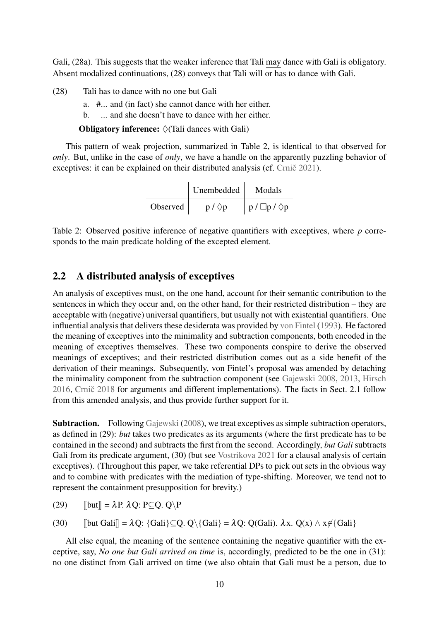Gali, (28a). This suggests that the weaker inference that Tali may dance with Gali is obligatory. Absent modalized continuations, (28) conveys that Tali will or has to dance with Gali.

- <span id="page-9-3"></span><span id="page-9-2"></span><span id="page-9-1"></span>(28) Tali has to dance with no one but Gali
	- a. #... and (in fact) she cannot dance with her either.
	- b. ... and she doesn't have to dance with her either.

**Obligatory inference:**  $\Diamond$  (Tali dances with Gali)

This pattern of weak projection, summarized in Table [2,](#page-9-0) is identical to that observed for *only*. But, unlike in the case of *only*, we have a handle on the apparently puzzling behavior of exceptives: it can be explained on their distributed analysis (cf. Crnič [2021\)](#page-49-6).

| Unembedded | Modals           |                           |
|------------|------------------|---------------------------|
| Observed   | $p / \Diamond p$ | $p / \Box p / \Diamond p$ |

<span id="page-9-0"></span>Table 2: Observed positive inference of negative quantifiers with exceptives, where *p* corresponds to the main predicate holding of the excepted element.

#### <span id="page-9-4"></span>2.2 A distributed analysis of exceptives

An analysis of exceptives must, on the one hand, account for their semantic contribution to the sentences in which they occur and, on the other hand, for their restricted distribution – they are acceptable with (negative) universal quantifiers, but usually not with existential quantifiers. One influential analysis that delivers these desiderata was provided by [von Fintel](#page-49-3) [\(1993\)](#page-49-3). He factored the meaning of exceptives into the minimality and subtraction components, both encoded in the meaning of exceptives themselves. These two components conspire to derive the observed meanings of exceptives; and their restricted distribution comes out as a side benefit of the derivation of their meanings. Subsequently, von Fintel's proposal was amended by detaching the minimality component from the subtraction component (see [Gajewski](#page-50-1) [2008,](#page-50-1) [2013,](#page-50-7) [Hirsch](#page-50-8) [2016,](#page-50-8) Crnic̆ [2018](#page-49-5) for arguments and different implementations). The facts in Sect. [2.1](#page-8-1) follow from this amended analysis, and thus provide further support for it.

Subtraction. Following [Gajewski](#page-50-1) [\(2008\)](#page-50-1), we treat exceptives as simple subtraction operators, as defined in (29): *but* takes two predicates as its arguments (where the first predicate has to be contained in the second) and subtracts the first from the second. Accordingly, *but Gali* subtracts Gali from its predicate argument, (30) (but see [Vostrikova](#page-53-4) [2021](#page-53-4) for a clausal analysis of certain exceptives). (Throughout this paper, we take referential DPs to pick out sets in the obvious way and to combine with predicates with the mediation of type-shifting. Moreover, we tend not to represent the containment presupposition for brevity.)

(29)  $\text{[but]} = \lambda \text{P. } \lambda \text{O: } \text{P} \subseteq \text{O. } \text{O} \setminus \text{P}$ 

(30)  $\left[\left[\text{but Gali}\right] = \lambda Q: \{\text{Gali}\}\right] \subset Q$ .  $Q\setminus \{\text{Gali}\}\right] = \lambda Q: Q(\text{Gali})$ .  $\lambda x. Q(x) \wedge x \notin \{\text{Gali}\}\$ 

All else equal, the meaning of the sentence containing the negative quantifier with the exceptive, say, *No one but Gali arrived on time* is, accordingly, predicted to be the one in (31): no one distinct from Gali arrived on time (we also obtain that Gali must be a person, due to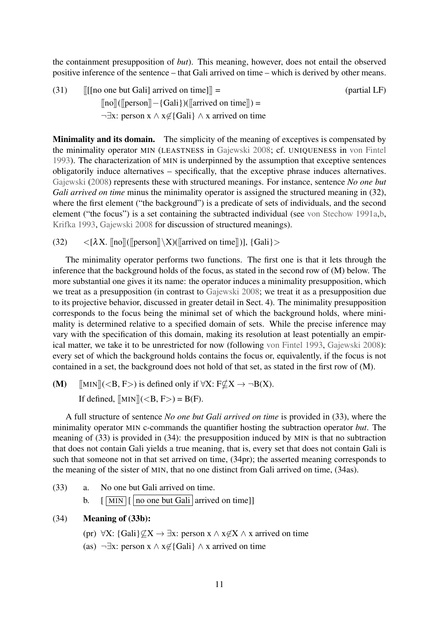the containment presupposition of *but*). This meaning, however, does not entail the observed positive inference of the sentence – that Gali arrived on time – which is derived by other means.

(31)  $\|$ [[[no one but Gali] arrived on time]] = (partial LF)  $[\![no]\!]$ ( $[\![per]$  $[-\{Gal\}]$ )( $[\![arrived\]$ on time $]\!]$ ) =  $\neg \exists x: \text{person } x \land x \notin \{Gali\} \land x \text{ arrived on time}$ 

Minimality and its domain. The simplicity of the meaning of exceptives is compensated by the minimality operator MIN (LEASTNESS in [Gajewski](#page-50-1) [2008;](#page-50-1) cf. UNIQUENESS in [von Fintel](#page-49-3) [1993\)](#page-49-3). The characterization of MIN is underpinned by the assumption that exceptive sentences obligatorily induce alternatives – specifically, that the exceptive phrase induces alternatives. [Gajewski](#page-50-1) [\(2008\)](#page-50-1) represents these with structured meanings. For instance, sentence *No one but Gali arrived on time* minus the minimality operator is assigned the structured meaning in (32), where the first element ("the background") is a predicate of sets of individuals, and the second element ("the focus") is a set containing the subtracted individual (see [von Stechow](#page-52-1) [1991a,](#page-52-1)[b,](#page-52-2) [Krifka](#page-51-3) [1993,](#page-51-3) [Gajewski](#page-50-1) [2008](#page-50-1) for discussion of structured meanings).

(32)  $\langle [\lambda X. \text{Ino}]([\text{person}]\setminus X)([\text{arrived on time}])], \{\text{Gali}\}\rangle$ 

The minimality operator performs two functions. The first one is that it lets through the inference that the background holds of the focus, as stated in the second row of (M) below. The more substantial one gives it its name: the operator induces a minimality presupposition, which we treat as a presupposition (in contrast to [Gajewski](#page-50-1) [2008;](#page-50-1) we treat it as a presupposition due to its projective behavior, discussed in greater detail in Sect. [4\)](#page-19-0). The minimality presupposition corresponds to the focus being the minimal set of which the background holds, where minimality is determined relative to a specified domain of sets. While the precise inference may vary with the specification of this domain, making its resolution at least potentially an empirical matter, we take it to be unrestricted for now (following [von Fintel](#page-49-3) [1993,](#page-49-3) [Gajewski](#page-50-1) [2008\)](#page-50-1): every set of which the background holds contains the focus or, equivalently, if the focus is not contained in a set, the background does not hold of that set, as stated in the first row of (M).

(M)  $\text{[MIN]}(< B, F$ ) is defined only if  $\forall X: F \not\subset X \rightarrow \neg B(X)$ . If defined,  $\text{MIN} \parallel \text{(<} B, F \text{)>} = B(F)$ .

A full structure of sentence *No one but Gali arrived on time* is provided in (33), where the minimality operator MIN c-commands the quantifier hosting the subtraction operator *but*. The meaning of (33) is provided in (34): the presupposition induced by MIN is that no subtraction that does not contain Gali yields a true meaning, that is, every set that does not contain Gali is such that someone not in that set arrived on time, (34pr); the asserted meaning corresponds to the meaning of the sister of MIN, that no one distinct from Gali arrived on time, (34as).

<span id="page-10-0"></span>(33) a. No one but Gali arrived on time. b.  $\lceil \sqrt{\text{MIN}} \rceil$  [ no one but Gali arrived on time]]

#### (34) Meaning of (33b):

- (pr)  $\forall X: \{Gali\} \not\subseteq X \rightarrow \exists x: \text{person } x \wedge x \not\in X \wedge x \text{ arrived on time}$
- (as)  $\neg \exists x: \text{person } x \land x \notin \{ \text{Gali} \} \land x \text{ arrived on time}$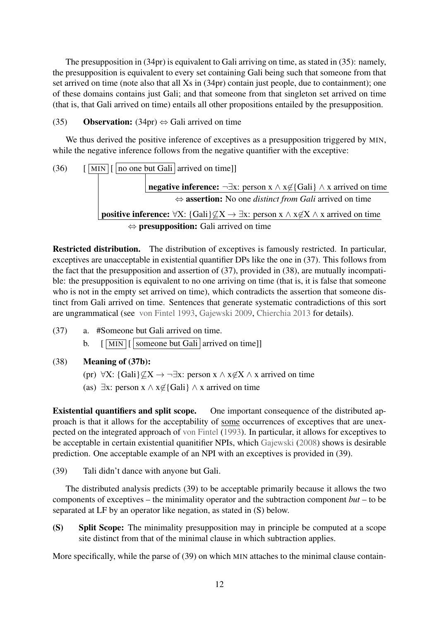The presupposition in (34pr) is equivalent to Gali arriving on time, as stated in (35): namely, the presupposition is equivalent to every set containing Gali being such that someone from that set arrived on time (note also that all Xs in (34pr) contain just people, due to containment); one of these domains contains just Gali; and that someone from that singleton set arrived on time (that is, that Gali arrived on time) entails all other propositions entailed by the presupposition.

# (35) **Observation:** (34pr)  $\Leftrightarrow$  Gali arrived on time

We thus derived the positive inference of exceptives as a presupposition triggered by MIN, while the negative inference follows from the negative quantifier with the exceptive:

(36) 
$$
\begin{array}{|l|l|}\n\hline\n\end{array}\n\begin{array}{|l|l|}\n\hline\n\end{array}\n\qquad \qquad \text{[ $ \underline{\hbox{mon} \overline{\hbox{b} \overline{\hbox{0}}} \text{ one but } \underline{\hbox{Gal}i} $ } \text{arrived on time}]\n\qquad\n\begin{array}{|l|l|}\n\hline\n\end{array}\n\hline\n\end{array}\n\text{negative inference: } \neg \exists x: \text{ person } x \land x \notin \{\underline{\hbox{Gal}i} \} \land x \text{ arrived on time} \Leftrightarrow \text{assertion: No one distinct from } \underline{\hbox{Gal}i} \text{ arrived on time} \Leftrightarrow \text{presupposition: } \underline{\hbox{Gal}i} \not\subseteq X \rightarrow \exists x: \text{person } x \land x \not\subseteq X \land x \text{ arrived on time} \Leftrightarrow \text{presupposition: } \underline{\hbox{Gal}i} \text{ arrived on time}\n\end{array}
$$

Restricted distribution. The distribution of exceptives is famously restricted. In particular, exceptives are unacceptable in existential quantifier DPs like the one in (37). This follows from the fact that the presupposition and assertion of (37), provided in (38), are mutually incompatible: the presupposition is equivalent to no one arriving on time (that is, it is false that someone who is not in the empty set arrived on time), which contradicts the assertion that someone distinct from Gali arrived on time. Sentences that generate systematic contradictions of this sort are ungrammatical (see [von Fintel](#page-49-3) [1993,](#page-49-3) [Gajewski](#page-50-9) [2009,](#page-50-9) [Chierchia](#page-48-3) [2013](#page-48-3) for details).

<span id="page-11-0"></span>(37) a. #Someone but Gali arrived on time. b.  $\lceil \sqrt{\text{MIN}} \rceil$  someone but Gali arrived on timell

# (38) Meaning of (37b):

- (pr)  $\forall X: \{Gali\} \not\subset X \rightarrow \neg \exists x: \text{person } x \land x \not\subset X \land x \text{ arrived on time}$
- (as)  $\exists x: \text{person } x \land x \notin \{Gali\} \land x \text{ arrived on time}$

Existential quantifiers and split scope. One important consequence of the distributed approach is that it allows for the acceptability of some occurrences of exceptives that are unexpected on the integrated approach of [von Fintel](#page-49-3) [\(1993\)](#page-49-3). In particular, it allows for exceptives to be acceptable in certain existential quanitifier NPIs, which [Gajewski](#page-50-1) [\(2008\)](#page-50-1) shows is desirable prediction. One acceptable example of an NPI with an exceptives is provided in (39).

(39) Tali didn't dance with anyone but Gali.

The distributed analysis predicts (39) to be acceptable primarily because it allows the two components of exceptives – the minimality operator and the subtraction component *but* – to be separated at LF by an operator like negation, as stated in (S) below.

(S) Split Scope: The minimality presupposition may in principle be computed at a scope site distinct from that of the minimal clause in which subtraction applies.

More specifically, while the parse of (39) on which MIN attaches to the minimal clause contain-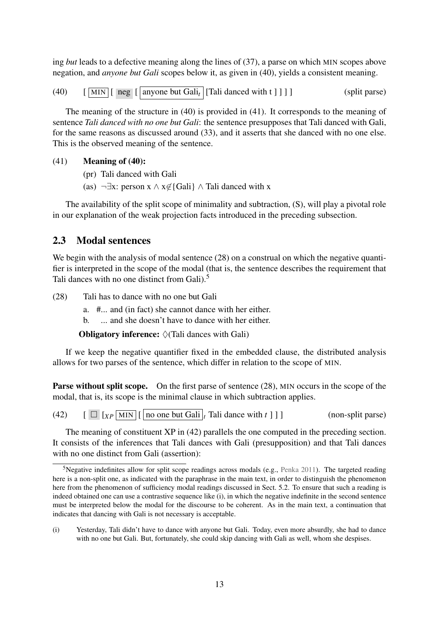ing *but* leads to a defective meaning along the lines of [\(37\),](#page-11-0) a parse on which MIN scopes above negation, and *anyone but Gali* scopes below it, as given in (40), yields a consistent meaning.

(40)  $\left[\begin{array}{c|c}\boxed{\text{MIN}}\end{array}\right]$  neg  $\left[\begin{array}{c|c}\end{array}\right]$  anyone but Gali<sub>t</sub>  $\left[\begin{array}{c|c}\boxed{\text{Tail}}\end{array}\right]$  danced with t  $\left[\begin{array}{c|c}\end{array}\right]$   $\left[\begin{array}{c|c}\end{array}\right]$ 

The meaning of the structure in (40) is provided in (41). It corresponds to the meaning of sentence *Tali danced with no one but Gali*: the sentence presupposes that Tali danced with Gali, for the same reasons as discussed around [\(33\),](#page-10-0) and it asserts that she danced with no one else. This is the observed meaning of the sentence.

#### (41) Meaning of (40):

- (pr) Tali danced with Gali
- (as)  $\neg \exists x: \text{person } x \land x \notin \{Gali\} \land \text{Tail} \text{ danced with } x$

The availability of the split scope of minimality and subtraction, (S), will play a pivotal role in our explanation of the weak projection facts introduced in the preceding subsection.

# 2.3 Modal sentences

We begin with the analysis of modal sentence [\(28\)](#page-9-1) on a construal on which the negative quantifier is interpreted in the scope of the modal (that is, the sentence describes the requirement that Tali dances with no one distinct from Gali).<sup>[5](#page-12-0)</sup>

[\(28\)](#page-9-1) Tali has to dance with no one but Gali

a. #... and (in fact) she cannot dance with her either.

b. ... and she doesn't have to dance with her either.

**Obligatory inference:**  $\Diamond$  (Tali dances with Gali)

If we keep the negative quantifier fixed in the embedded clause, the distributed analysis allows for two parses of the sentence, which differ in relation to the scope of MIN.

Parse without split scope. On the first parse of sentence [\(28\),](#page-9-1) MIN occurs in the scope of the modal, that is, its scope is the minimal clause in which subtraction applies.

<span id="page-12-1"></span>(42)  $\left[\begin{array}{cc} \Box & \Box \end{array}\right]$   $\left[\begin{array}{cc} \Box & \Box \end{array}\right]$   $\left[\begin{array}{cc} \Box & \Box \end{array}\right]$   $\left[\begin{array}{cc} \Box & \Box \end{array}\right]$   $\left[\begin{array}{cc} \Box & \Box \end{array}\right]$   $\left[\begin{array}{cc} \Box & \Box \end{array}\right]$   $\left[\begin{array}{cc} \Box & \Box \end{array}\right]$   $\left[\begin{array}{cc} \Box & \Box \end{array}\right]$   $\left[\begin{array}{cc} \Box & \Box \end{array}\right]$ 

The meaning of constituent XP in (42) parallels the one computed in the preceding section. It consists of the inferences that Tali dances with Gali (presupposition) and that Tali dances with no one distinct from Gali (assertion):

<span id="page-12-0"></span><sup>&</sup>lt;sup>5</sup>Negative indefinites allow for split scope readings across modals (e.g., [Penka](#page-52-8) [2011\)](#page-52-8). The targeted reading here is a non-split one, as indicated with the paraphrase in the main text, in order to distinguish the phenomenon here from the phenomenon of sufficiency modal readings discussed in Sect. [5.2.](#page-36-0) To ensure that such a reading is indeed obtained one can use a contrastive sequence like (i), in which the negative indefinite in the second sentence must be interpreted below the modal for the discourse to be coherent. As in the main text, a continuation that indicates that dancing with Gali is not necessary is acceptable.

<sup>(</sup>i) Yesterday, Tali didn't have to dance with anyone but Gali. Today, even more absurdly, she had to dance with no one but Gali. But, fortunately, she could skip dancing with Gali as well, whom she despises.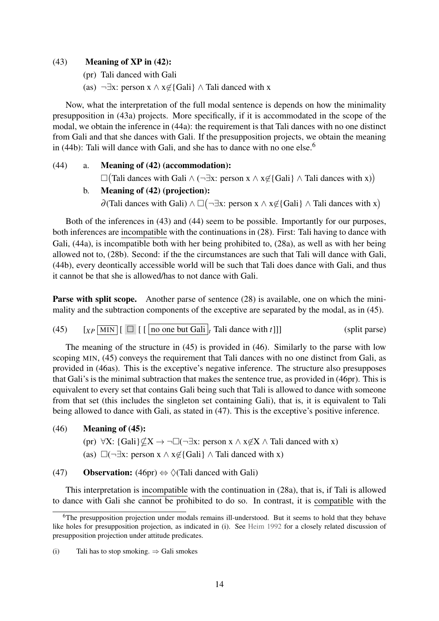#### $(43)$  Meaning of XP in  $(42)$ :

- (pr) Tali danced with Gali
- (as)  $\neg \exists x: \text{person } x \land x \notin \{Gali\} \land \text{Tail} \text{ danced with } x$

Now, what the interpretation of the full modal sentence is depends on how the minimality presupposition in (43a) projects. More specifically, if it is accommodated in the scope of the modal, we obtain the inference in (44a): the requirement is that Tali dances with no one distinct from Gali and that she dances with Gali. If the presupposition projects, we obtain the meaning in (44b): Tali will dance with Gali, and she has to dance with no one else.<sup>[6](#page-13-0)</sup>

#### (44) a. Meaning of [\(42\)](#page-12-1) (accommodation):

 $\Box$ (Tali dances with Gali ∧ (¬∃x: person x ∧ x∉{Gali} ∧ Tali dances with x))

#### b. Meaning of [\(42\)](#page-12-1) (projection):

 $\partial$ (Tali dances with Gali) ∧  $\square$  (¬ $\exists$ x: person x ∧ x∉{Gali} ∧ Tali dances with x)

Both of the inferences in (43) and (44) seem to be possible. Importantly for our purposes, both inferences are incompatible with the continuations in [\(28\).](#page-9-1) First: Tali having to dance with Gali, (44a), is incompatible both with her being prohibited to, [\(28a\),](#page-9-2) as well as with her being allowed not to, [\(28b\).](#page-9-3) Second: if the the circumstances are such that Tali will dance with Gali, (44b), every deontically accessible world will be such that Tali does dance with Gali, and thus it cannot be that she is allowed/has to not dance with Gali.

Parse with split scope. Another parse of sentence [\(28\)](#page-9-1) is available, one on which the minimality and the subtraction components of the exceptive are separated by the modal, as in (45).

<span id="page-13-1"></span>(45)  $\left[\begin{array}{c|c} x_P \overline{\text{MIN}} \end{array}\right] \left[\begin{array}{c|c} \overline{\text{}} \end{array}\right]$  [  $\left[\begin{array}{c|c} \text{no one but Gali} \end{array}\right]$   $t$  Tali dance with  $t$ ]]] (split parse)

The meaning of the structure in (45) is provided in (46). Similarly to the parse with low scoping MIN, (45) conveys the requirement that Tali dances with no one distinct from Gali, as provided in (46as). This is the exceptive's negative inference. The structure also presupposes that Gali's is the minimal subtraction that makes the sentence true, as provided in (46pr). This is equivalent to every set that contains Gali being such that Tali is allowed to dance with someone from that set (this includes the singleton set containing Gali), that is, it is equivalent to Tali being allowed to dance with Gali, as stated in (47). This is the exceptive's positive inference.

## (46) Meaning of (45):

- (pr)  $\forall X: \{Gali\} \nsubseteq X \rightarrow \neg \Box (\neg \exists x: \text{person } x \land x \notin X \land \text{Tail } \text{danced with } x)$
- (as)  $\square$ (¬∃x: person x  $\wedge$  x∉{Gali}  $\wedge$  Tali danced with x)

(47) Observation: (46pr)  $\Leftrightarrow \Diamond$  (Tali danced with Gali)

This interpretation is incompatible with the continuation in [\(28a\),](#page-9-2) that is, if Tali is allowed to dance with Gali she cannot be prohibited to do so. In contrast, it is compatible with the

<span id="page-13-0"></span><sup>&</sup>lt;sup>6</sup>The presupposition projection under modals remains ill-understood. But it seems to hold that they behave like holes for presupposition projection, as indicated in (i). See [Heim](#page-50-5) [1992](#page-50-5) for a closely related discussion of presupposition projection under attitude predicates.

<sup>(</sup>i) Tali has to stop smoking.  $\Rightarrow$  Gali smokes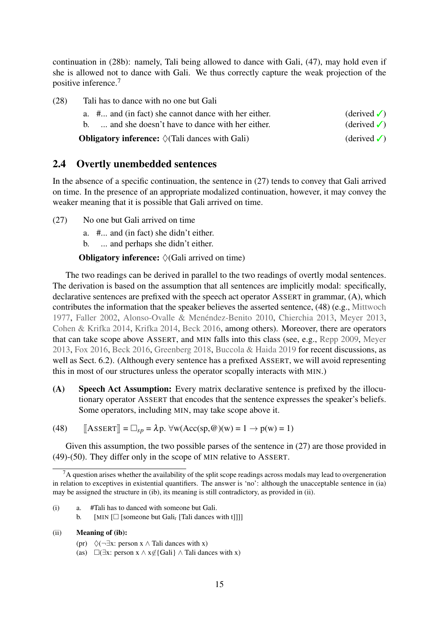continuation in [\(28b\):](#page-9-3) namely, Tali being allowed to dance with Gali, (47), may hold even if she is allowed not to dance with Gali. We thus correctly capture the weak projection of the positive inference.[7](#page-14-0)

| (28) | Tali has to dance with no one but Gali                          |                               |
|------|-----------------------------------------------------------------|-------------------------------|
|      | a. # and (in fact) she cannot dance with her either.            | $(\text{derived }\checkmark)$ |
|      | b.  and she doesn't have to dance with her either.              | $(\text{derived }\checkmark)$ |
|      | <b>Obligatory inference:</b> $\Diamond$ (Tali dances with Gali) | $(\text{derived }\checkmark)$ |

# 2.4 Overtly unembedded sentences

In the absence of a specific continuation, the sentence in [\(27\)](#page-8-2) tends to convey that Gali arrived on time. In the presence of an appropriate modalized continuation, however, it may convey the weaker meaning that it is possible that Gali arrived on time.

- [\(27\)](#page-8-2) No one but Gali arrived on time
	- a. #... and (in fact) she didn't either.
	- b. ... and perhaps she didn't either.

**Obligatory inference:**  $\Diamond$  (Gali arrived on time)

The two readings can be derived in parallel to the two readings of overtly modal sentences. The derivation is based on the assumption that all sentences are implicitly modal: specifically, declarative sentences are prefixed with the speech act operator ASSERT in grammar, (A), which contributes the information that the speaker believes the asserted sentence, (48) (e.g., [Mittwoch](#page-52-9) [1977,](#page-52-9) [Faller](#page-49-7) [2002,](#page-49-7) [Alonso-Ovalle & Menéndez-Benito](#page-47-2) [2010,](#page-47-2) [Chierchia](#page-48-3) [2013,](#page-48-3) [Meyer](#page-52-10) [2013,](#page-52-10) [Cohen & Krifka](#page-48-4) [2014,](#page-48-4) [Krifka](#page-51-9) [2014,](#page-51-9) [Beck](#page-48-5) [2016,](#page-48-5) among others). Moreover, there are operators that can take scope above ASSERT, and MIN falls into this class (see, e.g., [Repp](#page-52-11) [2009,](#page-52-11) [Meyer](#page-52-10) [2013,](#page-52-10) [Fox](#page-49-8) [2016,](#page-49-8) [Beck](#page-48-5) [2016,](#page-48-5) [Greenberg](#page-50-10) [2018,](#page-50-10) [Buccola & Haida](#page-48-6) [2019](#page-48-6) for recent discussions, as well as Sect. [6.2\)](#page-42-0). (Although every sentence has a prefixed ASSERT, we will avoid representing this in most of our structures unless the operator scopally interacts with MIN.)

(A) Speech Act Assumption: Every matrix declarative sentence is prefixed by the illocutionary operator ASSERT that encodes that the sentence expresses the speaker's beliefs. Some operators, including MIN, may take scope above it.

(48)  $[\text{ASSERT}] = \Box_{sp} = \lambda p. \forall w(\text{Acc(sp, @})(w) = 1 \rightarrow p(w) = 1)$ 

Given this assumption, the two possible parses of the sentence in [\(27\)](#page-8-2) are those provided in (49)-(50). They differ only in the scope of MIN relative to ASSERT.

- (i) a. #Tali has to danced with someone but Gali.
	- b. [MIN  $\Box$  [someone but Gali<sub>t</sub> [Tali dances with t]]]]
- (ii) Meaning of (ib):
	- (pr)  $\Diamond$ (¬∃x: person x  $\land$  Tali dances with x)
	- (as)  $\Box(\exists x: person x \land x \notin \{Gali\} \land Taili$  dances with x)

<span id="page-14-1"></span><span id="page-14-0"></span> $<sup>7</sup>A$  question arises whether the availability of the split scope readings across modals may lead to overgeneration</sup> in relation to exceptives in existential quantifiers. The answer is 'no': although the unacceptable sentence in (ia) may be assigned the structure in (ib), its meaning is still contradictory, as provided in (ii).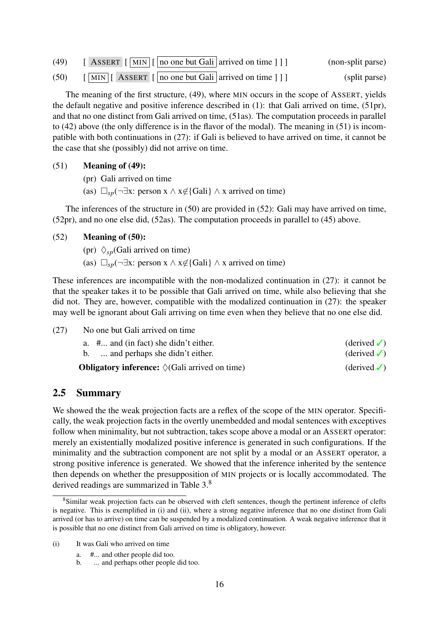<span id="page-15-0"></span>

| (49) | $\left[$ ASSERT $\left[$ MIN $\right]$ $\left[$ no one but Gali arrived on time $\left[$ $\right]$ $\right]$    | (non-split parse) |
|------|-----------------------------------------------------------------------------------------------------------------|-------------------|
| (50) | $\left[\overline{\text{MIN}}\right]$ [ ASSERT $\left[\right]$ no one but Gali arrived on time $\left[\right]$ ] | (split parse)     |

The meaning of the first structure, (49), where MIN occurs in the scope of ASSERT, yields the default negative and positive inference described in [\(1\):](#page-1-3) that Gali arrived on time, (51pr), and that no one distinct from Gali arrived on time, (51as). The computation proceeds in parallel to [\(42\)](#page-12-1) above (the only difference is in the flavor of the modal). The meaning in (51) is incompatible with both continuations in [\(27\):](#page-8-2) if Gali is believed to have arrived on time, it cannot be the case that she (possibly) did not arrive on time.

#### (51) Meaning of [\(49\):](#page-14-1)

- (pr) Gali arrived on time
- (as)  $\Box_{\mathfrak{so}}(\neg \exists x: \text{person } x \land x \notin \{\text{Gali}\}\land x \text{ arrived on time})$

The inferences of the structure in (50) are provided in (52): Gali may have arrived on time, (52pr), and no one else did, (52as). The computation proceeds in parallel to [\(45\)](#page-13-1) above.

#### (52) Meaning of [\(50\):](#page-15-0)

- (pr)  $\Diamond_{sp}$ (Gali arrived on time)
- (as)  $\Box_{sp}(\neg \exists x: \text{person } x \land x \notin {\text{Gali}} \land x \text{ arrived on time})$

These inferences are incompatible with the non-modalized continuation in [\(27\):](#page-8-2) it cannot be that the speaker takes it to be possible that Gali arrived on time, while also believing that she did not. They are, however, compatible with the modalized continuation in [\(27\):](#page-8-2) the speaker may well be ignorant about Gali arriving on time even when they believe that no one else did.

| (27) | No one but Gali arrived on time                                |                               |
|------|----------------------------------------------------------------|-------------------------------|
|      | a. $\#$ and (in fact) she didn't either.                       | $(\text{derived }\checkmark)$ |
|      | b.  and perhaps she didn't either.                             | $(\text{derived }\checkmark)$ |
|      | <b>Obligatory inference:</b> $\Diamond$ (Gali arrived on time) | (derived $\checkmark$ )       |

# 2.5 Summary

We showed the the weak projection facts are a reflex of the scope of the MIN operator. Specifically, the weak projection facts in the overtly unembedded and modal sentences with exceptives follow when minimality, but not subtraction, takes scope above a modal or an ASSERT operator: merely an existentially modalized positive inference is generated in such configurations. If the minimality and the subtraction component are not split by a modal or an ASSERT operator, a strong positive inference is generated. We showed that the inference inherited by the sentence then depends on whether the presupposition of MIN projects or is locally accommodated. The derived readings are summarized in Table 3.[8](#page-15-1)

<span id="page-15-1"></span><sup>&</sup>lt;sup>8</sup>Similar weak projection facts can be observed with cleft sentences, though the pertinent inference of clefts is negative. This is exemplified in (i) and (ii), where a strong negative inference that no one distinct from Gali arrived (or has to arrive) on time can be suspended by a modalized continuation. A weak negative inference that it is possible that no one distinct from Gali arrived on time is obligatory, however.

<sup>(</sup>i) It was Gali who arrived on time

a. #... and other people did too.

b. ... and perhaps other people did too.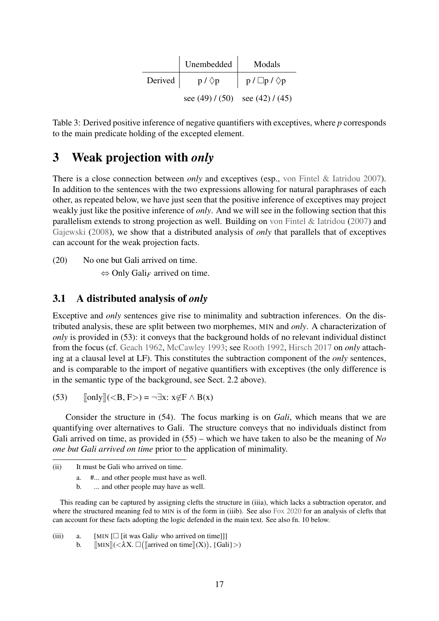|             | Unembedded                          | Modals                    |
|-------------|-------------------------------------|---------------------------|
| Derived $ $ | $p / \Diamond p$                    | $p / \Box p / \Diamond p$ |
|             | see $(49) / (50)$ see $(42) / (45)$ |                           |

Table 3: Derived positive inference of negative quantifiers with exceptives, where *p* corresponds to the main predicate holding of the excepted element.

# <span id="page-16-0"></span>3 Weak projection with *only*

There is a close connection between *only* and exceptives (esp., [von Fintel & Iatridou](#page-49-0) [2007\)](#page-49-0). In addition to the sentences with the two expressions allowing for natural paraphrases of each other, as repeated below, we have just seen that the positive inference of exceptives may project weakly just like the positive inference of *only*. And we will see in the following section that this parallelism extends to strong projection as well. Building on [von Fintel & Iatridou](#page-49-0) [\(2007\)](#page-49-0) and [Gajewski](#page-50-1) [\(2008\)](#page-50-1), we show that a distributed analysis of *only* that parallels that of exceptives can account for the weak projection facts.

[\(20\)](#page-6-0) No one but Gali arrived on time. ⇔ Only Gali*<sup>F</sup>* arrived on time.

# 3.1 A distributed analysis of *only*

Exceptive and *only* sentences give rise to minimality and subtraction inferences. On the distributed analysis, these are split between two morphemes, MIN and *only*. A characterization of *only* is provided in (53): it conveys that the background holds of no relevant individual distinct from the focus (cf. [Geach](#page-50-11) [1962,](#page-50-11) [McCawley](#page-52-0) [1993;](#page-52-0) see [Rooth](#page-52-4) [1992,](#page-52-4) [Hirsch](#page-50-12) [2017](#page-50-12) on *only* attaching at a clausal level at LF). This constitutes the subtraction component of the *only* sentences, and is comparable to the import of negative quantifiers with exceptives (the only difference is in the semantic type of the background, see Sect. [2.2](#page-9-4) above).

(53)  $\lbrack \lbrack \text{only} \rbrack \rbrack \langle \langle B, F \rangle \rangle = \neg \exists x: x \notin F \wedge B(x)$ 

Consider the structure in (54). The focus marking is on *Gali*, which means that we are quantifying over alternatives to Gali. The structure conveys that no individuals distinct from Gali arrived on time, as provided in (55) – which we have taken to also be the meaning of *No one but Gali arrived on time* prior to the application of minimality.

This reading can be captured by assigning clefts the structure in (iiia), which lacks a subtraction operator, and where the structured meaning fed to MIN is of the form in (iiib). See also [Fox](#page-49-9) [2020](#page-49-9) for an analysis of clefts that can account for these facts adopting the logic defended in the main text. See also fn. [10](#page-20-0) below.

(iii) a. [MIN  $\Box$  [it was Gali<sub>F</sub> who arrived on time]]]

b.  $[\![\text{MIN}]\!](<\lambda X \cdot \square([\![\text{arrived on time}]\!](X)), \{\text{Gali}\}\rangle)$ 

<sup>(</sup>ii) It must be Gali who arrived on time.

a. #... and other people must have as well.

b. ... and other people may have as well.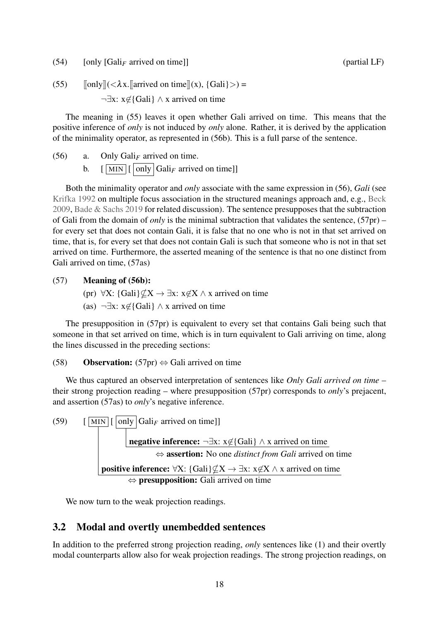$(54)$  [only [Gali<sub>F</sub> arrived on time]] (partial LF) (partial LF)

(55)  $\|\text{only}\|(\langle \lambda x.\| \text{arrived on time}\|(x), \{\text{Gali}\}\rangle) =$ ¬∃x: x6∈{Gali} ∧ x arrived on time

The meaning in (55) leaves it open whether Gali arrived on time. This means that the positive inference of *only* is not induced by *only* alone. Rather, it is derived by the application of the minimality operator, as represented in (56b). This is a full parse of the sentence.

- <span id="page-17-0"></span>(56) a. Only Gali*<sup>F</sup>* arrived on time.
	- b.  $\left[\overline{\text{MIN}}\right]\left[\overline{\text{only}}\right]$  Gali<sub>F</sub> arrived on time]]

Both the minimality operator and *only* associate with the same expression in (56), *Gali* (see [Krifka](#page-51-10) [1992](#page-51-10) on multiple focus association in the structured meanings approach and, e.g., [Beck](#page-48-7) [2009,](#page-48-7) [Bade & Sachs](#page-48-8) [2019](#page-48-8) for related discussion). The sentence presupposes that the subtraction of Gali from the domain of *only* is the minimal subtraction that validates the sentence, (57pr) – for every set that does not contain Gali, it is false that no one who is not in that set arrived on time, that is, for every set that does not contain Gali is such that someone who is not in that set arrived on time. Furthermore, the asserted meaning of the sentence is that no one distinct from Gali arrived on time, (57as)

#### (57) Meaning of (56b):

- (pr)  $\forall X: \{Gali\} \nsubseteq X \rightarrow \exists x: x \notin X \wedge x$  arrived on time
- (as)  $\neg \exists x: x \notin \{Gali\} \land x$  arrived on time

The presupposition in (57pr) is equivalent to every set that contains Gali being such that someone in that set arrived on time, which is in turn equivalent to Gali arriving on time, along the lines discussed in the preceding sections:

#### (58) **Observation:** (57pr)  $\Leftrightarrow$  Gali arrived on time

We thus captured an observed interpretation of sentences like *Only Gali arrived on time* – their strong projection reading – where presupposition (57pr) corresponds to *only*'s prejacent, and assertion (57as) to *only*'s negative inference.

(59)  $\left[\frac{\text{MIN}}{\text{MIN}}\right]$  [  $\left[\text{only}\right]$  Gali<sub>F</sub> arrived on time]] **| negative inference:** ¬∃x: x∉{Gali} ∧ x arrived on time ⇔ assertion: No one *distinct from Gali* arrived on time **positive inference:**  $\forall X: \{Gali\} \nsubseteq X \rightarrow \exists x: x \notin X \land x$  arrived on time ⇔ presupposition: Gali arrived on time

We now turn to the weak projection readings.

# 3.2 Modal and overtly unembedded sentences

In addition to the preferred strong projection reading, *only* sentences like [\(1\)](#page-1-3) and their overtly modal counterparts allow also for weak projection readings. The strong projection readings, on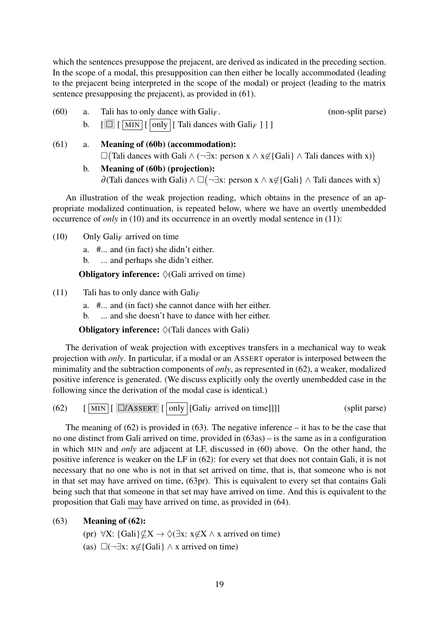which the sentences presuppose the prejacent, are derived as indicated in the preceding section. In the scope of a modal, this presupposition can then either be locally accommodated (leading to the prejacent being interpreted in the scope of the modal) or project (leading to the matrix sentence presupposing the prejacent), as provided in (61).

- <span id="page-18-0"></span>(60) a. Tali has to only dance with  $Gal*F*$ . (non-split parse) b. [ [ MIN [ only [ Tali dances with Gali*<sup>F</sup>* ] ] ]
- (61) a. Meaning of (60b) (accommodation):  $\Box$ (Tali dances with Gali ∧ (¬∃x: person x ∧ x∉{Gali} ∧ Tali dances with x))
	- b. Meaning of (60b) (projection):  $\partial$ (Tali dances with Gali)  $\land \Box(\neg \exists x: \text{person } x \land x \notin$ {Gali}  $\land$  Tali dances with x)

An illustration of the weak projection reading, which obtains in the presence of an appropriate modalized continuation, is repeated below, where we have an overtly unembedded occurrence of *only* in [\(10\)](#page-3-0) and its occurrence in an overtly modal sentence in [\(11\):](#page-3-1)

- [\(10\)](#page-3-0) Only Gali<sub>F</sub> arrived on time
	- a. #... and (in fact) she didn't either.
	- b. ... and perhaps she didn't either.

**Obligatory inference:**  $\Diamond$  (Gali arrived on time)

- [\(11\)](#page-3-1) Tali has to only dance with Gali*<sup>F</sup>*
	- a. #... and (in fact) she cannot dance with her either.
	- b. ... and she doesn't have to dance with her either.

**Obligatory inference:**  $\Diamond$  (Tali dances with Gali)

The derivation of weak projection with exceptives transfers in a mechanical way to weak projection with *only*. In particular, if a modal or an ASSERT operator is interposed between the minimality and the subtraction components of *only*, as represented in (62), a weaker, modalized positive inference is generated. (We discuss explicitly only the overtly unembedded case in the following since the derivation of the modal case is identical.)

<span id="page-18-1"></span>(62)  $\left[\begin{array}{c|c}\boxed{\text{MIN}}\end{array}\right]$   $\left[\begin{array}{c|c}\boxed{\text{only}}\end{array}\right]$   $\left[\begin{array}{c|c}\text{Gal}_{F}\end{array}\right]$  arrived on time]]]

The meaning of  $(62)$  is provided in  $(63)$ . The negative inference – it has to be the case that no one distinct from Gali arrived on time, provided in (63as) – is the same as in a configuration in which MIN and *only* are adjacent at LF, discussed in [\(60\)](#page-18-0) above. On the other hand, the positive inference is weaker on the LF in (62): for every set that does not contain Gali, it is not necessary that no one who is not in that set arrived on time, that is, that someone who is not in that set may have arrived on time, (63pr). This is equivalent to every set that contains Gali being such that that someone in that set may have arrived on time. And this is equivalent to the proposition that Gali may have arrived on time, as provided in (64).

# (63) Meaning of (62):

- (pr) ∀X: {Gali} $\nsubseteq X \to \Diamond(\exists x: x \notin X \land x$  arrived on time)
- (as)  $\Box(\neg \exists x: x \notin \{Gali\} \land x$  arrived on time)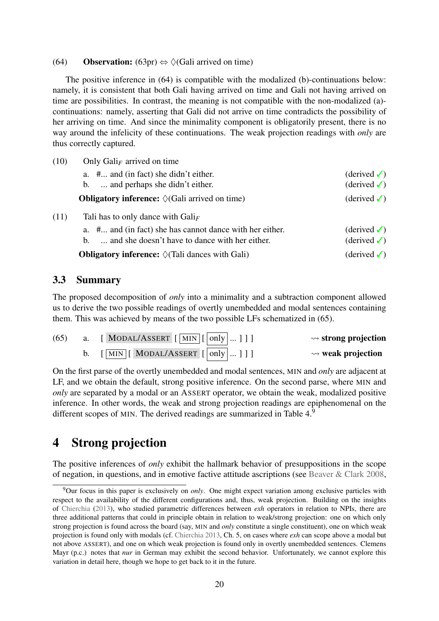#### (64) Observation:  $(63pr) \Leftrightarrow \Diamond(Gali \text{ arrived on time})$

The positive inference in (64) is compatible with the modalized (b)-continuations below: namely, it is consistent that both Gali having arrived on time and Gali not having arrived on time are possibilities. In contrast, the meaning is not compatible with the non-modalized (a) continuations: namely, asserting that Gali did not arrive on time contradicts the possibility of her arriving on time. And since the minimality component is obligatorily present, there is no way around the infelicity of these continuations. The weak projection readings with *only* are thus correctly captured.

| (10) | Only Gali <sub>F</sub> arrived on time                           |                               |
|------|------------------------------------------------------------------|-------------------------------|
|      | a. # and (in fact) she didn't either.                            | $(\text{derived }\checkmark)$ |
|      | b.  and perhaps she didn't either.                               | $(derived \checkmark)$        |
|      | <b>Obligatory inference:</b> $\Diamond$ (Gali arrived on time)   | $(\text{derived }\checkmark)$ |
| (11) | Tali has to only dance with $Gal_{F}$                            |                               |
|      | a. # and (in fact) she has cannot dance with her either.         | $(\text{derived }\checkmark)$ |
|      | and she doesn't have to dance with her either.<br>$\mathbf{b}$ . | $(\text{derived }\checkmark)$ |
|      | <b>Obligatory inference:</b> $\Diamond$ (Tali dances with Gali)  | $(\text{derived }\checkmark)$ |

# 3.3 Summary

The proposed decomposition of *only* into a minimality and a subtraction component allowed us to derive the two possible readings of overtly unembedded and modal sentences containing them. This was achieved by means of the two possible LFs schematized in (65).

| $\rightsquigarrow$ strong projection | a. [MODAL/ASSERT $\left[\overline{\text{MIN}}\right]\left[\overline{\text{only}}\right]$ ]] | (65) |
|--------------------------------------|---------------------------------------------------------------------------------------------|------|
| $\rightsquigarrow$ weak projection   | $\lceil \boxed{\text{MIN}} \rceil$ MODAL/ASSERT $\lceil \boxed{\text{only}} \dots \rceil$ ] |      |

On the first parse of the overtly unembedded and modal sentences, MIN and *only* are adjacent at LF, and we obtain the default, strong positive inference. On the second parse, where MIN and *only* are separated by a modal or an ASSERT operator, we obtain the weak, modalized positive inference. In other words, the weak and strong projection readings are epiphenomenal on the different scopes of MIN. The derived readings are summarized in Table  $4.9$  $4.9$ 

# <span id="page-19-0"></span>4 Strong projection

The positive inferences of *only* exhibit the hallmark behavior of presuppositions in the scope of negation, in questions, and in emotive factive attitude ascriptions (see [Beaver & Clark](#page-48-0) [2008,](#page-48-0)

<span id="page-19-1"></span><sup>9</sup>Our focus in this paper is exclusively on *only*. One might expect variation among exclusive particles with respect to the availability of the different configurations and, thus, weak projection. Building on the insights of [Chierchia](#page-48-3) [\(2013\)](#page-48-3), who studied parametric differences between *exh* operators in relation to NPIs, there are three additional patterns that could in principle obtain in relation to weak/strong projection: one on which only strong projection is found across the board (say, MIN and *only* constitute a single constituent), one on which weak projection is found only with modals (cf. [Chierchia](#page-48-3) [2013,](#page-48-3) Ch. 5, on cases where *exh* can scope above a modal but not above ASSERT), and one on which weak projection is found only in overtly unembedded sentences. Clemens Mayr (p.c.) notes that *nur* in German may exhibit the second behavior. Unfortunately, we cannot explore this variation in detail here, though we hope to get back to it in the future.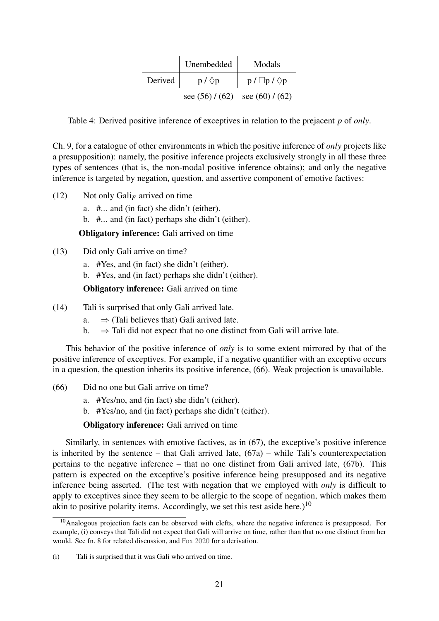|             | Unembedded                          | Modals                    |
|-------------|-------------------------------------|---------------------------|
| Derived $ $ | $p / \Diamond p$                    | $p / \Box p / \Diamond p$ |
|             | see $(56) / (62)$ see $(60) / (62)$ |                           |

<span id="page-20-1"></span>Table 4: Derived positive inference of exceptives in relation to the prejacent *p* of *only*.

Ch. 9, for a catalogue of other environments in which the positive inference of *only* projects like a presupposition): namely, the positive inference projects exclusively strongly in all these three types of sentences (that is, the non-modal positive inference obtains); and only the negative inference is targeted by negation, question, and assertive component of emotive factives:

- [\(12\)](#page-3-2) Not only Gali*<sup>F</sup>* arrived on time
	- a. #... and (in fact) she didn't (either).

b. #... and (in fact) perhaps she didn't (either).

**Obligatory inference:** Gali arrived on time

- [\(13\)](#page-4-2) Did only Gali arrive on time?
	- a. #Yes, and (in fact) she didn't (either).
	- b. #Yes, and (in fact) perhaps she didn't (either).

Obligatory inference: Gali arrived on time

- [\(14\)](#page-4-3) Tali is surprised that only Gali arrived late.
	- a.  $\Rightarrow$  (Tali believes that) Gali arrived late.
	- b.  $\Rightarrow$  Tali did not expect that no one distinct from Gali will arrive late.

This behavior of the positive inference of *only* is to some extent mirrored by that of the positive inference of exceptives. For example, if a negative quantifier with an exceptive occurs in a question, the question inherits its positive inference, (66). Weak projection is unavailable.

- (66) Did no one but Gali arrive on time?
	- a. #Yes/no, and (in fact) she didn't (either).
	- b. #Yes/no, and (in fact) perhaps she didn't (either).

Obligatory inference: Gali arrived on time

Similarly, in sentences with emotive factives, as in (67), the exceptive's positive inference is inherited by the sentence – that Gali arrived late,  $(67a)$  – while Tali's counterexpectation pertains to the negative inference – that no one distinct from Gali arrived late, (67b). This pattern is expected on the exceptive's positive inference being presupposed and its negative inference being asserted. (The test with negation that we employed with *only* is difficult to apply to exceptives since they seem to be allergic to the scope of negation, which makes them akin to positive polarity items. Accordingly, we set this test aside here.)<sup>[10](#page-20-0)</sup>

<span id="page-20-0"></span> $10$ Analogous projection facts can be observed with clefts, where the negative inference is presupposed. For example, (i) conveys that Tali did not expect that Gali will arrive on time, rather than that no one distinct from her would. See fn. [8](#page-15-1) for related discussion, and [Fox](#page-49-9) [2020](#page-49-9) for a derivation.

<sup>(</sup>i) Tali is surprised that it was Gali who arrived on time.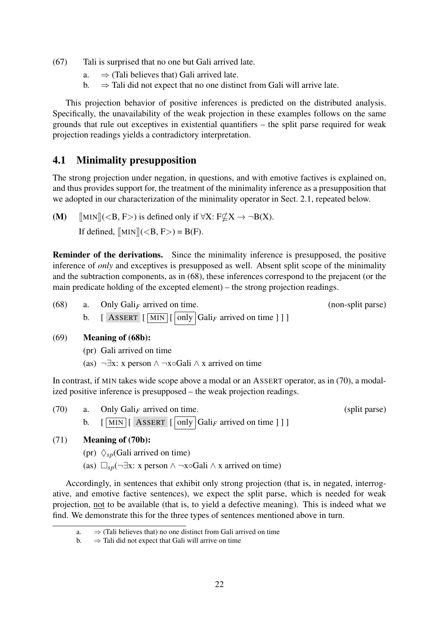- (67) Tali is surprised that no one but Gali arrived late.
	- a.  $\Rightarrow$  (Tali believes that) Gali arrived late.
	- b.  $\Rightarrow$  Tali did not expect that no one distinct from Gali will arrive late.

This projection behavior of positive inferences is predicted on the distributed analysis. Specifically, the unavailability of the weak projection in these examples follows on the same grounds that rule out exceptives in existential quantifiers – the split parse required for weak projection readings yields a contradictory interpretation.

# 4.1 Minimality presupposition

The strong projection under negation, in questions, and with emotive factives is explained on, and thus provides support for, the treatment of the minimality inference as a presupposition that we adopted in our characterization of the minimality operator in Sect. [2.1,](#page-8-1) repeated below.

(M)  $\lim_{x \to 0} \|(<, F>)$  is defined only if  $\forall X: F \not\subset X \to \neg B(X)$ . If defined,  $[MIN] (< B, F) = B(F)$ .

Reminder of the derivations. Since the minimality inference is presupposed, the positive inference of *only* and exceptives is presupposed as well. Absent split scope of the minimality and the subtraction components, as in (68), these inferences correspond to the prejacent (or the main predicate holding of the excepted element) – the strong projection readings.

| (68) | a. Only Gali <sub>F</sub> arrived on time.                                                                                | (non-split parse) |
|------|---------------------------------------------------------------------------------------------------------------------------|-------------------|
|      | b. [ ASSERT $\left[\overline{\text{MIN}}\right]\left[\overline{\text{only}}\right]$ Gali <sub>F</sub> arrived on time ] ] |                   |

#### (69) Meaning of (68b):

- (pr) Gali arrived on time
- (as)  $\neg \exists x: x \text{ person } \land \neg x \circ G \text{ali } \land x \text{ arrived on time}$

In contrast, if MIN takes wide scope above a modal or an ASSERT operator, as in [\(70\),](#page-21-0) a modalized positive inference is presupposed – the weak projection readings.

<span id="page-21-0"></span>

| (70) | a. Only Gali <sub>F</sub> arrived on time.                                                                                                      | (split parse) |
|------|-------------------------------------------------------------------------------------------------------------------------------------------------|---------------|
|      | $\lceil \sqrt{\text{MIN}} \rceil$ ASSERT $\lceil \sqrt{\text{Only}} \rceil$ $\lceil \text{Gali}_F \rceil$ arrived on time $\lceil \cdot \rceil$ |               |

# (71) Meaning of (70b):

- (pr)  $\Diamond_{sp}$ (Gali arrived on time)
- (as)  $\Box_{\text{sn}}(\neg \exists x: x \text{ person } \land \neg x \circ \text{Gali} \land x \text{ arrived on time})$

Accordingly, in sentences that exhibit only strong projection (that is, in negated, interrogative, and emotive factive sentences), we expect the split parse, which is needed for weak projection, not to be available (that is, to yield a defective meaning). This is indeed what we find. We demonstrate this for the three types of sentences mentioned above in turn.

a.  $\Rightarrow$  (Tali believes that) no one distinct from Gali arrived on time

b.  $\Rightarrow$  Tali did not expect that Gali will arrive on time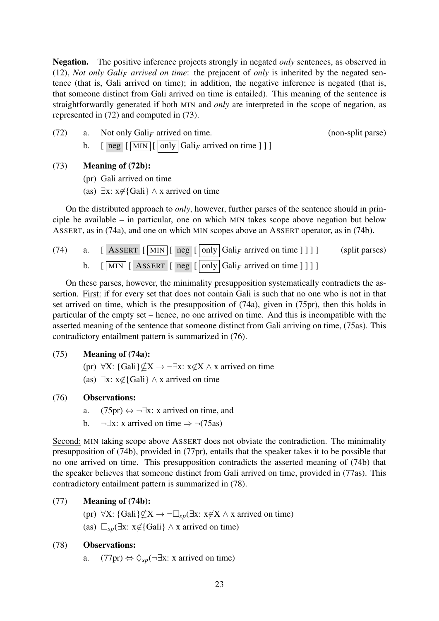Negation. The positive inference projects strongly in negated *only* sentences, as observed in [\(12\),](#page-3-2) *Not only Gali<sup>F</sup> arrived on time*: the prejacent of *only* is inherited by the negated sentence (that is, Gali arrived on time); in addition, the negative inference is negated (that is, that someone distinct from Gali arrived on time is entailed). This meaning of the sentence is straightforwardly generated if both MIN and *only* are interpreted in the scope of negation, as represented in (72) and computed in (73).

(72) a. Not only Gali*<sup>F</sup>* arrived on time. (non-split parse) b.  $\left[\begin{array}{c|c}\n\overline{\text{neg}} & \overline{\text{MIN}} \\
\overline{\text{[MIN]}} & \overline{\text{[only]}}\n\end{array}\right]$  Gali<sub>F</sub> arrived on time  $\left[\begin{array}{c|c}\n\overline{\text{[1]}}\n\end{array}\right]$ 

## (73) Meaning of (72b):

- (pr) Gali arrived on time
- (as)  $\exists x: x \notin$ {Gali} ∧ x arrived on time

On the distributed approach to *only*, however, further parses of the sentence should in principle be available – in particular, one on which MIN takes scope above negation but below ASSERT, as in (74a), and one on which MIN scopes above an ASSERT operator, as in (74b).

<span id="page-22-0"></span>(74) a. [ASSET 
$$
[\overline{\text{MIN}}]
$$
 [ neg  $[\overline{\text{only}}]$  Gali<sub>F</sub> arrived on time ]]] ] (split parses)  
b.  $[\overline{\text{MIN}}]$  [ASSET [ neg  $[\overline{\text{only}}]$  Gali<sub>F</sub> arrived on time ]]] ]

On these parses, however, the minimality presupposition systematically contradicts the assertion. First: if for every set that does not contain Gali is such that no one who is not in that set arrived on time, which is the presupposition of (74a), given in (75pr), then this holds in particular of the empty set – hence, no one arrived on time. And this is incompatible with the asserted meaning of the sentence that someone distinct from Gali arriving on time, (75as). This contradictory entailment pattern is summarized in (76).

#### (75) Meaning of (74a):

- (pr)  $\forall X: \{Gali\} \nsubseteq X \rightarrow \neg \exists x: x \notin X \wedge x$  arrived on time
- (as)  $\exists x: x \notin \{Gali\} \land x$  arrived on time

#### (76) Observations:

- a.  $(75pr) \Leftrightarrow \neg \exists x$ : x arrived on time, and
- b.  $\neg \exists x: x$  arrived on time  $\Rightarrow \neg (75as)$

Second: MIN taking scope above ASSERT does not obviate the contradiction. The minimality presupposition of [\(74b\),](#page-22-0) provided in (77pr), entails that the speaker takes it to be possible that no one arrived on time. This presupposition contradicts the asserted meaning of [\(74b\)](#page-22-0) that the speaker believes that someone distinct from Gali arrived on time, provided in (77as). This contradictory entailment pattern is summarized in (78).

# (77) Meaning of [\(74b\):](#page-22-0)

- (pr)  $\forall X: \{Gali\} \nsubseteq X \rightarrow \neg \Box_{\text{sn}}(\exists x: x \notin X \land x \text{ arrived on time})$
- (as)  $\Box_{s}(\exists x: x \notin {\text{Gali}} \land x \text{ arrived on time})$

# (78) Observations:

a.  $(77pr) \Leftrightarrow \Diamond_{sp}(\neg \exists x: x \text{ arrived on time})$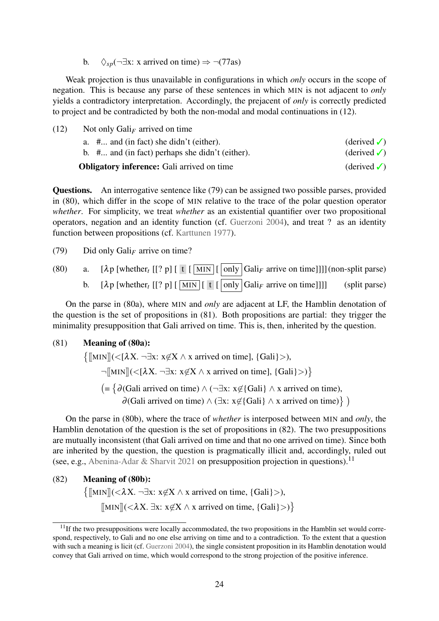b.  $\Diamond_{\text{sn}}(\neg \exists x: x \text{ arrived on time}) \Rightarrow \neg (77as)$ 

Weak projection is thus unavailable in configurations in which *only* occurs in the scope of negation. This is because any parse of these sentences in which MIN is not adjacent to *only* yields a contradictory interpretation. Accordingly, the prejacent of *only* is correctly predicted to project and be contradicted by both the non-modal and modal continuations in [\(12\).](#page-3-2)

[\(12\)](#page-3-2) Not only Gali*<sup>F</sup>* arrived on time a.  $\#$ ... and (in fact) she didn't (either). (derived  $\checkmark$ )

| b. $\#$ and (in fact) perhaps she didn't (either). | $(\text{derived }\checkmark)$ |
|----------------------------------------------------|-------------------------------|
| <b>Obligatory inference:</b> Gali arrived on time  | $(derived \checkmark)$        |

Questions. An interrogative sentence like (79) can be assigned two possible parses, provided in (80), which differ in the scope of MIN relative to the trace of the polar question operator *whether*. For simplicity, we treat *whether* as an existential quantifier over two propositional operators, negation and an identity function (cf. [Guerzoni](#page-50-13) [2004\)](#page-50-13), and treat ? as an identity function between propositions (cf. [Karttunen](#page-51-11) [1977\)](#page-51-11).

(79) Did only Gali*<sup>F</sup>* arrive on time?

<span id="page-23-1"></span>(80) a.  $[\lambda p]$  [whether<sub>t</sub> [[? p]  $[\mathbf{t}]$  [ MIN  $[\overline{\text{only}}]$  Gali<sub>F</sub> arrive on time]]]] (non-split parse) b.  $[\lambda \mathbf{p}$  [whether<sub>t</sub> [[? p]  $[\overline{\text{MIN}}] [\mathbf{t} [\overline{\text{only}}] \text{Gali}_F$  arrive on time]]]] (split parse)

On the parse in (80a), where MIN and *only* are adjacent at LF, the Hamblin denotation of the question is the set of propositions in (81). Both propositions are partial: they trigger the minimality presupposition that Gali arrived on time. This is, then, inherited by the question.

#### (81) Meaning of (80a):

 $\{[[MIN]](<[\lambda X. \neg \exists x: x\not\in X \land x \text{ arrived on time}], \{Gali\}>,\}$  $\neg$ [MIN]](<[ $\lambda$ X.  $\neg \exists x: x \notin X \land x$  arrived on time], {Gali}>)}  $( = \{ \partial$ (Gali arrived on time) ∧ (¬∃x: x∉{Gali} ∧ x arrived on time),  $\partial$ (Gali arrived on time)  $\land$  (∃x: x∉{Gali}  $\land$  x arrived on time)})

On the parse in (80b), where the trace of *whether* is interposed between MIN and *only*, the Hamblin denotation of the question is the set of propositions in (82). The two presuppositions are mutually inconsistent (that Gali arrived on time and that no one arrived on time). Since both are inherited by the question, the question is pragmatically illicit and, accordingly, ruled out (see, e.g., [Abenina-Adar & Sharvit](#page-47-3) [2021](#page-47-3) on presupposition projection in questions).<sup>[11](#page-23-0)</sup>

(82) Meaning of [\(80b\):](#page-23-1)  $\{\llbracket \text{MIN} \rrbracket(<\lambda X. \neg \exists x: x \notin X \land x \text{ arrived on time, } \{Gali\}>)\}$  $[\![MIN]\!](<\lambda X. \exists x: x \notin X \wedge x$  arrived on time,  $\{Gali\}>)\}$ 

<span id="page-23-0"></span> $11$ If the two presuppositions were locally accommodated, the two propositions in the Hamblin set would correspond, respectively, to Gali and no one else arriving on time and to a contradiction. To the extent that a question with such a meaning is licit (cf. [Guerzoni](#page-50-13) [2004\)](#page-50-13), the single consistent proposition in its Hamblin denotation would convey that Gali arrived on time, which would correspond to the strong projection of the positive inference.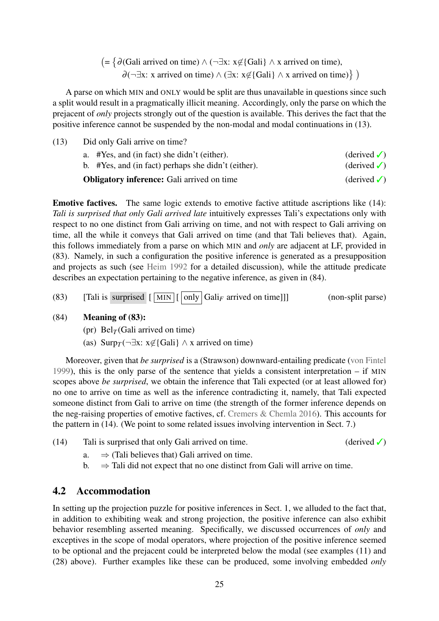$( = \{ \partial$ (Gali arrived on time) ∧ (¬∃x: x∉{Gali} ∧ x arrived on time),  $\partial$ (¬∃x: x arrived on time)  $\wedge$  (∃x: x∉{Gali}  $\wedge$  x arrived on time)})

A parse on which MIN and ONLY would be split are thus unavailable in questions since such a split would result in a pragmatically illicit meaning. Accordingly, only the parse on which the prejacent of *only* projects strongly out of the question is available. This derives the fact that the positive inference cannot be suspended by the non-modal and modal continuations in [\(13\).](#page-4-2)

[\(13\)](#page-4-2) Did only Gali arrive on time? a. #Yes, and (in fact) she didn't (either). (derived  $\checkmark$ ) b. #Yes, and (in fact) perhaps she didn't (either). (derived  $\checkmark$ ) **Obligatory inference:** Gali arrived on time  $\bigcirc$  (derived  $\bigcirc$ )

Emotive factives. The same logic extends to emotive factive attitude ascriptions like [\(14\):](#page-4-3) *Tali is surprised that only Gali arrived late* intuitively expresses Tali's expectations only with respect to no one distinct from Gali arriving on time, and not with respect to Gali arriving on time, all the while it conveys that Gali arrived on time (and that Tali believes that). Again, this follows immediately from a parse on which MIN and *only* are adjacent at LF, provided in (83). Namely, in such a configuration the positive inference is generated as a presupposition and projects as such (see [Heim](#page-50-5) [1992](#page-50-5) for a detailed discussion), while the attitude predicate describes an expectation pertaining to the negative inference, as given in (84).

(83) [Tali is surprised  $\lceil \lfloor \text{MIN} \rfloor \rfloor$  only  $\lceil \text{Gal}_{F}$  arrived on time]]] (non-split parse)

#### (84) Meaning of (83):

- (pr)  $Bel<sub>T</sub>(Gali arrived on time)$
- (as) Surp $_T(\neg \exists x: x \notin \{\text{Gali}\}\land x \text{ arrived on time})$

Moreover, given that *be surprised* is a (Strawson) downward-entailing predicate [\(von Fintel](#page-49-2) [1999\)](#page-49-2), this is the only parse of the sentence that yields a consistent interpretation – if MIN scopes above *be surprised*, we obtain the inference that Tali expected (or at least allowed for) no one to arrive on time as well as the inference contradicting it, namely, that Tali expected someone distinct from Gali to arrive on time (the strength of the former inference depends on the neg-raising properties of emotive factives, cf. [Cremers & Chemla](#page-49-10) [2016\)](#page-49-10). This accounts for the pattern in [\(14\).](#page-4-3) (We point to some related issues involving intervention in Sect. [7.](#page-45-0))

- [\(14\)](#page-4-3) Tali is surprised that only Gali arrived on time. (derived  $\checkmark$ )
	- a.  $\Rightarrow$  (Tali believes that) Gali arrived on time.
	- b.  $\Rightarrow$  Tali did not expect that no one distinct from Gali will arrive on time.

# <span id="page-24-0"></span>4.2 Accommodation

In setting up the projection puzzle for positive inferences in Sect. [1,](#page-0-0) we alluded to the fact that, in addition to exhibiting weak and strong projection, the positive inference can also exhibit behavior resembling asserted meaning. Specifically, we discussed occurrences of *only* and exceptives in the scope of modal operators, where projection of the positive inference seemed to be optional and the prejacent could be interpreted below the modal (see examples [\(11\)](#page-3-1) and [\(28\)](#page-9-1) above). Further examples like these can be produced, some involving embedded *only*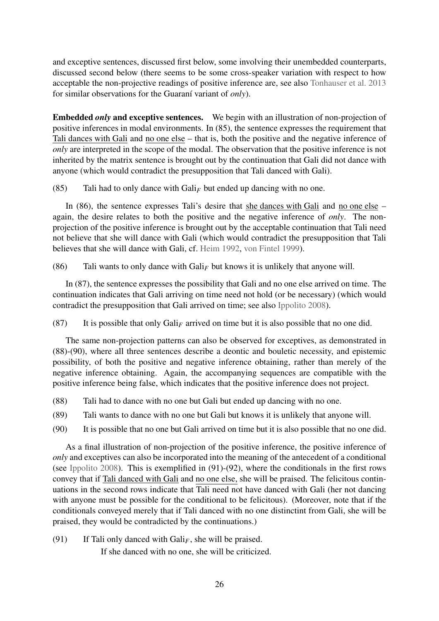and exceptive sentences, discussed first below, some involving their unembedded counterparts, discussed second below (there seems to be some cross-speaker variation with respect to how acceptable the non-projective readings of positive inference are, see also [Tonhauser et al.](#page-53-1) [2013](#page-53-1) for similar observations for the Guaraní variant of *only*).

Embedded *only* and exceptive sentences. We begin with an illustration of non-projection of positive inferences in modal environments. In (85), the sentence expresses the requirement that Tali dances with Gali and no one else – that is, both the positive and the negative inference of *only* are interpreted in the scope of the modal. The observation that the positive inference is not inherited by the matrix sentence is brought out by the continuation that Gali did not dance with anyone (which would contradict the presupposition that Tali danced with Gali).

<span id="page-25-1"></span>(85) Tali had to only dance with  $Gal<sub>F</sub>$  but ended up dancing with no one.

In (86), the sentence expresses Tali's desire that she dances with Gali and no one else – again, the desire relates to both the positive and the negative inference of *only*. The nonprojection of the positive inference is brought out by the acceptable continuation that Tali need not believe that she will dance with Gali (which would contradict the presupposition that Tali believes that she will dance with Gali, cf. [Heim](#page-50-5) [1992,](#page-50-5) [von Fintel](#page-49-2) [1999\)](#page-49-2).

(86) Tali wants to only dance with Gali*<sup>F</sup>* but knows it is unlikely that anyone will.

In (87), the sentence expresses the possibility that Gali and no one else arrived on time. The continuation indicates that Gali arriving on time need not hold (or be necessary) (which would contradict the presupposition that Gali arrived on time; see also [Ippolito](#page-51-5) [2008\)](#page-51-5).

(87) It is possible that only Gali*<sup>F</sup>* arrived on time but it is also possible that no one did.

The same non-projection patterns can also be observed for exceptives, as demonstrated in (88)[-\(90\),](#page-25-0) where all three sentences describe a deontic and bouletic necessity, and epistemic possibility, of both the positive and negative inference obtaining, rather than merely of the negative inference obtaining. Again, the accompanying sequences are compatible with the positive inference being false, which indicates that the positive inference does not project.

- (88) Tali had to dance with no one but Gali but ended up dancing with no one.
- <span id="page-25-0"></span>(89) Tali wants to dance with no one but Gali but knows it is unlikely that anyone will.
- (90) It is possible that no one but Gali arrived on time but it is also possible that no one did.

As a final illustration of non-projection of the positive inference, the positive inference of *only* and exceptives can also be incorporated into the meaning of the antecedent of a conditional (see [Ippolito](#page-51-5) [2008\)](#page-51-5). This is exemplified in (91)-(92), where the conditionals in the first rows convey that if Tali danced with Gali and no one else, she will be praised. The felicitous continuations in the second rows indicate that Tali need not have danced with Gali (her not dancing with anyone must be possible for the conditional to be felicitous). (Moreover, note that if the conditionals conveyed merely that if Tali danced with no one distinctint from Gali, she will be praised, they would be contradicted by the continuations.)

(91) If Tali only danced with  $Gali<sub>F</sub>$ , she will be praised.

If she danced with no one, she will be criticized.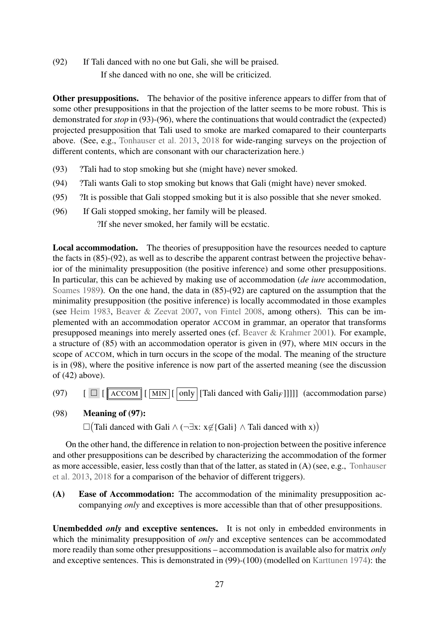<span id="page-26-1"></span>(92) If Tali danced with no one but Gali, she will be praised.

If she danced with no one, she will be criticized.

Other presuppositions. The behavior of the positive inference appears to differ from that of some other presuppositions in that the projection of the latter seems to be more robust. This is demonstrated for *stop* in (93)[-\(96\),](#page-26-0) where the continuations that would contradict the (expected) projected presupposition that Tali used to smoke are marked comapared to their counterparts above. (See, e.g., [Tonhauser et al.](#page-53-1) [2013,](#page-53-1) [2018](#page-53-5) for wide-ranging surveys on the projection of different contents, which are consonant with our characterization here.)

- (93) ?Tali had to stop smoking but she (might have) never smoked.
- (94) ?Tali wants Gali to stop smoking but knows that Gali (might have) never smoked.
- <span id="page-26-0"></span>(95) ?It is possible that Gali stopped smoking but it is also possible that she never smoked.
- (96) If Gali stopped smoking, her family will be pleased. ?If she never smoked, her family will be ecstatic.

Local accommodation. The theories of presupposition have the resources needed to capture the facts in [\(85\)](#page-25-1)[-\(92\),](#page-26-1) as well as to describe the apparent contrast between the projective behavior of the minimality presupposition (the positive inference) and some other presuppositions. In particular, this can be achieved by making use of accommodation (*de iure* accommodation, [Soames](#page-52-12) [1989\)](#page-52-12). On the one hand, the data in [\(85\)](#page-25-1)[-\(92\)](#page-26-1) are captured on the assumption that the minimality presupposition (the positive inference) is locally accommodated in those examples (see [Heim](#page-50-14) [1983,](#page-50-14) [Beaver & Zeevat](#page-48-9) [2007,](#page-48-9) [von Fintel](#page-49-11) [2008,](#page-49-11) among others). This can be implemented with an accommodation operator ACCOM in grammar, an operator that transforms presupposed meanings into merely asserted ones (cf. [Beaver & Krahmer](#page-48-10) [2001\)](#page-48-10). For example, a structure of [\(85\)](#page-25-1) with an accommodation operator is given in (97), where MIN occurs in the scope of ACCOM, which in turn occurs in the scope of the modal. The meaning of the structure is in (98), where the positive inference is now part of the asserted meaning (see the discussion of [\(42\)](#page-12-1) above).

- (97) [ [ ACCOM [ MIN [ only [Tali danced with Gali*F*]]]]] (accommodation parse)
- (98) Meaning of (97):

 $\Box$ (Tali danced with Gali ∧ (¬∃x: x∉{Gali} ∧ Tali danced with x))

On the other hand, the difference in relation to non-projection between the positive inference and other presuppositions can be described by characterizing the accommodation of the former as more accessible, easier, less costly than that of the latter, as stated in (A) (see, e.g., [Tonhauser](#page-53-1) [et al.](#page-53-1) [2013,](#page-53-1) [2018](#page-53-5) for a comparison of the behavior of different triggers).

(A) Ease of Accommodation: The accommodation of the minimality presupposition accompanying *only* and exceptives is more accessible than that of other presuppositions.

Unembedded *only* and exceptive sentences. It is not only in embedded environments in which the minimality presupposition of *only* and exceptive sentences can be accommodated more readily than some other presuppositions – accommodation is available also for matrix *only* and exceptive sentences. This is demonstrated in (99)-(100) (modelled on [Karttunen](#page-51-12) [1974\)](#page-51-12): the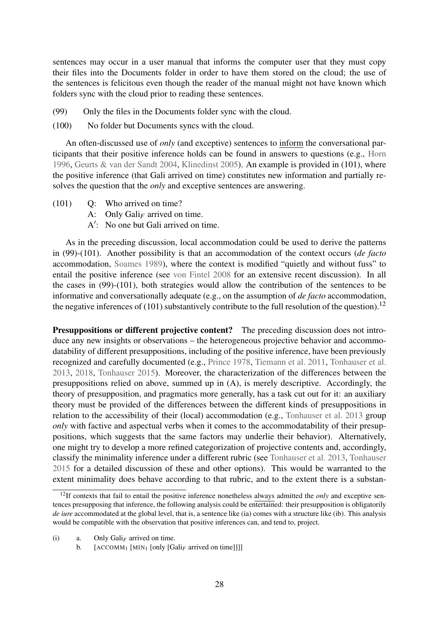sentences may occur in a user manual that informs the computer user that they must copy their files into the Documents folder in order to have them stored on the cloud; the use of the sentences is felicitous even though the reader of the manual might not have known which folders sync with the cloud prior to reading these sentences.

- <span id="page-27-0"></span>(99) Only the files in the Documents folder sync with the cloud.
- (100) No folder but Documents syncs with the cloud.

An often-discussed use of *only* (and exceptive) sentences to inform the conversational participants that their positive inference holds can be found in answers to questions (e.g., [Horn](#page-51-1) [1996,](#page-51-1) [Geurts & van der Sandt](#page-50-3) [2004,](#page-50-3) [Klinedinst](#page-51-4) [2005\)](#page-51-4). An example is provided in (101), where the positive inference (that Gali arrived on time) constitutes new information and partially resolves the question that the *only* and exceptive sentences are answering.

- (101) Q: Who arrived on time?
	- A: Only  $Gali<sub>F</sub>$  arrived on time.
	- A': No one but Gali arrived on time.

As in the preceding discussion, local accommodation could be used to derive the patterns in [\(99\)-](#page-27-0)(101). Another possibility is that an accommodation of the context occurs (*de facto* accommodation, [Soames](#page-52-12) [1989\)](#page-52-12), where the context is modified "quietly and without fuss" to entail the positive inference (see [von Fintel](#page-49-11) [2008](#page-49-11) for an extensive recent discussion). In all the cases in [\(99\)-](#page-27-0)(101), both strategies would allow the contribution of the sentences to be informative and conversationally adequate (e.g., on the assumption of *de facto* accommodation, the negative inferences of (101) substantively contribute to the full resolution of the question).<sup>[12](#page-27-1)</sup>

Presuppositions or different projective content? The preceding discussion does not introduce any new insights or observations – the heterogeneous projective behavior and accommodatability of different presuppositions, including of the positive inference, have been previously recognized and carefully documented (e.g., [Prince](#page-52-13) [1978,](#page-52-13) [Tiemann et al.](#page-53-6) [2011,](#page-53-6) [Tonhauser et al.](#page-53-1) [2013,](#page-53-1) [2018,](#page-53-5) [Tonhauser](#page-53-7) [2015\)](#page-53-7). Moreover, the characterization of the differences between the presuppositions relied on above, summed up in (A), is merely descriptive. Accordingly, the theory of presupposition, and pragmatics more generally, has a task cut out for it: an auxiliary theory must be provided of the differences between the different kinds of presuppositions in relation to the accessibility of their (local) accommodation (e.g., [Tonhauser et al.](#page-53-1) [2013](#page-53-1) group *only* with factive and aspectual verbs when it comes to the accommodatability of their presuppositions, which suggests that the same factors may underlie their behavior). Alternatively, one might try to develop a more refined categorization of projective contents and, accordingly, classify the minimality inference under a different rubric (see [Tonhauser et al.](#page-53-1) [2013,](#page-53-1) [Tonhauser](#page-53-7) [2015](#page-53-7) for a detailed discussion of these and other options). This would be warranted to the extent minimality does behave according to that rubric, and to the extent there is a substan-

(i) a. Only  $Gali<sub>F</sub>$  arrived on time.

b.  $[ACCOMM_1 [MIN_1 [only [Gal]_F] arrived on time]]]$ 

<span id="page-27-1"></span><sup>&</sup>lt;sup>12</sup>If contexts that fail to entail the positive inference nonetheless always admitted the *only* and exceptive sentences presupposing that inference, the following analysis could be entertained: their presupposition is obligatorily *de iure* accommodated at the global level, that is, a sentence like (ia) comes with a structure like (ib). This analysis would be compatible with the observation that positive inferences can, and tend to, project.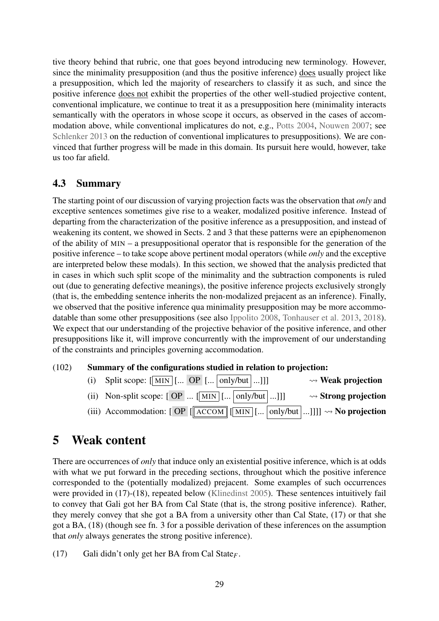tive theory behind that rubric, one that goes beyond introducing new terminology. However, since the minimality presupposition (and thus the positive inference) does usually project like a presupposition, which led the majority of researchers to classify it as such, and since the positive inference does not exhibit the properties of the other well-studied projective content, conventional implicature, we continue to treat it as a presupposition here (minimality interacts semantically with the operators in whose scope it occurs, as observed in the cases of accommodation above, while conventional implicatures do not, e.g., [Potts](#page-52-14) [2004,](#page-52-14) [Nouwen](#page-52-15) [2007;](#page-52-15) see [Schlenker](#page-52-16) [2013](#page-52-16) on the reduction of conventional implicatures to presuppositions). We are convinced that further progress will be made in this domain. Its pursuit here would, however, take us too far afield.

# 4.3 Summary

The starting point of our discussion of varying projection facts was the observation that *only* and exceptive sentences sometimes give rise to a weaker, modalized positive inference. Instead of departing from the characterization of the positive inference as a presupposition, and instead of weakening its content, we showed in Sects. [2](#page-8-0) and [3](#page-16-0) that these patterns were an epiphenomenon of the ability of MIN – a presuppositional operator that is responsible for the generation of the positive inference – to take scope above pertinent modal operators (while *only* and the exceptive are interpreted below these modals). In this section, we showed that the analysis predicted that in cases in which such split scope of the minimality and the subtraction components is ruled out (due to generating defective meanings), the positive inference projects exclusively strongly (that is, the embedding sentence inherits the non-modalized prejacent as an inference). Finally, we observed that the positive inference qua minimality presupposition may be more accommodatable than some other presuppositions (see also [Ippolito](#page-51-5) [2008,](#page-51-5) [Tonhauser et al.](#page-53-1) [2013,](#page-53-1) [2018\)](#page-53-5). We expect that our understanding of the projective behavior of the positive inference, and other presuppositions like it, will improve concurrently with the improvement of our understanding of the constraints and principles governing accommodation.

# (102) Summary of the configurations studied in relation to projection:

| (i) Split scope: $\left[\overline{\text{MIN}}\right]$ [ OP $\left[\dots \right]$ only/but $\left[\dots \right]$ ]                                                                    | $\rightsquigarrow$ Weak projection   |
|--------------------------------------------------------------------------------------------------------------------------------------------------------------------------------------|--------------------------------------|
| (ii) Non-split scope: $[OP \dots [MIN] [   only/but] ]]$                                                                                                                             | $\rightsquigarrow$ Strong projection |
| (iii) Accommodation: [ OP $\left[\sqrt{\text{ACCOM}}\right][\overline{\text{MIN}}\left[\dots \text{only/but}\left[\dots \text{]]}\right]\right] \rightarrow \mathbf{No}\$ projection |                                      |

# <span id="page-28-0"></span>5 Weak content

There are occurrences of *only* that induce only an existential positive inference, which is at odds with what we put forward in the preceding sections, throughout which the positive inference corresponded to the (potentially modalized) prejacent. Some examples of such occurrences were provided in [\(17\)](#page-5-2)[-\(18\),](#page-5-3) repeated below [\(Klinedinst](#page-51-4) [2005\)](#page-51-4). These sentences intuitively fail to convey that Gali got her BA from Cal State (that is, the strong positive inference). Rather, they merely convey that she got a BA from a university other than Cal State, [\(17\)](#page-5-2) or that she got a BA, [\(18\)](#page-5-3) (though see fn. [3](#page-5-1) for a possible derivation of these inferences on the assumption that *only* always generates the strong positive inference).

[\(17\)](#page-5-2) Gali didn't only get her BA from Cal State*F*.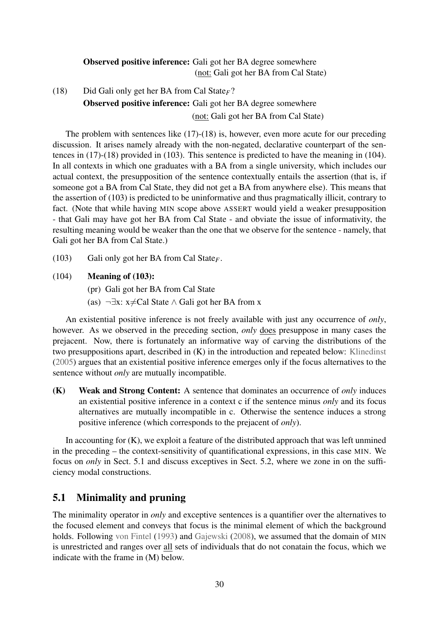# Observed positive inference: Gali got her BA degree somewhere (not: Gali got her BA from Cal State)

[\(18\)](#page-5-3) Did Gali only get her BA from Cal State*F*? Observed positive inference: Gali got her BA degree somewhere (not: Gali got her BA from Cal State)

The problem with sentences like [\(17\)](#page-5-2)[-\(18\)](#page-5-3) is, however, even more acute for our preceding discussion. It arises namely already with the non-negated, declarative counterpart of the sentences in [\(17\)-](#page-5-2)[\(18\)](#page-5-3) provided in (103). This sentence is predicted to have the meaning in (104). In all contexts in which one graduates with a BA from a single university, which includes our actual context, the presupposition of the sentence contextually entails the assertion (that is, if someone got a BA from Cal State, they did not get a BA from anywhere else). This means that the assertion of (103) is predicted to be uninformative and thus pragmatically illicit, contrary to fact. (Note that while having MIN scope above ASSERT would yield a weaker presupposition - that Gali may have got her BA from Cal State - and obviate the issue of informativity, the resulting meaning would be weaker than the one that we observe for the sentence - namely, that Gali got her BA from Cal State.)

<span id="page-29-1"></span>(103) Gali only got her BA from Cal State*F*.

## <span id="page-29-2"></span>(104) Meaning of (103):

(pr) Gali got her BA from Cal State

(as)  $\neg \exists x: x \neq Cal$  State  $\wedge$  Gali got her BA from x

An existential positive inference is not freely available with just any occurrence of *only*, however. As we observed in the preceding section, *only* does presuppose in many cases the prejacent. Now, there is fortunately an informative way of carving the distributions of the two presuppositions apart, described in (K) in the introduction and repeated below: [Klinedinst](#page-51-4) [\(2005\)](#page-51-4) argues that an existential positive inference emerges only if the focus alternatives to the sentence without *only* are mutually incompatible.

(K) Weak and Strong Content: A sentence that dominates an occurrence of *only* induces an existential positive inference in a context c if the sentence minus *only* and its focus alternatives are mutually incompatible in c. Otherwise the sentence induces a strong positive inference (which corresponds to the prejacent of *only*).

In accounting for (K), we exploit a feature of the distributed approach that was left unmined in the preceding – the context-sensitivity of quantificational expressions, in this case MIN. We focus on *only* in Sect. [5.1](#page-29-0) and discuss exceptives in Sect. [5.2,](#page-36-0) where we zone in on the sufficiency modal constructions.

# <span id="page-29-0"></span>5.1 Minimality and pruning

The minimality operator in *only* and exceptive sentences is a quantifier over the alternatives to the focused element and conveys that focus is the minimal element of which the background holds. Following [von Fintel](#page-49-3) [\(1993\)](#page-49-3) and [Gajewski](#page-50-1) [\(2008\)](#page-50-1), we assumed that the domain of MIN is unrestricted and ranges over all sets of individuals that do not conatain the focus, which we indicate with the frame in (M) below.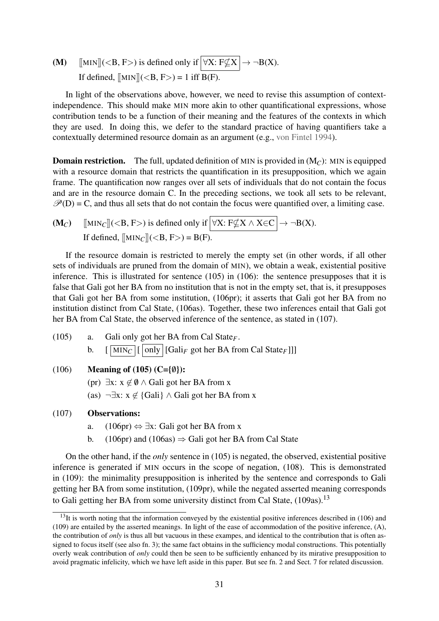(M) [MIN]](<B, F>) is defined only if  $\boxed{\forall X: F \not\subseteq X} \rightarrow \neg B(X)$ . If defined,  $[MIN] (< B, F) = 1$  iff  $B(F)$ .

In light of the observations above, however, we need to revise this assumption of contextindependence. This should make MIN more akin to other quantificational expressions, whose contribution tends to be a function of their meaning and the features of the contexts in which they are used. In doing this, we defer to the standard practice of having quantifiers take a contextually determined resource domain as an argument (e.g., [von Fintel](#page-49-4) [1994\)](#page-49-4).

**Domain restriction.** The full, updated definition of MIN is provided in  $(M_C)$ : MIN is equipped with a resource domain that restricts the quantification in its presupposition, which we again frame. The quantification now ranges over all sets of individuals that do not contain the focus and are in the resource domain C. In the preceding sections, we took all sets to be relevant,  $\mathcal{P}(D) = C$ , and thus all sets that do not contain the focus were quantified over, a limiting case.

$$
\begin{aligned} \textbf{(M}_{C}) \quad & \text{[[MIN}_{C} \text{]]} ( \text{) is defined only if } \boxed{\forall X: F \nsubseteq X \land X \in C} \rightarrow \neg B(X).\\ \text{If defined, } & \text{[[MIN}_{C} \text{]]} ( \text{)} = B(F). \end{aligned}
$$

If the resource domain is restricted to merely the empty set (in other words, if all other sets of individuals are pruned from the domain of MIN), we obtain a weak, existential positive inference. This is illustrated for sentence (105) in (106): the sentence presupposes that it is false that Gali got her BA from no institution that is not in the empty set, that is, it presupposes that Gali got her BA from some institution, (106pr); it asserts that Gali got her BA from no institution distinct from Cal State, (106as). Together, these two inferences entail that Gali got her BA from Cal State, the observed inference of the sentence, as stated in [\(107\).](#page-30-1)

- <span id="page-30-2"></span>(105) a. Gali only got her BA from Cal State*F*. b.  $\left[\overline{\text{MIN}_C}\right]\left[\overline{\text{only}}\right]$  [Gali<sub>F</sub> got her BA from Cal State<sub>F</sub>]]]
- <span id="page-30-3"></span>(106) Meaning of (105) (C= $\{\emptyset\}$ ):
	- (pr) ∃x:  $x \notin \emptyset$  ∧ Gali got her BA from x
	- (as)  $\neg \exists x: x \notin$  {Gali} ∧ Gali got her BA from x

#### <span id="page-30-1"></span>(107) Observations:

- a.  $(106pr) \Leftrightarrow \exists x:$  Gali got her BA from x
- b. (106pr) and (106as)  $\Rightarrow$  Gali got her BA from Cal State

On the other hand, if the *only* sentence in [\(105\)](#page-30-2) is negated, the observed, existential positive inference is generated if MIN occurs in the scope of negation, (108). This is demonstrated in (109): the minimality presupposition is inherited by the sentence and corresponds to Gali getting her BA from some institution, (109pr), while the negated asserted meaning corresponds to Gali getting her BA from some university distinct from Cal State, (109as).<sup>[13](#page-30-0)</sup>

<span id="page-30-4"></span><span id="page-30-0"></span> $13$ It is worth noting that the information conveyed by the existential positive inferences described in [\(106\)](#page-30-3) and [\(109\)](#page-31-0) are entailed by the asserted meanings. In light of the ease of accommodation of the positive inference, (A), the contribution of *only* is thus all but vacuous in these exampes, and identical to the contribution that is often assigned to focus itself (see also fn. [3\)](#page-5-1); the same fact obtains in the sufficiency modal constructions. This potentially overly weak contribution of *only* could then be seen to be sufficiently enhanced by its mirative presupposition to avoid pragmatic infelicity, which we have left aside in this paper. But see fn. [2](#page-5-0) and Sect. [7](#page-45-0) for related discussion.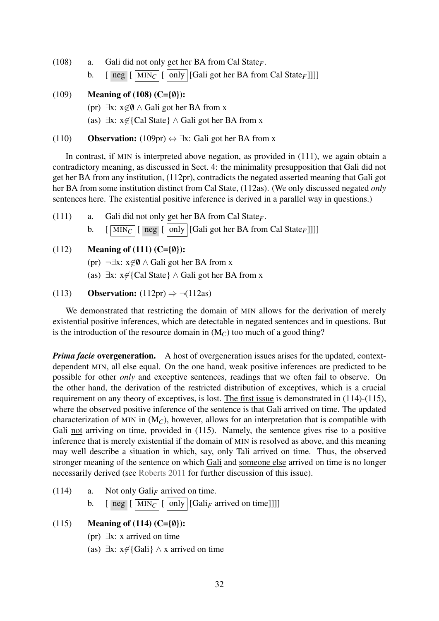- (108) a. Gali did not only get her BA from Cal State*F*.
	- b.  $\left[\begin{array}{c|c}\n\overline{\text{neg}} & \text{[MIN}_C \\
	\hline\n\end{array}\right] \left[\begin{array}{c|c}\n\overline{\text{only}} & \text{[Gali got her BA from Cal State}_F\n\end{array}\right]\right]$

## <span id="page-31-0"></span>(109) Meaning of (108) (C= $\{\emptyset\}$ ):

- (pr) ∃x:  $x \notin \emptyset$  ∧ Gali got her BA from x
- (as)  $\exists x: x \notin \{Cal State\} \wedge Gali$  got her BA from x

#### (110) **Observation:** (109pr)  $\Leftrightarrow \exists x$ : Gali got her BA from x

In contrast, if MIN is interpreted above negation, as provided in (111), we again obtain a contradictory meaning, as discussed in Sect. [4:](#page-19-0) the minimality presupposition that Gali did not get her BA from any institution, (112pr), contradicts the negated asserted meaning that Gali got her BA from some institution distinct from Cal State, (112as). (We only discussed negated *only* sentences here. The existential positive inference is derived in a parallel way in questions.)

(111) a. Gali did not only get her BA from Cal State*F*. b.  $\left[\overline{\text{MIN}_C}\right]\left[\overline{\text{neg}}\left[\overline{\text{only}}\right]\left[\text{Gali got her BA from Cal State}_F\right]\right]\right]$ 

# (112) **Meaning of (111) (C={0}):**

- (pr)  $\neg \exists x: x \notin \emptyset \land$  Gali got her BA from x
- (as)  $\exists x: x \notin \{Cal State\} \wedge Gal$ i got her BA from x

#### (113) **Observation:** (112pr)  $\Rightarrow \neg(112as)$

We demonstrated that restricting the domain of MIN allows for the derivation of merely existential positive inferences, which are detectable in negated sentences and in questions. But is the introduction of the resource domain in (M*C*) too much of a good thing?

*Prima facie* overgeneration. A host of overgeneration issues arises for the updated, contextdependent MIN, all else equal. On the one hand, weak positive inferences are predicted to be possible for other *only* and exceptive sentences, readings that we often fail to observe. On the other hand, the derivation of the restricted distribution of exceptives, which is a crucial requirement on any theory of exceptives, is lost. The first issue is demonstrated in (114)-(115), where the observed positive inference of the sentence is that Gali arrived on time. The updated characterization of MIN in  $(M_C)$ , however, allows for an interpretation that is compatible with Gali not arriving on time, provided in (115). Namely, the sentence gives rise to a positive inference that is merely existential if the domain of MIN is resolved as above, and this meaning may well describe a situation in which, say, only Tali arrived on time. Thus, the observed stronger meaning of the sentence on which Gali and someone else arrived on time is no longer necessarily derived (see [Roberts](#page-52-6) [2011](#page-52-6) for further discussion of this issue).

- <span id="page-31-1"></span> $(114)$  a. Not only Gali<sub>F</sub> arrived on time.
	- b.  $\left[ \text{neg} \left[ \overline{\text{MIN}_C} \right] \left[ \overline{\text{only}} \right] \left[ \text{Gali}_F \text{ arrived on time} \right] \right] \right]$

#### (115) Meaning of (114) (C= $\{\emptyset\}$ ):

- (pr) ∃x: x arrived on time
- (as)  $\exists x: x \notin$ {Gali} ∧ x arrived on time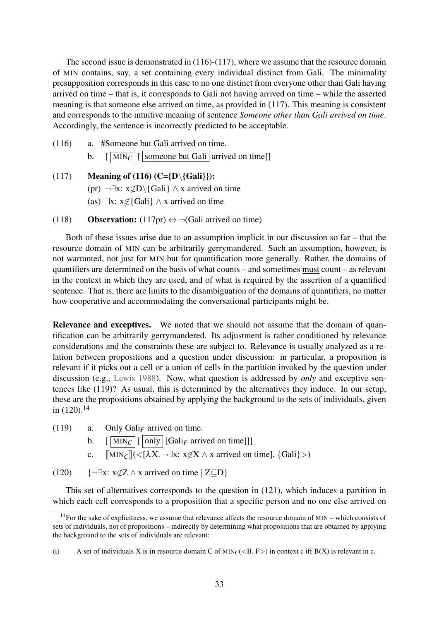The second issue is demonstrated in (116)-(117), where we assume that the resource domain of MIN contains, say, a set containing every individual distinct from Gali. The minimality presupposition corresponds in this case to no one distinct from everyone other than Gali having arrived on time – that is, it corresponds to Gali not having arrived on time – while the asserted meaning is that someone else arrived on time, as provided in (117). This meaning is consistent and corresponds to the intuitive meaning of sentence *Someone other than Gali arrived on time*. Accordingly, the sentence is incorrectly predicted to be acceptable.

<span id="page-32-3"></span>(116) a. #Someone but Gali arrived on time. b.  $\left[\overline{\text{MIN}_C}\right]\left[\right]$  someone but Gali arrived on time]]

<span id="page-32-4"></span>(117) Meaning of (116)  $(C= {D \setminus {Gali}}):$ 

(pr)  $\neg \exists x: x \notin D \setminus \{Gali\} \land x$  arrived on time

(as)  $\exists x: x \notin \{Gali\} \land x$  arrived on time

(118) **Observation:** (117pr)  $\Leftrightarrow \neg$  (Gali arrived on time)

Both of these issues arise due to an assumption implicit in our discussion so far – that the resource domain of MIN can be arbitrarily gerrymandered. Such an assumption, however, is not warranted, not just for MIN but for quantification more generally. Rather, the domains of quantifiers are determined on the basis of what counts – and sometimes must count – as relevant in the context in which they are used, and of what is required by the assertion of a quantified sentence. That is, there are limits to the disambiguation of the domains of quantifiers, no matter how cooperative and accommodating the conversational participants might be.

Relevance and exceptives. We noted that we should not assume that the domain of quantification can be arbitrarily gerrymandered. Its adjustment is rather conditioned by relevance considerations and the constraints these are subject to. Relevance is usually analyzed as a relation between propositions and a question under discussion: in particular, a proposition is relevant if it picks out a cell or a union of cells in the partition invoked by the question under discussion (e.g., [Lewis](#page-51-13) [1988\)](#page-51-13). Now, what question is addressed by *only* and exceptive sentences like (119)? As usual, this is determined by the alternatives they induce. In our setup, these are the propositions obtained by applying the background to the sets of individuals, given in  $(120).^{14}$  $(120).^{14}$  $(120).^{14}$ 

<span id="page-32-1"></span>(119) a. Only Gali<sub>F</sub> arrived on time.

b.  $\left[\overline{\text{MIN}_C}\right]\left[\overline{\text{only}}\right]\left[\text{Gali}_F \text{ arrived on time}\right]\right]$ 

c.  $\lim_{\Omega} || \langle \overline{\langle \lambda X}. \neg \exists x : x \notin X \land x \text{ arrived on time} \rangle, \{Gali\} \rangle)$ 

<span id="page-32-2"></span>(120) {¬ $\exists x: x \notin Z \land x$  arrived on time  $|ZCD|$ 

This set of alternatives corresponds to the question in (121), which induces a partition in which each cell corresponds to a proposition that a specific person and no one else arrived on

<span id="page-32-0"></span> $14$ For the sake of explicitness, we assume that relevance affects the resource domain of MIN – which consists of sets of individuals, not of propositions – indirectly by determining what propositions that are obtained by applying the background to the sets of individuals are relevant:

<sup>(</sup>i) A set of individuals X is in resource domain C of  $MIN_C(< B, F>)$  in context c iff  $B(X)$  is relevant in c.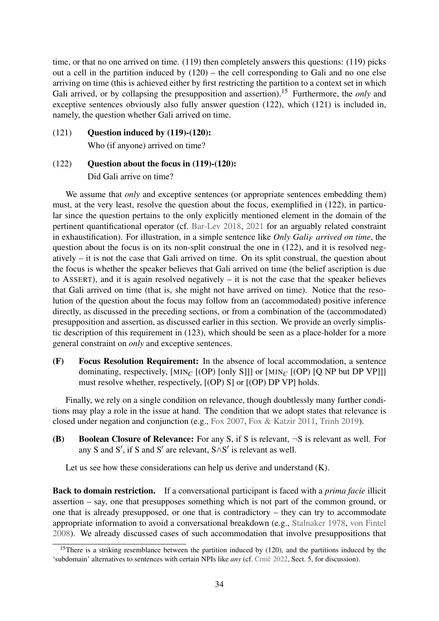time, or that no one arrived on time. (119) then completely answers this questions: (119) picks out a cell in the partition induced by (120) – the cell corresponding to Gali and no one else arriving on time (this is achieved either by first restricting the partition to a context set in which Gali arrived, or by collapsing the presupposition and assertion).<sup>[15](#page-33-0)</sup> Furthermore, the *only* and exceptive sentences obviously also fully answer question (122), which (121) is included in, namely, the question whether Gali arrived on time.

(121) Question induced by [\(119\)-](#page-32-1)(120):

Who (if anyone) arrived on time?

# $(122)$  Question about the focus in  $(119)-(120)$  $(119)-(120)$ : Did Gali arrive on time?

We assume that *only* and exceptive sentences (or appropriate sentences embedding them) must, at the very least, resolve the question about the focus, exemplified in (122), in particular since the question pertains to the only explicitly mentioned element in the domain of the pertinent quantificational operator (cf. [Bar-Lev](#page-48-11) [2018,](#page-48-11) [2021](#page-48-12) for an arguably related constraint in exhaustification). For illustration, in a simple sentence like *Only Gali<sup>F</sup> arrived on time*, the question about the focus is on its non-split construal the one in (122), and it is resolved negatively – it is not the case that Gali arrived on time. On its split construal, the question about the focus is whether the speaker believes that Gali arrived on time (the belief ascription is due to ASSERT), and it is again resolved negatively – it is not the case that the speaker believes that Gali arrived on time (that is, she might not have arrived on time). Notice that the resolution of the question about the focus may follow from an (accommodated) positive inference directly, as discussed in the preceding sections, or from a combination of the (accommodated) presupposition and assertion, as discussed earlier in this section. We provide an overly simplistic description of this requirement in (123), which should be seen as a place-holder for a more general constraint on *only* and exceptive sentences.

(F) Focus Resolution Requirement: In the absence of local accommodation, a sentence dominating, respectively,  $[MIN_C]$  (OP) [only S]]] or  $[MIN_C]$  (OP) [Q NP but DP VP]]] must resolve whether, respectively, [(OP) S] or [(OP) DP VP] holds.

Finally, we rely on a single condition on relevance, though doubtlessly many further conditions may play a role in the issue at hand. The condition that we adopt states that relevance is closed under negation and conjunction (e.g., [Fox](#page-49-12) [2007,](#page-49-12) [Fox & Katzir](#page-49-13) [2011,](#page-49-13) [Trinh](#page-53-8) [2019\)](#page-53-8).

(B) Boolean Closure of Relevance: For any S, if S is relevant,  $\neg$ S is relevant as well. For any S and S', if S and S' are relevant,  $S \wedge S'$  is relevant as well.

Let us see how these considerations can help us derive and understand (K).

Back to domain restriction. If a conversational participant is faced with a *prima facie* illicit assertion – say, one that presupposes something which is not part of the common ground, or one that is already presupposed, or one that is contradictory – they can try to accommodate appropriate information to avoid a conversational breakdown (e.g., [Stalnaker](#page-52-17) [1978,](#page-52-17) [von Fintel](#page-49-11) [2008\)](#page-49-11). We already discussed cases of such accommodation that involve presuppositions that

<span id="page-33-0"></span><sup>&</sup>lt;sup>15</sup>There is a striking resemblance between the partition induced by  $(120)$ , and the partitions induced by the 'subdomain' alternatives to sentences with certain NPIs like *any* (cf. Crnic̆ [2022,](#page-49-14) Sect. 5, for discussion).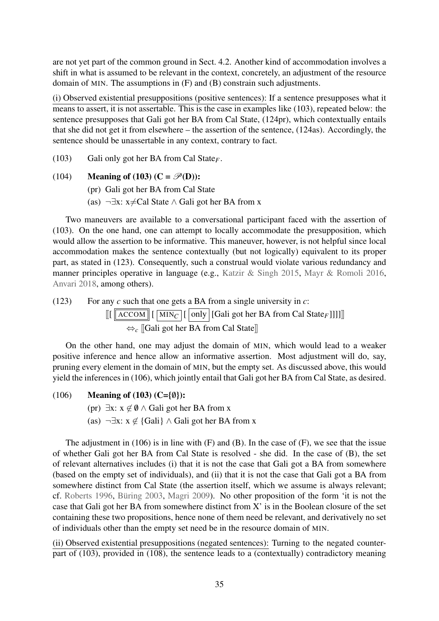are not yet part of the common ground in Sect. [4.2.](#page-24-0) Another kind of accommodation involves a shift in what is assumed to be relevant in the context, concretely, an adjustment of the resource domain of MIN. The assumptions in (F) and (B) constrain such adjustments.

(i) Observed existential presuppositions (positive sentences): If a sentence presupposes what it means to assert, it is not assertable. This is the case in examples like [\(103\),](#page-29-1) repeated below: the sentence presupposes that Gali got her BA from Cal State, (124pr), which contextually entails that she did not get it from elsewhere – the assertion of the sentence, (124as). Accordingly, the sentence should be unassertable in any context, contrary to fact.

[\(103\)](#page-29-1) Gali only got her BA from Cal State*F*.

- [\(104\)](#page-29-2) Meaning of [\(103\)](#page-29-1) ( $C = \mathcal{P}(D)$ ):
	- (pr) Gali got her BA from Cal State
	- (as)  $\neg \exists x: x \neq Cal$  State ∧ Gali got her BA from x

Two maneuvers are available to a conversational participant faced with the assertion of [\(103\).](#page-29-1) On the one hand, one can attempt to locally accommodate the presupposition, which would allow the assertion to be informative. This maneuver, however, is not helpful since local accommodation makes the sentence contextually (but not logically) equivalent to its proper part, as stated in (123). Consequently, such a construal would violate various redundancy and manner principles operative in language (e.g., [Katzir & Singh](#page-51-14) [2015,](#page-51-14) [Mayr & Romoli](#page-52-18) [2016,](#page-52-18) [Anvari](#page-47-4) [2018,](#page-47-4) among others).

(123) For any *c* such that one gets a BA from a single university in *c*:

 $\left[ \left[ \left[ \frac{\text{ACCOM}}{\text{MIN}_C} \right] \left[ \right]$  only  $\left[ \left[ \text{Gali got her BA from Cal State}_F \right] \right] \right] \right]$ ⇔*<sup>c</sup>* [[Gali got her BA from Cal State]]

On the other hand, one may adjust the domain of MIN, which would lead to a weaker positive inference and hence allow an informative assertion. Most adjustment will do, say, pruning every element in the domain of MIN, but the empty set. As discussed above, this would yield the inferences in [\(106\),](#page-30-3) which jointly entail that Gali got her BA from Cal State, as desired.

- [\(106\)](#page-30-3) Meaning of [\(103\)](#page-29-1) (C= $\{\emptyset\}$ ):
	- (pr) ∃x:  $x \notin \emptyset$  ∧ Gali got her BA from x
	- (as)  $\neg \exists x: x \notin \{Gali\} \wedge Gali$  got her BA from x

The adjustment in  $(106)$  is in line with  $(F)$  and  $(B)$ . In the case of  $(F)$ , we see that the issue of whether Gali got her BA from Cal State is resolved - she did. In the case of (B), the set of relevant alternatives includes (i) that it is not the case that Gali got a BA from somewhere (based on the empty set of individuals), and (ii) that it is not the case that Gali got a BA from somewhere distinct from Cal State (the assertion itself, which we assume is always relevant; cf. [Roberts](#page-52-19) [1996,](#page-52-19) [Büring](#page-48-13) [2003,](#page-48-13) [Magri](#page-51-15) [2009\)](#page-51-15). No other proposition of the form 'it is not the case that Gali got her BA from somewhere distinct from X' is in the Boolean closure of the set containing these two propositions, hence none of them need be relevant, and derivatively no set of individuals other than the empty set need be in the resource domain of MIN.

(ii) Observed existential presuppositions (negated sentences): Turning to the negated counterpart of [\(103\),](#page-29-1) provided in [\(108\),](#page-30-4) the sentence leads to a (contextually) contradictory meaning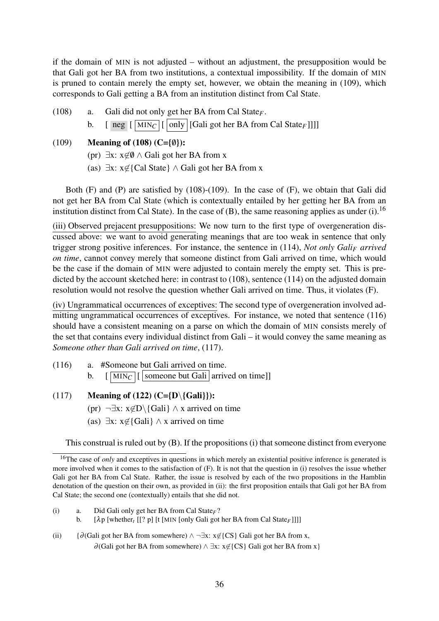if the domain of MIN is not adjusted – without an adjustment, the presupposition would be that Gali got her BA from two institutions, a contextual impossibility. If the domain of MIN is pruned to contain merely the empty set, however, we obtain the meaning in [\(109\),](#page-31-0) which corresponds to Gali getting a BA from an institution distinct from Cal State.

[\(108\)](#page-30-4) a. Gali did not only get her BA from Cal State*F*.

b.  $\left[\begin{array}{c|c}\n\text{neg} & \text{[MIN}_C \\
\hline\n\end{array}\right]$  [Gali got her BA from Cal State<sub>F</sub>]]]]

# [\(109\)](#page-31-0) Meaning of [\(108\)](#page-30-4) (C= $\{\emptyset\}$ ):

- (pr) ∃x:  $x \notin \emptyset$  ∧ Gali got her BA from x
- (as)  $\exists x: x \notin \{Cal State\} \wedge Gali$  got her BA from x

Both (F) and (P) are satisfied by [\(108\)](#page-30-4)[-\(109\).](#page-31-0) In the case of (F), we obtain that Gali did not get her BA from Cal State (which is contextually entailed by her getting her BA from an institution distinct from Cal State). In the case of  $(B)$ , the same reasoning applies as under (i).<sup>[16](#page-35-0)</sup>

(iii) Observed prejacent presuppositions: We now turn to the first type of overgeneration discussed above: we want to avoid generating meanings that are too weak in sentence that only trigger strong positive inferences. For instance, the sentence in [\(114\),](#page-31-1) *Not only Gali<sup>F</sup> arrived on time*, cannot convey merely that someone distinct from Gali arrived on time, which would be the case if the domain of MIN were adjusted to contain merely the empty set. This is predicted by the account sketched here: in contrast to [\(108\),](#page-30-4) sentence [\(114\)](#page-31-1) on the adjusted domain resolution would not resolve the question whether Gali arrived on time. Thus, it violates (F).

(iv) Ungrammatical occurrences of exceptives: The second type of overgeneration involved ad-mitting ungrammatical occurrences of exceptives. For instance, we noted that sentence [\(116\)](#page-32-3) should have a consistent meaning on a parse on which the domain of MIN consists merely of the set that contains every individual distinct from Gali – it would convey the same meaning as *Someone other than Gali arrived on time*, [\(117\).](#page-32-4)

- [\(116\)](#page-32-3) a. #Someone but Gali arrived on time. b.  $\left[\overline{\text{MIN}_C}\right]$  someone but Gali arrived on time]]
- [\(117\)](#page-32-4) Meaning of (122) (C={D\{Gali}}): (pr)  $\neg \exists x: x \notin D \setminus \{Gali\} \land x$  arrived on time
	- (as)  $\exists x: x \notin \{Gali\} \land x$  arrived on time

This construal is ruled out by (B). If the propositions (i) that someone distinct from everyone

- (i) a. Did Gali only get her BA from Cal State*F*?
	- b. [λp [whether*<sup>t</sup>* [[? p] [t [MIN [only Gali got her BA from Cal State*F*]]]]
- (ii) {∂ (Gali got her BA from somewhere)  $\land \neg \exists x: x \notin \{CS\}$  Gali got her BA from x,  $\partial$ (Gali got her BA from somewhere)  $\wedge \exists x: x \notin \{CS\}$  Gali got her BA from x l

<span id="page-35-0"></span><sup>&</sup>lt;sup>16</sup>The case of *only* and exceptives in questions in which merely an existential positive inference is generated is more involved when it comes to the satisfaction of (F). It is not that the question in (i) resolves the issue whether Gali got her BA from Cal State. Rather, the issue is resolved by each of the two propositions in the Hamblin denotation of the question on their own, as provided in (ii): the first proposition entails that Gali got her BA from Cal State; the second one (contextually) entails that she did not.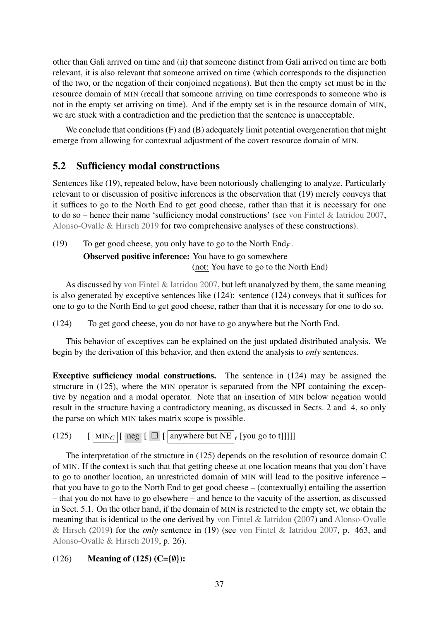other than Gali arrived on time and (ii) that someone distinct from Gali arrived on time are both relevant, it is also relevant that someone arrived on time (which corresponds to the disjunction of the two, or the negation of their conjoined negations). But then the empty set must be in the resource domain of MIN (recall that someone arriving on time corresponds to someone who is not in the empty set arriving on time). And if the empty set is in the resource domain of MIN, we are stuck with a contradiction and the prediction that the sentence is unacceptable.

We conclude that conditions (F) and (B) adequately limit potential overgeneration that might emerge from allowing for contextual adjustment of the covert resource domain of MIN.

# <span id="page-36-0"></span>5.2 Sufficiency modal constructions

Sentences like [\(19\),](#page-6-1) repeated below, have been notoriously challenging to analyze. Particularly relevant to or discussion of positive inferences is the observation that [\(19\)](#page-6-1) merely conveys that it suffices to go to the North End to get good cheese, rather than that it is necessary for one to do so – hence their name 'sufficiency modal constructions' (see [von Fintel & Iatridou](#page-49-0) [2007,](#page-49-0) [Alonso-Ovalle & Hirsch](#page-47-1) [2019](#page-47-1) for two comprehensive analyses of these constructions).

[\(19\)](#page-6-1) To get good cheese, you only have to go to the North End*F*.

Observed positive inference: You have to go somewhere (not: You have to go to the North End)

As discussed by [von Fintel & Iatridou](#page-49-0) [2007,](#page-49-0) but left unanalyzed by them, the same meaning is also generated by exceptive sentences like (124): sentence (124) conveys that it suffices for one to go to the North End to get good cheese, rather than that it is necessary for one to do so.

<span id="page-36-1"></span>(124) To get good cheese, you do not have to go anywhere but the North End.

This behavior of exceptives can be explained on the just updated distributed analysis. We begin by the derivation of this behavior, and then extend the analysis to *only* sentences.

Exceptive sufficiency modal constructions. The sentence in (124) may be assigned the structure in (125), where the MIN operator is separated from the NPI containing the exceptive by negation and a modal operator. Note that an insertion of MIN below negation would result in the structure having a contradictory meaning, as discussed in Sects. [2](#page-8-0) and [4,](#page-19-0) so only the parse on which MIN takes matrix scope is possible.

<span id="page-36-2"></span>(125)  $\left[\begin{array}{c|c} \overline{\text{MIN}_C} & \text{reg} & \overline{\text{I}} & \text{anywhere but NE}_t \end{array}\right]$  [you go to t]]]]

The interpretation of the structure in (125) depends on the resolution of resource domain C of MIN. If the context is such that that getting cheese at one location means that you don't have to go to another location, an unrestricted domain of MIN will lead to the positive inference – that you have to go to the North End to get good cheese – (contextually) entailing the assertion – that you do not have to go elsewhere – and hence to the vacuity of the assertion, as discussed in Sect. [5.1.](#page-29-0) On the other hand, if the domain of MIN is restricted to the empty set, we obtain the meaning that is identical to the one derived by [von Fintel & Iatridou](#page-49-0) [\(2007\)](#page-49-0) and [Alonso-Ovalle](#page-47-1) [& Hirsch](#page-47-1) [\(2019\)](#page-47-1) for the *only* sentence in [\(19\)](#page-6-1) (see [von Fintel & Iatridou](#page-49-0) [2007,](#page-49-0) p. 463, and [Alonso-Ovalle & Hirsch](#page-47-1) [2019,](#page-47-1) p. 26).

#### (126) Meaning of (125) (C= $\{\emptyset\}$ ):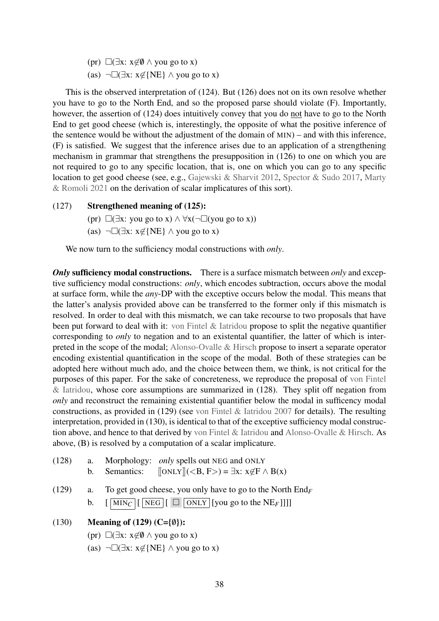(pr)  $\Box(\exists x: x \notin \emptyset \land you go to x)$ (as)  $\neg\Box(\exists x: x \notin \{NE\} \land you go to x)$ 

This is the observed interpretation of [\(124\).](#page-36-1) But (126) does not on its own resolve whether you have to go to the North End, and so the proposed parse should violate (F). Importantly, however, the assertion of [\(124\)](#page-36-1) does intuitively convey that you do not have to go to the North End to get good cheese (which is, interestingly, the opposite of what the positive inference of the sentence would be without the adjustment of the domain of MIN) – and with this inference, (F) is satisfied. We suggest that the inference arises due to an application of a strengthening mechanism in grammar that strengthens the presupposition in (126) to one on which you are not required to go to any specific location, that is, one on which you can go to any specific location to get good cheese (see, e.g., [Gajewski & Sharvit](#page-50-15) [2012,](#page-50-15) [Spector & Sudo](#page-52-20) [2017,](#page-52-20) [Marty](#page-51-16) [& Romoli](#page-51-16) [2021](#page-51-16) on the derivation of scalar implicatures of this sort).

## (127) Strengthened meaning of [\(125\):](#page-36-2)

- (pr)  $\Box(\exists x: you go to x) \land \forall x(\neg \Box(you go to x))$
- (as)  $\neg\Box(\exists x: x \notin \{NE\} \land you go to x)$

We now turn to the sufficiency modal constructions with *only*.

*Only* **sufficiency modal constructions.** There is a surface mismatch between *only* and exceptive sufficiency modal constructions: *only*, which encodes subtraction, occurs above the modal at surface form, while the *any*-DP with the exceptive occurs below the modal. This means that the latter's analysis provided above can be transferred to the former only if this mismatch is resolved. In order to deal with this mismatch, we can take recourse to two proposals that have been put forward to deal with it: [von Fintel & Iatridou](#page-49-0) propose to split the negative quantifier corresponding to *only* to negation and to an existental quantifier, the latter of which is interpreted in the scope of the modal; [Alonso-Ovalle & Hirsch](#page-47-1) propose to insert a separate operator encoding existential quantification in the scope of the modal. Both of these strategies can be adopted here without much ado, and the choice between them, we think, is not critical for the purposes of this paper. For the sake of concreteness, we reproduce the proposal of [von Fintel](#page-49-0)  $&$  Iatridou, whose core assumptions are summarized in (128). They split off negation from *only* and reconstruct the remaining existential quantifier below the modal in sufficency modal constructions, as provided in (129) (see [von Fintel & Iatridou](#page-49-0) [2007](#page-49-0) for details). The resulting interpretation, provided in [\(130\),](#page-37-0) is identical to that of the exceptive sufficiency modal construction above, and hence to that derived by [von Fintel & Iatridou](#page-49-0) and [Alonso-Ovalle & Hirsch.](#page-47-1) As above, (B) is resolved by a computation of a scalar implicature.

- (128) a. Morphology: *only* spells out NEG and ONLY b. Semantics:  $[ONLY] (**B**, **F**) =  $\exists$ x:  $x \notin$ F  $\land$  B(x)$
- (129) a. To get good cheese, you only have to go to the North End*<sup>F</sup>* b.  $\left[\overline{\text{MIN}_C}\right]\left[\overline{\text{NEG}}\right]\left[\overline{\text{ONLY}}\right]\left[\text{you go to the NE}_F\right]\right]\right]$
- <span id="page-37-0"></span>(130) Meaning of (129) (C= $\{\emptyset\}$ ):
	- (pr)  $\Box(\exists x: x \notin \emptyset \land you go to x)$
	- (as)  $\neg\Box(\exists x: x \notin \{NE\} \land you go to x)$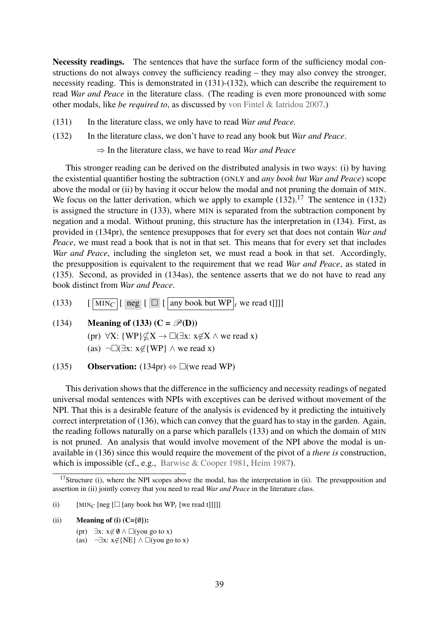Necessity readings. The sentences that have the surface form of the sufficiency modal constructions do not always convey the sufficiency reading – they may also convey the stronger, necessity reading. This is demonstrated in  $(131)-(132)$ , which can describe the requirement to read *War and Peace* in the literature class. (The reading is even more pronounced with some other modals, like *be required to*, as discussed by [von Fintel & Iatridou](#page-49-0) [2007.](#page-49-0))

- (131) In the literature class, we only have to read *War and Peace.*
- (132) In the literature class, we don't have to read any book but *War and Peace*.

⇒ In the literature class, we have to read *War and Peace*

This stronger reading can be derived on the distributed analysis in two ways: (i) by having the existential quantifier hosting the subtraction (ONLY and *any book but War and Peace*) scope above the modal or (ii) by having it occur below the modal and not pruning the domain of MIN. We focus on the latter derivation, which we apply to example  $(132)$ .<sup>[17](#page-38-0)</sup> The sentence in  $(132)$ is assigned the structure in (133), where MIN is separated from the subtraction component by negation and a modal. Without pruning, this structure has the interpretation in (134). First, as provided in (134pr), the sentence presupposes that for every set that does not contain *War and Peace*, we must read a book that is not in that set. This means that for every set that includes *War and Peace*, including the singleton set, we must read a book in that set. Accordingly, the presupposition is equivalent to the requirement that we read *War and Peace*, as stated in [\(135\).](#page-38-1) Second, as provided in (134as), the sentence asserts that we do not have to read any book distinct from *War and Peace*.

- <span id="page-38-2"></span>(133)  $\left[\begin{array}{c|c} \overline{\text{MIN}_C} & \text{neg} & \text{[} & \overline{\text{any book but WP}}_t \\ \end{array}\right]$  we read t
- (134) Meaning of (133)  $(C = \mathcal{P}(D))$ (pr)  $\forall X: \{WP\} \not\subset X \rightarrow \Box(\exists x: x \not\in X \land we read x)$ 
	- (as)  $\neg\Box(\exists x: x \notin \{WP\} \land we read x)$
- <span id="page-38-1"></span>(135) Observation:  $(134pr) \Leftrightarrow \Box$ (we read WP)

This derivation shows that the difference in the sufficiency and necessity readings of negated universal modal sentences with NPIs with exceptives can be derived without movement of the NPI. That this is a desirable feature of the analysis is evidenced by it predicting the intuitively correct interpretation of (136), which can convey that the guard has to stay in the garden. Again, the reading follows naturally on a parse which parallels [\(133\)](#page-38-2) and on which the domain of MIN is not pruned. An analysis that would involve movement of the NPI above the modal is unavailable in (136) since this would require the movement of the pivot of a *there is* construction, which is impossible (cf., e.g., [Barwise & Cooper](#page-48-14) [1981,](#page-48-14) [Heim](#page-50-16) [1987\)](#page-50-16).

- (i)  $\qquad \text{[MIN}_C \text{[neg]} \Box \text{[any book but WP}_t \text{[we read t]]]]}$
- (ii) Meaning of (i)  $(C=\{\emptyset\})$ :
	- (pr)  $\exists x: x \notin \emptyset \land \Box$ (you go to x)
	- (as)  $\neg \exists x: x \notin \{NE\} \land \Box$ (you go to x)

<span id="page-38-0"></span><sup>&</sup>lt;sup>17</sup>Structure (i), where the NPI scopes above the modal, has the interpretation in (ii). The presupposition and assertion in (ii) jointly convey that you need to read *War and Peace* in the literature class.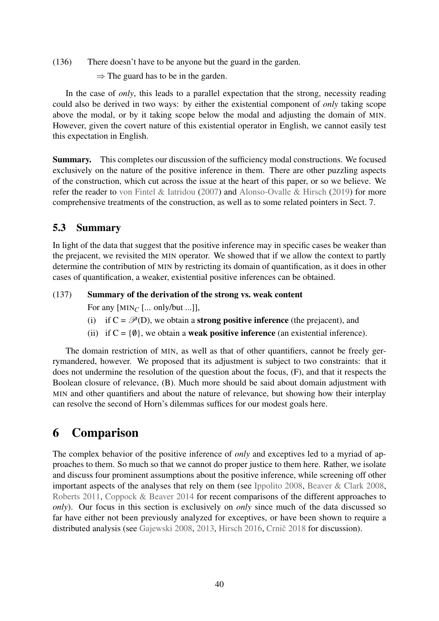(136) There doesn't have to be anyone but the guard in the garden.

 $\Rightarrow$  The guard has to be in the garden.

In the case of *only*, this leads to a parallel expectation that the strong, necessity reading could also be derived in two ways: by either the existential component of *only* taking scope above the modal, or by it taking scope below the modal and adjusting the domain of MIN. However, given the covert nature of this existential operator in English, we cannot easily test this expectation in English.

Summary. This completes our discussion of the sufficiency modal constructions. We focused exclusively on the nature of the positive inference in them. There are other puzzling aspects of the construction, which cut across the issue at the heart of this paper, or so we believe. We refer the reader to [von Fintel & Iatridou](#page-49-0) [\(2007\)](#page-49-0) and [Alonso-Ovalle & Hirsch](#page-47-1) [\(2019\)](#page-47-1) for more comprehensive treatments of the construction, as well as to some related pointers in Sect. [7.](#page-45-0)

# 5.3 Summary

In light of the data that suggest that the positive inference may in specific cases be weaker than the prejacent, we revisited the MIN operator. We showed that if we allow the context to partly determine the contribution of MIN by restricting its domain of quantification, as it does in other cases of quantification, a weaker, existential positive inferences can be obtained.

#### (137) Summary of the derivation of the strong vs. weak content

- For any [MIN*<sup>C</sup>* [... only/but ...]],
- (i) if  $C = \mathcal{P}(D)$ , we obtain a **strong positive inference** (the prejacent), and
- (ii) if  $C = \{0\}$ , we obtain a **weak positive inference** (an existential inference).

The domain restriction of MIN, as well as that of other quantifiers, cannot be freely gerrymandered, however. We proposed that its adjustment is subject to two constraints: that it does not undermine the resolution of the question about the focus, (F), and that it respects the Boolean closure of relevance, (B). Much more should be said about domain adjustment with MIN and other quantifiers and about the nature of relevance, but showing how their interplay can resolve the second of Horn's dilemmas suffices for our modest goals here.

# <span id="page-39-0"></span>6 Comparison

The complex behavior of the positive inference of *only* and exceptives led to a myriad of approaches to them. So much so that we cannot do proper justice to them here. Rather, we isolate and discuss four prominent assumptions about the positive inference, while screening off other important aspects of the analyses that rely on them (see [Ippolito](#page-51-5) [2008,](#page-51-5) [Beaver & Clark](#page-48-0) [2008,](#page-48-0) [Roberts](#page-52-6) [2011,](#page-52-6) [Coppock & Beaver](#page-48-1) [2014](#page-48-1) for recent comparisons of the different approaches to *only*). Our focus in this section is exclusively on *only* since much of the data discussed so far have either not been previously analyzed for exceptives, or have been shown to require a distributed analysis (see [Gajewski](#page-50-1) [2008,](#page-50-1) [2013,](#page-50-7) [Hirsch](#page-50-8) [2016,](#page-50-8) Crnič [2018](#page-49-5) for discussion).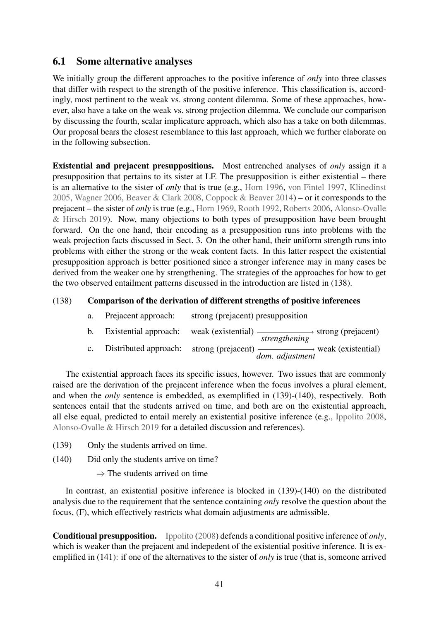# 6.1 Some alternative analyses

We initially group the different approaches to the positive inference of *only* into three classes that differ with respect to the strength of the positive inference. This classification is, accordingly, most pertinent to the weak vs. strong content dilemma. Some of these approaches, however, also have a take on the weak vs. strong projection dilemma. We conclude our comparison by discussing the fourth, scalar implicature approach, which also has a take on both dilemmas. Our proposal bears the closest resemblance to this last approach, which we further elaborate on in the following subsection.

Existential and prejacent presuppositions. Most entrenched analyses of *only* assign it a presupposition that pertains to its sister at LF. The presupposition is either existential – there is an alternative to the sister of *only* that is true (e.g., [Horn](#page-51-1) [1996,](#page-51-1) [von Fintel](#page-49-1) [1997,](#page-49-1) [Klinedinst](#page-51-4) [2005,](#page-51-4) [Wagner](#page-53-0) [2006,](#page-53-0) [Beaver & Clark](#page-48-0) [2008,](#page-48-0) [Coppock & Beaver](#page-48-1) [2014\)](#page-48-1) – or it corresponds to the prejacent – the sister of *only* is true (e.g., [Horn](#page-50-0) [1969,](#page-50-0) [Rooth](#page-52-4) [1992,](#page-52-4) [Roberts](#page-52-5) [2006,](#page-52-5) [Alonso-Ovalle](#page-47-1) [& Hirsch](#page-47-1) [2019\)](#page-47-1). Now, many objections to both types of presupposition have been brought forward. On the one hand, their encoding as a presupposition runs into problems with the weak projection facts discussed in Sect. [3.](#page-16-0) On the other hand, their uniform strength runs into problems with either the strong or the weak content facts. In this latter respect the existential presupposition approach is better positioned since a stronger inference may in many cases be derived from the weaker one by strengthening. The strategies of the approaches for how to get the two observed entailment patterns discussed in the introduction are listed in (138).

# (138) Comparison of the derivation of different strengths of positive inferences

| a.             | Prejacent approach:   | strong (prejacent) presupposition                                                               |
|----------------|-----------------------|-------------------------------------------------------------------------------------------------|
|                |                       | b. Existential approach: weak (existential) $\frac{1}{\text{strengthening}}$ strong (prejacent) |
| $\mathbf{c}$ . | Distributed approach: | strong (prejacent) $\frac{1}{\text{dom. adjustment}}$ weak (existential)                        |

The existential approach faces its specific issues, however. Two issues that are commonly raised are the derivation of the prejacent inference when the focus involves a plural element, and when the *only* sentence is embedded, as exemplified in (139)-(140), respectively. Both sentences entail that the students arrived on time, and both are on the existential approach, all else equal, predicted to entail merely an existential positive inference (e.g., [Ippolito](#page-51-5) [2008,](#page-51-5) [Alonso-Ovalle & Hirsch](#page-47-1) [2019](#page-47-1) for a detailed discussion and references).

- (139) Only the students arrived on time.
- (140) Did only the students arrive on time?
	- $\Rightarrow$  The students arrived on time

In contrast, an existential positive inference is blocked in (139)-(140) on the distributed analysis due to the requirement that the sentence containing *only* resolve the question about the focus, (F), which effectively restricts what domain adjustments are admissible.

Conditional presupposition. [Ippolito](#page-51-5) [\(2008\)](#page-51-5) defends a conditional positive inference of *only*, which is weaker than the prejacent and indepedent of the existential positive inference. It is exemplified in (141): if one of the alternatives to the sister of *only* is true (that is, someone arrived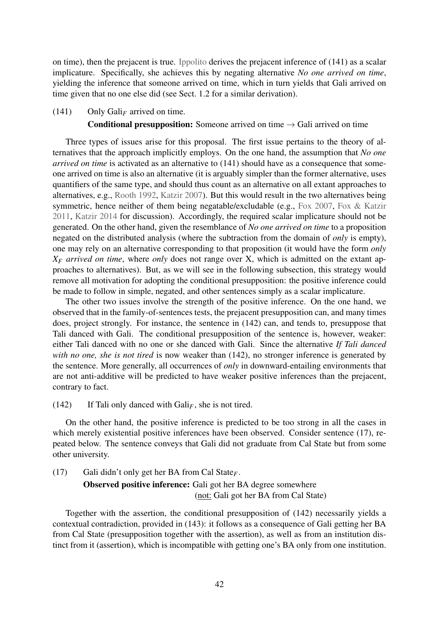on time), then the prejacent is true. [Ippolito](#page-51-5) derives the prejacent inference of (141) as a scalar implicature. Specifically, she achieves this by negating alternative *No one arrived on time*, yielding the inference that someone arrived on time, which in turn yields that Gali arrived on time given that no one else did (see Sect. [1.2](#page-4-0) for a similar derivation).

#### (141) Only Gali*<sup>F</sup>* arrived on time.

#### **Conditional presupposition:** Someone arrived on time  $\rightarrow$  Gali arrived on time

Three types of issues arise for this proposal. The first issue pertains to the theory of alternatives that the approach implicitly employs. On the one hand, the assumption that *No one arrived on time* is activated as an alternative to (141) should have as a consequence that someone arrived on time is also an alternative (it is arguably simpler than the former alternative, uses quantifiers of the same type, and should thus count as an alternative on all extant approaches to alternatives, e.g., [Rooth](#page-52-4) [1992,](#page-52-4) [Katzir](#page-51-17) [2007\)](#page-51-17). But this would result in the two alternatives being symmetric, hence neither of them being negatable/excludable (e.g., [Fox](#page-49-12) [2007,](#page-49-12) [Fox & Katzir](#page-49-13) [2011,](#page-49-13) [Katzir](#page-51-18) [2014](#page-51-18) for discussion). Accordingly, the required scalar implicature should not be generated. On the other hand, given the resemblance of *No one arrived on time* to a proposition negated on the distributed analysis (where the subtraction from the domain of *only* is empty), one may rely on an alternative corresponding to that proposition (it would have the form *only X<sup>F</sup> arrived on time*, where *only* does not range over X, which is admitted on the extant approaches to alternatives). But, as we will see in the following subsection, this strategy would remove all motivation for adopting the conditional presupposition: the positive inference could be made to follow in simple, negated, and other sentences simply as a scalar implicature.

The other two issues involve the strength of the positive inference. On the one hand, we observed that in the family-of-sentences tests, the prejacent presupposition can, and many times does, project strongly. For instance, the sentence in (142) can, and tends to, presuppose that Tali danced with Gali. The conditional presupposition of the sentence is, however, weaker: either Tali danced with no one or she danced with Gali. Since the alternative *If Tali danced with no one, she is not tired* is now weaker than (142), no stronger inference is generated by the sentence. More generally, all occurrences of *only* in downward-entailing environments that are not anti-additive will be predicted to have weaker positive inferences than the prejacent, contrary to fact.

(142) If Tali only danced with  $Gali<sub>F</sub>$ , she is not tired.

On the other hand, the positive inference is predicted to be too strong in all the cases in which merely existential positive inferences have been observed. Consider sentence [\(17\),](#page-5-2) repeated below. The sentence conveys that Gali did not graduate from Cal State but from some other university.

[\(17\)](#page-5-2) Gali didn't only get her BA from Cal State*F*.

Observed positive inference: Gali got her BA degree somewhere (not: Gali got her BA from Cal State)

Together with the assertion, the conditional presupposition of (142) necessarily yields a contextual contradiction, provided in (143): it follows as a consequence of Gali getting her BA from Cal State (presupposition together with the assertion), as well as from an institution distinct from it (assertion), which is incompatible with getting one's BA only from one institution.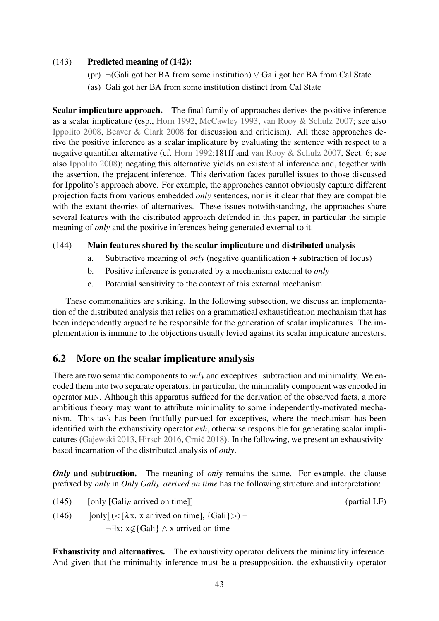#### (143) Predicted meaning of (142):

- (pr) ¬(Gali got her BA from some institution) ∨ Gali got her BA from Cal State
- (as) Gali got her BA from some institution distinct from Cal State

Scalar implicature approach. The final family of approaches derives the positive inference as a scalar implicature (esp., [Horn](#page-51-19) [1992,](#page-51-19) [McCawley](#page-52-0) [1993,](#page-52-0) [van Rooy & Schulz](#page-52-7) [2007;](#page-52-7) see also [Ippolito](#page-51-5) [2008,](#page-51-5) [Beaver & Clark](#page-48-0) [2008](#page-48-0) for discussion and criticism). All these approaches derive the positive inference as a scalar implicature by evaluating the sentence with respect to a negative quantifier alternative (cf. [Horn](#page-51-19) [1992:](#page-51-19)181ff and [van Rooy & Schulz](#page-52-7) [2007,](#page-52-7) Sect. 6; see also [Ippolito](#page-51-5) [2008\)](#page-51-5); negating this alternative yields an existential inference and, together with the assertion, the prejacent inference. This derivation faces parallel issues to those discussed for Ippolito's approach above. For example, the approaches cannot obviously capture different projection facts from various embedded *only* sentences, nor is it clear that they are compatible with the extant theories of alternatives. These issues notwithstanding, the approaches share several features with the distributed approach defended in this paper, in particular the simple meaning of *only* and the positive inferences being generated external to it.

#### (144) Main features shared by the scalar implicature and distributed analysis

- a. Subtractive meaning of *only* (negative quantification + subtraction of focus)
- b. Positive inference is generated by a mechanism external to *only*
- c. Potential sensitivity to the context of this external mechanism

These commonalities are striking. In the following subsection, we discuss an implementation of the distributed analysis that relies on a grammatical exhaustification mechanism that has been independently argued to be responsible for the generation of scalar implicatures. The implementation is immune to the objections usually levied against its scalar implicature ancestors.

# <span id="page-42-0"></span>6.2 More on the scalar implicature analysis

There are two semantic components to *only* and exceptives: subtraction and minimality. We encoded them into two separate operators, in particular, the minimality component was encoded in operator MIN. Although this apparatus sufficed for the derivation of the observed facts, a more ambitious theory may want to attribute minimality to some independently-motivated mechanism. This task has been fruitfully pursued for exceptives, where the mechanism has been identified with the exhaustivity operator *exh*, otherwise responsible for generating scalar impli-catures [\(Gajewski](#page-50-7) [2013,](#page-50-7) [Hirsch](#page-50-8) [2016,](#page-50-8) Crnič [2018\)](#page-49-5). In the following, we present an exhaustivitybased incarnation of the distributed analysis of *only*.

*Only* and subtraction. The meaning of *only* remains the same. For example, the clause prefixed by *only* in *Only Gali<sup>F</sup> arrived on time* has the following structure and interpretation:

 $(145)$  [only  $[Gali<sub>F</sub>$  arrived on time]] (partial LF)

(146)  $\lceil \text{only} \rceil \leq \lceil \lambda x \rceil$  x arrived on time],  $\lceil \text{Gali} \rceil$   $> \rceil$  = ¬∃x: x6∈{Gali} ∧ x arrived on time

Exhaustivity and alternatives. The exhaustivity operator delivers the minimality inference. And given that the minimality inference must be a presupposition, the exhaustivity operator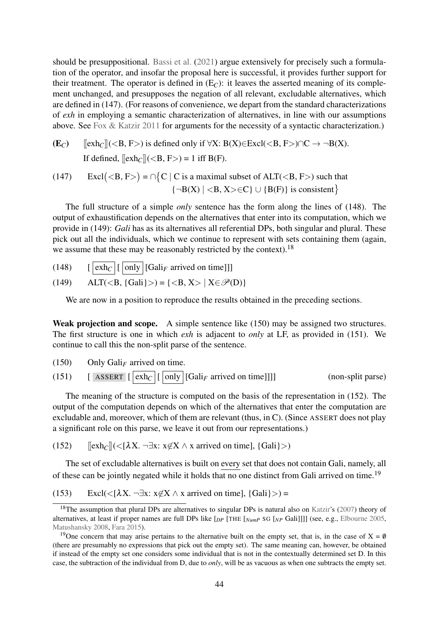should be presuppositional. [Bassi et al.](#page-48-15) [\(2021\)](#page-48-15) argue extensively for precisely such a formulation of the operator, and insofar the proposal here is successful, it provides further support for their treatment. The operator is defined in  $(E_C)$ : it leaves the asserted meaning of its complement unchanged, and presupposes the negation of all relevant, excludable alternatives, which are defined in (147). (For reasons of convenience, we depart from the standard characterizations of *exh* in employing a semantic characterization of alternatives, in line with our assumptions above. See [Fox & Katzir](#page-49-13) [2011](#page-49-13) for arguments for the necessity of a syntactic characterization.)

 $(E_C)$  [[exh<sub>*C*</sub>]](<B, F>) is defined only if  $\forall X: B(X) \in Excl(\langle B, F \rangle) \cap C \rightarrow \neg B(X).$ If defined,  $[\infty h_C]$   $(**B**, **F**) = 1$  iff  $B(F)$ .

(147) Excl(<B, F>) =  $\cap$ {C | C is a maximal subset of ALT(<B, F>) such that  ${\neg B(X) \mid B, X > \in C} \cup {B(F)}$  is consistent

The full structure of a simple *only* sentence has the form along the lines of (148). The output of exhaustification depends on the alternatives that enter into its computation, which we provide in (149): *Gali* has as its alternatives all referential DPs, both singular and plural. These pick out all the individuals, which we continue to represent with sets containing them (again, we assume that these may be reasonably restricted by the context).[18](#page-43-0)

 $(148)$  [  $\boxed{\text{exh}_C}$   $\boxed{\text{only}}$   $\boxed{\text{Gali}_F$  arrived on time]]]

(149) 
$$
ALT() = { | X \in \mathcal{P}(D) }
$$

We are now in a position to reproduce the results obtained in the preceding sections.

Weak projection and scope. A simple sentence like (150) may be assigned two structures. The first structure is one in which *exh* is adjacent to *only* at LF, as provided in (151). We continue to call this the non-split parse of the sentence.

- <span id="page-43-3"></span><span id="page-43-2"></span>(150) Only Gali*<sup>F</sup>* arrived on time.
- (151)  $[askc] [exh] [only] [Gali<sub>F</sub> arrived on time]]]$  (non-split parse)

The meaning of the structure is computed on the basis of the representation in (152). The output of the computation depends on which of the alternatives that enter the computation are excludable and, moreover, which of them are relevant (thus, in C). (Since ASSERT does not play a significant role on this parse, we leave it out from our representations.)

(152)  $[\exp(-\lambda X, -\exists x: x \notin X \land x \text{ arrived on time}], \{Gali\}>)$ 

The set of excludable alternatives is built on every set that does not contain Gali, namely, all of these can be jointly negated while it holds that no one distinct from Gali arrived on time.<sup>[19](#page-43-1)</sup>

(153) Excl(<[ $\lambda$ X. ¬ $\exists$ x:  $x \notin X \wedge x$  arrived on time], {Gali} >) =

<span id="page-43-0"></span><sup>&</sup>lt;sup>18</sup>The assumption that plural DPs are alternatives to singular DPs is natural also on [Katzir'](#page-51-17)s [\(2007\)](#page-51-17) theory of alternatives, at least if proper names are full DPs like [*DP* [THE [*NumP* SG [*NP* Gali]]]] (see, e.g., [Elbourne](#page-49-15) [2005,](#page-49-15) [Matushansky](#page-52-21) [2008,](#page-52-21) [Fara](#page-49-16) [2015\)](#page-49-16).

<span id="page-43-1"></span><sup>&</sup>lt;sup>19</sup>One concern that may arise pertains to the alternative built on the empty set, that is, in the case of  $X = \emptyset$ (there are presumably no expressions that pick out the empty set). The same meaning can, however, be obtained if instead of the empty set one considers some individual that is not in the contextually determined set D. In this case, the subtraction of the individual from D, due to *only*, will be as vacuous as when one subtracts the empty set.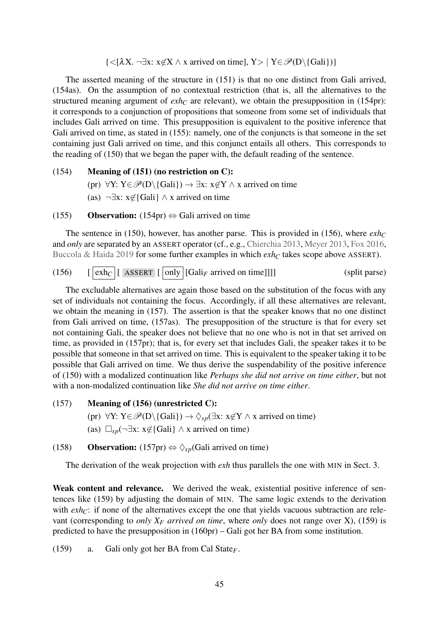$\{<[\lambda X, \neg \exists x: x\not\in X \land x \text{ arrived on time}], Y>\; | Y \in \mathcal{P}(D \setminus \{Gali\})\}\$ 

The asserted meaning of the structure in [\(151\)](#page-43-2) is that no one distinct from Gali arrived, (154as). On the assumption of no contextual restriction (that is, all the alternatives to the structured meaning argument of  $exh<sub>C</sub>$  are relevant), we obtain the presupposition in (154pr): it corresponds to a conjunction of propositions that someone from some set of individuals that includes Gali arrived on time. This presupposition is equivalent to the positive inference that Gali arrived on time, as stated in (155): namely, one of the conjuncts is that someone in the set containing just Gali arrived on time, and this conjunct entails all others. This corresponds to the reading of [\(150\)](#page-43-3) that we began the paper with, the default reading of the sentence.

(154) Meaning of [\(151\)](#page-43-2) (no restriction on C): (pr)  $\forall Y: Y \in \mathscr{P}(D \setminus \{Gali\}) \rightarrow \exists x: x \notin Y \land x$  arrived on time (as)  $\neg \exists x: x \notin$ {Gali}  $\land x$  arrived on time

#### (155) **Observation:** (154pr)  $\Leftrightarrow$  Gali arrived on time

The sentence in [\(150\),](#page-43-3) however, has another parse. This is provided in (156), where  $exh<sub>C</sub>$ and *only* are separated by an ASSERT operator (cf., e.g., [Chierchia](#page-48-3) [2013,](#page-48-3) [Meyer](#page-52-10) [2013,](#page-52-10) [Fox](#page-49-8) [2016,](#page-49-8) [Buccola & Haida](#page-48-6) [2019](#page-48-6) for some further examples in which *exh<sup>C</sup>* takes scope above ASSERT).

(156) [ exh*<sup>C</sup>* [ ASSERT [ only [Gali*<sup>F</sup>* arrived on time]]]] (split parse)

The excludable alternatives are again those based on the substitution of the focus with any set of individuals not containing the focus. Accordingly, if all these alternatives are relevant, we obtain the meaning in (157). The assertion is that the speaker knows that no one distinct from Gali arrived on time, (157as). The presupposition of the structure is that for every set not containing Gali, the speaker does not believe that no one who is not in that set arrived on time, as provided in (157pr); that is, for every set that includes Gali, the speaker takes it to be possible that someone in that set arrived on time. This is equivalent to the speaker taking it to be possible that Gali arrived on time. We thus derive the suspendability of the positive inference of [\(150\)](#page-43-3) with a modalized continuation like *Perhaps she did not arrive on time either*, but not with a non-modalized continuation like *She did not arrive on time either*.

#### (157) Meaning of (156) (unrestricted C):

- (pr)  $\forall Y: Y \in \mathcal{P}(D \setminus \{Gali\}) \rightarrow \Diamond_{sp}(\exists x: x \notin Y \land x \text{ arrived on time})$
- (as)  $\Box_{sp}(\neg \exists x: x \notin \{\text{Gali}\}\land x \text{ arrived on time})$

(158) **Observation:** (157pr)  $\Leftrightarrow \Diamond_{sp}$  (Gali arrived on time)

The derivation of the weak projection with *exh* thus parallels the one with MIN in Sect. [3.](#page-16-0)

Weak content and relevance. We derived the weak, existential positive inference of sentences like (159) by adjusting the domain of MIN. The same logic extends to the derivation with  $exh<sub>C</sub>$ : if none of the alternatives except the one that yields vacuous subtraction are relevant (corresponding to *only*  $X_F$  *arrived on time*, where *only* does not range over X), (159) is predicted to have the presupposition in (160pr) – Gali got her BA from some institution.

(159) a. Gali only got her BA from Cal State*F*.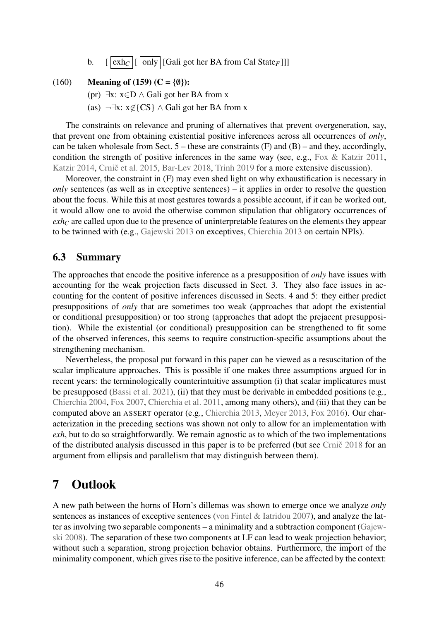b.  $\left[ |\exp| [(\text{only} | [\text{Gali got her BA from Cal State_F}]]] \right]$ 

#### (160) Meaning of (159) (C = { $\emptyset$ }):

(pr)  $\exists x: x \in D \land$  Gali got her BA from x

(as)  $\neg \exists x: x \notin \{CS\} \land$  Gali got her BA from x

The constraints on relevance and pruning of alternatives that prevent overgeneration, say, that prevent one from obtaining existential positive inferences across all occurrences of *only*, can be taken wholesale from Sect.  $5$  – these are constraints  $(F)$  and  $(B)$  – and they, accordingly, condition the strength of positive inferences in the same way (see, e.g., [Fox & Katzir](#page-49-13) [2011,](#page-49-13) [Katzir](#page-51-18) [2014,](#page-51-18) Crnič et al. [2015,](#page-49-17) [Bar-Lev](#page-48-11) [2018,](#page-48-11) [Trinh](#page-53-8) [2019](#page-53-8) for a more extensive discussion).

Moreover, the constraint in (F) may even shed light on why exhaustification is necessary in *only* sentences (as well as in exceptive sentences) – it applies in order to resolve the question about the focus. While this at most gestures towards a possible account, if it can be worked out, it would allow one to avoid the otherwise common stipulation that obligatory occurrences of *exh<sub>C</sub>* are called upon due to the presence of uninterpretable features on the elements they appear to be twinned with (e.g., [Gajewski](#page-50-7) [2013](#page-50-7) on exceptives, [Chierchia](#page-48-3) [2013](#page-48-3) on certain NPIs).

## 6.3 Summary

The approaches that encode the positive inference as a presupposition of *only* have issues with accounting for the weak projection facts discussed in Sect. [3.](#page-16-0) They also face issues in accounting for the content of positive inferences discussed in Sects. [4](#page-19-0) and [5:](#page-28-0) they either predict presuppositions of *only* that are sometimes too weak (approaches that adopt the existential or conditional presupposition) or too strong (approaches that adopt the prejacent presupposition). While the existential (or conditional) presupposition can be strengthened to fit some of the observed inferences, this seems to require construction-specific assumptions about the strengthening mechanism.

Nevertheless, the proposal put forward in this paper can be viewed as a resuscitation of the scalar implicature approaches. This is possible if one makes three assumptions argued for in recent years: the terminologically counterintuitive assumption (i) that scalar implicatures must be presupposed [\(Bassi et al.](#page-48-15) [2021\)](#page-48-15), (ii) that they must be derivable in embedded positions (e.g., [Chierchia](#page-48-16) [2004,](#page-48-16) [Fox](#page-49-12) [2007,](#page-49-12) [Chierchia et al.](#page-48-17) [2011,](#page-48-17) among many others), and (iii) that they can be computed above an ASSERT operator (e.g., [Chierchia](#page-48-3) [2013,](#page-48-3) [Meyer](#page-52-10) [2013,](#page-52-10) [Fox](#page-49-8) [2016\)](#page-49-8). Our characterization in the preceding sections was shown not only to allow for an implementation with *exh*, but to do so straightforwardly. We remain agnostic as to which of the two implementations of the distributed analysis discussed in this paper is to be preferred (but see Crnic̆ [2018](#page-49-5) for an argument from ellipsis and parallelism that may distinguish between them).

# <span id="page-45-0"></span>7 Outlook

A new path between the horns of Horn's dillemas was shown to emerge once we analyze *only* sentences as instances of exceptive sentences [\(von Fintel & Iatridou](#page-49-0) [2007\)](#page-49-0), and analyze the latter as involving two separable components – a minimality and a subtraction component [\(Gajew](#page-50-1)[ski](#page-50-1) [2008\)](#page-50-1). The separation of these two components at LF can lead to weak projection behavior; without such a separation, strong projection behavior obtains. Furthermore, the import of the minimality component, which gives rise to the positive inference, can be affected by the context: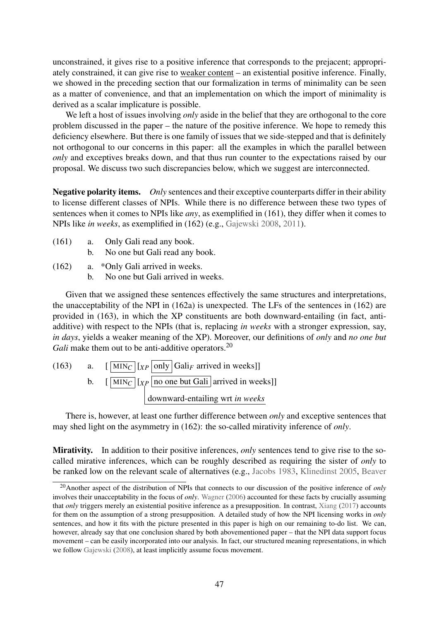unconstrained, it gives rise to a positive inference that corresponds to the prejacent; appropriately constrained, it can give rise to weaker content – an existential positive inference. Finally, we showed in the preceding section that our formalization in terms of minimality can be seen as a matter of convenience, and that an implementation on which the import of minimality is derived as a scalar implicature is possible.

We left a host of issues involving *only* aside in the belief that they are orthogonal to the core problem discussed in the paper – the nature of the positive inference. We hope to remedy this deficiency elsewhere. But there is one family of issues that we side-stepped and that is definitely not orthogonal to our concerns in this paper: all the examples in which the parallel between *only* and exceptives breaks down, and that thus run counter to the expectations raised by our proposal. We discuss two such discrepancies below, which we suggest are interconnected.

Negative polarity items. *Only* sentences and their exceptive counterparts differ in their ability to license different classes of NPIs. While there is no difference between these two types of sentences when it comes to NPIs like *any*, as exemplified in (161), they differ when it comes to NPIs like *in weeks*, as exemplified in (162) (e.g., [Gajewski](#page-50-1) [2008,](#page-50-1) [2011\)](#page-50-17).

- (161) a. Only Gali read any book.
	- b. No one but Gali read any book.
- (162) a. \*Only Gali arrived in weeks.
	- b. No one but Gali arrived in weeks.

Given that we assigned these sentences effectively the same structures and interpretations, the unacceptability of the NPI in (162a) is unexpected. The LFs of the sentences in (162) are provided in (163), in which the XP constituents are both downward-entailing (in fact, antiadditive) with respect to the NPIs (that is, replacing *in weeks* with a stronger expression, say, *in days*, yields a weaker meaning of the XP). Moreover, our definitions of *only* and *no one but Gali* make them out to be anti-additive operators.<sup>[20](#page-46-0)</sup>

(163) a. 
$$
\left[\frac{\text{MIN}_C}{\text{MIN}_C}\right]
$$
  $\left[\text{Cov}_C\right]$   $\left[\text{Cov}_C\right]$   $\left[\text{Cov}_C\right]$   $\left[\text{Cov}_C\right]$   $\left[\text{Cov}_C\right]$   $\left[\text{Cov}_C\right]$   $\left[\text{Cov}_C\right]$   $\left[\text{Cov}_C\right]$   $\left[\text{Cov}_C\right]$   $\left[\text{Cov}_C\right]$   $\left[\text{Cov}_C\right]$   $\left[\text{Cov}_C\right]$   $\left[\text{Cov}_C\right]$   $\left[\text{Cov}_C\right]$   $\left[\text{Cov}_C\right]$   $\left[\text{Cov}_C\right]$   $\left[\text{Cov}_C\right]$   $\left[\text{Cov}_C\right]$   $\left[\text{Cov}_C\right]$   $\left[\text{Cov}_C\right]$   $\left[\text{Cov}_C\right]$   $\left[\text{Cov}_C\right]$   $\left[\text{Cov}_C\right]$   $\left[\text{Cov}_C\right]$   $\left[\text{Cov}_C\right]$   $\left[\text{Cov}_C\right]$   $\left[\text{Cov}_C\right]$   $\left[\text{Cov}_C\right]$   $\left[\text{Cov}_C\right]$   $\left[\text{Cov}_C\right]$   $\left[\text{Cov}_C\right]$   $\left[\text{Cov}_C\right]$   $\left[\text{Cov}_C\right]$   $\left[\text{Cov}_C\right]$   $\left[\text{Cov}_C\right]$   $\left[\text{Cov}_C\right]$   $\left[\text{Cov}_C\right]$   $\left[\text{Cov}_C\right]$   $\left[\text{Cov}_C\right]$   $\left[\text{Cov}_C\right]$   $\left[\text{Cov}_C\right]$   $\left[\text{Cov}_C\right]$   $\left[\text{Cov}_C\right]$   $\left[\text{Cov}_C\right]$   $\left[\text{Cov}_C\right]$   $\left[\text{Cov}_C\right]$ 

There is, however, at least one further difference between *only* and exceptive sentences that may shed light on the asymmetry in (162): the so-called mirativity inference of *only*.

Mirativity. In addition to their positive inferences, *only* sentences tend to give rise to the socalled mirative inferences, which can be roughly described as requiring the sister of *only* to be ranked low on the relevant scale of alternatives (e.g., [Jacobs](#page-51-8) [1983,](#page-51-8) [Klinedinst](#page-51-4) [2005,](#page-51-4) [Beaver](#page-48-0)

<span id="page-46-0"></span><sup>20</sup>[Another aspect of the distribution of NPIs that connects to our discussion of the positive inference of](#page-48-0) *only* involves their unacceptability in the focus of *only*. [Wagner](#page-53-0) [\(2006\) accounted for these facts by crucially assuming](#page-48-0) that *only* [triggers merely an existential positive inference as a presupposition. In contrast,](#page-48-0) [Xiang](#page-53-9) [\(2017\)](#page-53-9) accounts [for them on the assumption of a strong presupposition. A detailed study of how the NPI licensing works in](#page-48-0) *only* [sentences, and how it fits with the picture presented in this paper is high on our remaining to-do list. We can,](#page-48-0) [however, already say that one conclusion shared by both abovementioned paper – that the NPI data support focus](#page-48-0) [movement – can be easily incorporated into our analysis. In fact, our structured meaning representations, in which](#page-48-0) we follow [Gajewski](#page-50-1) [\(2008\), at least implicitly assume focus movement.](#page-48-0)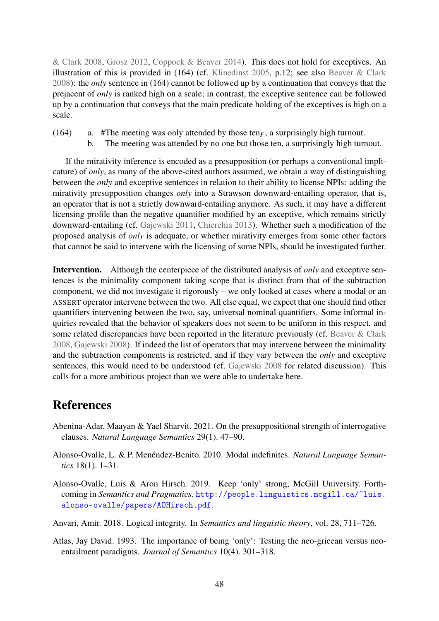[& Clark](#page-48-0) [2008,](#page-48-0) [Grosz](#page-50-6) [2012,](#page-50-6) [Coppock & Beaver](#page-48-1) [2014\)](#page-48-1). This does not hold for exceptives. An illustration of this is provided in (164) (cf. [Klinedinst](#page-51-4) [2005,](#page-51-4) p.12; see also [Beaver & Clark](#page-48-0) [2008\)](#page-48-0): the *only* sentence in (164) cannot be followed up by a continuation that conveys that the prejacent of *only* is ranked high on a scale; in contrast, the exceptive sentence can be followed up by a continuation that conveys that the main predicate holding of the exceptives is high on a scale.

- (164) a. #The meeting was only attended by those ten $_F$ , a surprisingly high turnout.
	- b. The meeting was attended by no one but those ten, a surprisingly high turnout.

If the mirativity inference is encoded as a presupposition (or perhaps a conventional implicature) of *only*, as many of the above-cited authors assumed, we obtain a way of distinguishing between the *only* and exceptive sentences in relation to their ability to license NPIs: adding the mirativity presupposition changes *only* into a Strawson downward-entailing operator, that is, an operator that is not a strictly downward-entailing anymore. As such, it may have a different licensing profile than the negative quantifier modified by an exceptive, which remains strictly downward-entailing (cf. [Gajewski](#page-50-17) [2011,](#page-50-17) [Chierchia](#page-48-3) [2013\)](#page-48-3). Whether such a modification of the proposed analysis of *only* is adequate, or whether mirativity emerges from some other factors that cannot be said to intervene with the licensing of some NPIs, should be investigated further.

Intervention. Although the centerpiece of the distributed analysis of *only* and exceptive sentences is the minimality component taking scope that is distinct from that of the subtraction component, we did not investigate it rigorously – we only looked at cases where a modal or an ASSERT operator intervene between the two. All else equal, we expect that one should find other quantifiers intervening between the two, say, universal nominal quantifiers. Some informal inquiries revealed that the behavior of speakers does not seem to be uniform in this respect, and some related discrepancies have been reported in the literature previously (cf. [Beaver & Clark](#page-48-0) [2008,](#page-48-0) [Gajewski](#page-50-1) [2008\)](#page-50-1). If indeed the list of operators that may intervene between the minimality and the subtraction components is restricted, and if they vary between the *only* and exceptive sentences, this would need to be understood (cf. [Gajewski](#page-50-1) [2008](#page-50-1) for related discussion). This calls for a more ambitious project than we were able to undertake here.

# References

- <span id="page-47-3"></span>Abenina-Adar, Maayan & Yael Sharvit. 2021. On the presuppositional strength of interrogative clauses. *Natural Language Semantics* 29(1). 47–90.
- <span id="page-47-2"></span>Alonso-Ovalle, L. & P. Menéndez-Benito. 2010. Modal indefinites. *Natural Language Semantics* 18(1). 1–31.
- <span id="page-47-1"></span>Alonso-Ovalle, Luis & Aron Hirsch. 2019. Keep 'only' strong, McGill University. Forthcoming in *Semantics and Pragmatics.* [http://people.linguistics.mcgill.ca/~luis.](http://people.linguistics.mcgill.ca/~luis.alonso-ovalle/papers/AOHirsch.pdf) [alonso-ovalle/papers/AOHirsch.pdf](http://people.linguistics.mcgill.ca/~luis.alonso-ovalle/papers/AOHirsch.pdf).

<span id="page-47-4"></span>Anvari, Amir. 2018. Logical integrity. In *Semantics and linguistic theory*, vol. 28, 711–726.

<span id="page-47-0"></span>Atlas, Jay David. 1993. The importance of being 'only': Testing the neo-gricean versus neoentailment paradigms. *Journal of Semantics* 10(4). 301–318.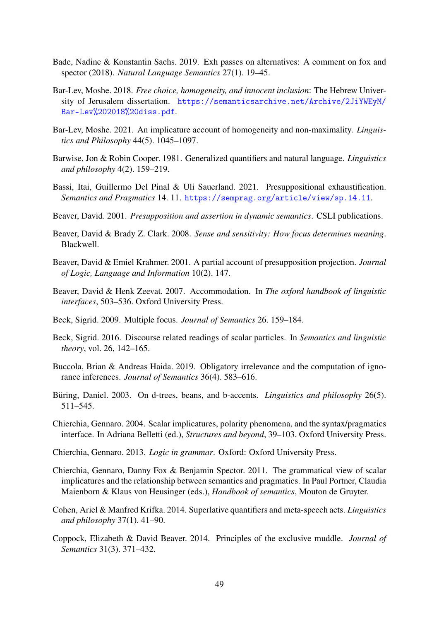- <span id="page-48-8"></span>Bade, Nadine & Konstantin Sachs. 2019. Exh passes on alternatives: A comment on fox and spector (2018). *Natural Language Semantics* 27(1). 19–45.
- <span id="page-48-11"></span>Bar-Lev, Moshe. 2018. *Free choice, homogeneity, and innocent inclusion*: The Hebrew University of Jerusalem dissertation. [https://semanticsarchive.net/Archive/2JiYWEyM/](https://semanticsarchive.net/Archive/2JiYWEyM/Bar-Lev%202018%20diss.pdf) [Bar-Lev%202018%20diss.pdf](https://semanticsarchive.net/Archive/2JiYWEyM/Bar-Lev%202018%20diss.pdf).
- <span id="page-48-12"></span>Bar-Lev, Moshe. 2021. An implicature account of homogeneity and non-maximality. *Linguistics and Philosophy* 44(5). 1045–1097.
- <span id="page-48-14"></span>Barwise, Jon & Robin Cooper. 1981. Generalized quantifiers and natural language. *Linguistics and philosophy* 4(2). 159–219.
- <span id="page-48-15"></span>Bassi, Itai, Guillermo Del Pinal & Uli Sauerland. 2021. Presuppositional exhaustification. *Semantics and Pragmatics* 14. 11. <https://semprag.org/article/view/sp.14.11>.
- <span id="page-48-2"></span>Beaver, David. 2001. *Presupposition and assertion in dynamic semantics*. CSLI publications.
- <span id="page-48-0"></span>Beaver, David & Brady Z. Clark. 2008. *Sense and sensitivity: How focus determines meaning*. Blackwell.
- <span id="page-48-10"></span>Beaver, David & Emiel Krahmer. 2001. A partial account of presupposition projection. *Journal of Logic, Language and Information* 10(2). 147.
- <span id="page-48-9"></span>Beaver, David & Henk Zeevat. 2007. Accommodation. In *The oxford handbook of linguistic interfaces*, 503–536. Oxford University Press.
- <span id="page-48-7"></span>Beck, Sigrid. 2009. Multiple focus. *Journal of Semantics* 26. 159–184.
- <span id="page-48-5"></span>Beck, Sigrid. 2016. Discourse related readings of scalar particles. In *Semantics and linguistic theory*, vol. 26, 142–165.
- <span id="page-48-6"></span>Buccola, Brian & Andreas Haida. 2019. Obligatory irrelevance and the computation of ignorance inferences. *Journal of Semantics* 36(4). 583–616.
- <span id="page-48-13"></span>Büring, Daniel. 2003. On d-trees, beans, and b-accents. *Linguistics and philosophy* 26(5). 511–545.
- <span id="page-48-16"></span>Chierchia, Gennaro. 2004. Scalar implicatures, polarity phenomena, and the syntax/pragmatics interface. In Adriana Belletti (ed.), *Structures and beyond*, 39–103. Oxford University Press.
- <span id="page-48-3"></span>Chierchia, Gennaro. 2013. *Logic in grammar*. Oxford: Oxford University Press.
- <span id="page-48-17"></span>Chierchia, Gennaro, Danny Fox & Benjamin Spector. 2011. The grammatical view of scalar implicatures and the relationship between semantics and pragmatics. In Paul Portner, Claudia Maienborn & Klaus von Heusinger (eds.), *Handbook of semantics*, Mouton de Gruyter.
- <span id="page-48-4"></span>Cohen, Ariel & Manfred Krifka. 2014. Superlative quantifiers and meta-speech acts. *Linguistics and philosophy* 37(1). 41–90.
- <span id="page-48-1"></span>Coppock, Elizabeth & David Beaver. 2014. Principles of the exclusive muddle. *Journal of Semantics* 31(3). 371–432.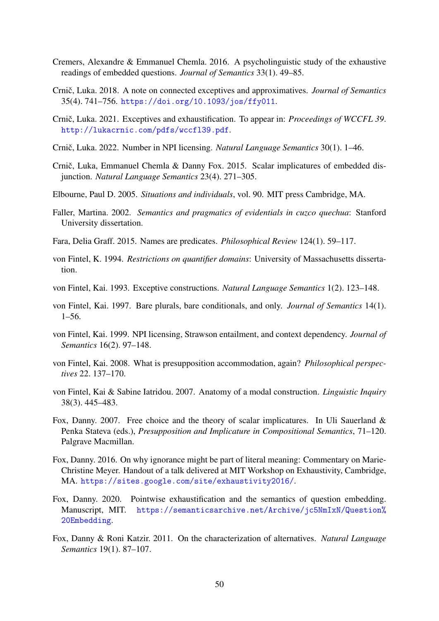- <span id="page-49-10"></span>Cremers, Alexandre & Emmanuel Chemla. 2016. A psycholinguistic study of the exhaustive readings of embedded questions. *Journal of Semantics* 33(1). 49–85.
- <span id="page-49-5"></span>Crnič, Luka. 2018. A note on connected exceptives and approximatives. *Journal of Semantics* 35(4). 741–756. <https://doi.org/10.1093/jos/ffy011>.
- <span id="page-49-6"></span>Crnič, Luka. 2021. Exceptives and exhaustification. To appear in: *Proceedings of WCCFL 39*. <http://lukacrnic.com/pdfs/wccfl39.pdf>.
- <span id="page-49-14"></span>Crnič, Luka. 2022. Number in NPI licensing. *Natural Language Semantics* 30(1). 1–46.
- <span id="page-49-17"></span>Crnič, Luka, Emmanuel Chemla & Danny Fox. 2015. Scalar implicatures of embedded disjunction. *Natural Language Semantics* 23(4). 271–305.
- <span id="page-49-15"></span>Elbourne, Paul D. 2005. *Situations and individuals*, vol. 90. MIT press Cambridge, MA.
- <span id="page-49-7"></span>Faller, Martina. 2002. *Semantics and pragmatics of evidentials in cuzco quechua*: Stanford University dissertation.
- <span id="page-49-16"></span>Fara, Delia Graff. 2015. Names are predicates. *Philosophical Review* 124(1). 59–117.
- <span id="page-49-4"></span>von Fintel, K. 1994. *Restrictions on quantifier domains*: University of Massachusetts dissertation.
- <span id="page-49-3"></span>von Fintel, Kai. 1993. Exceptive constructions. *Natural Language Semantics* 1(2). 123–148.
- <span id="page-49-1"></span>von Fintel, Kai. 1997. Bare plurals, bare conditionals, and only. *Journal of Semantics* 14(1). 1–56.
- <span id="page-49-2"></span>von Fintel, Kai. 1999. NPI licensing, Strawson entailment, and context dependency. *Journal of Semantics* 16(2). 97–148.
- <span id="page-49-11"></span>von Fintel, Kai. 2008. What is presupposition accommodation, again? *Philosophical perspectives* 22. 137–170.
- <span id="page-49-0"></span>von Fintel, Kai & Sabine Iatridou. 2007. Anatomy of a modal construction. *Linguistic Inquiry* 38(3). 445–483.
- <span id="page-49-12"></span>Fox, Danny. 2007. Free choice and the theory of scalar implicatures. In Uli Sauerland & Penka Stateva (eds.), *Presupposition and Implicature in Compositional Semantics*, 71–120. Palgrave Macmillan.
- <span id="page-49-8"></span>Fox, Danny. 2016. On why ignorance might be part of literal meaning: Commentary on Marie-Christine Meyer. Handout of a talk delivered at MIT Workshop on Exhaustivity, Cambridge, MA. <https://sites.google.com/site/exhaustivity2016/>.
- <span id="page-49-9"></span>Fox, Danny. 2020. Pointwise exhaustification and the semantics of question embedding. Manuscript, MIT. [https://semanticsarchive.net/Archive/jc5NmIxN/Question%](https://semanticsarchive.net/Archive/jc5NmIxN/Question%20Embedding) [20Embedding](https://semanticsarchive.net/Archive/jc5NmIxN/Question%20Embedding).
- <span id="page-49-13"></span>Fox, Danny & Roni Katzir. 2011. On the characterization of alternatives. *Natural Language Semantics* 19(1). 87–107.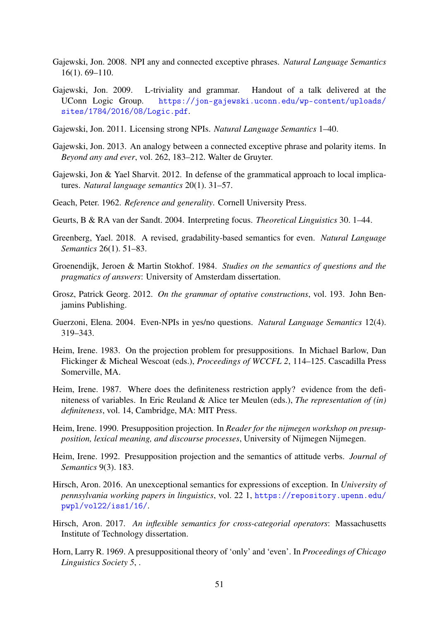- <span id="page-50-1"></span>Gajewski, Jon. 2008. NPI any and connected exceptive phrases. *Natural Language Semantics* 16(1). 69–110.
- <span id="page-50-9"></span>Gajewski, Jon. 2009. L-triviality and grammar. Handout of a talk delivered at the UConn Logic Group. [https://jon-gajewski.uconn.edu/wp-content/uploads/](https://jon-gajewski.uconn.edu/wp-content/uploads/sites/1784/2016/08/Logic.pdf) [sites/1784/2016/08/Logic.pdf](https://jon-gajewski.uconn.edu/wp-content/uploads/sites/1784/2016/08/Logic.pdf).
- <span id="page-50-17"></span>Gajewski, Jon. 2011. Licensing strong NPIs. *Natural Language Semantics* 1–40.
- <span id="page-50-7"></span>Gajewski, Jon. 2013. An analogy between a connected exceptive phrase and polarity items. In *Beyond any and ever*, vol. 262, 183–212. Walter de Gruyter.
- <span id="page-50-15"></span>Gajewski, Jon & Yael Sharvit. 2012. In defense of the grammatical approach to local implicatures. *Natural language semantics* 20(1). 31–57.
- <span id="page-50-11"></span>Geach, Peter. 1962. *Reference and generality*. Cornell University Press.
- <span id="page-50-3"></span>Geurts, B & RA van der Sandt. 2004. Interpreting focus. *Theoretical Linguistics* 30. 1–44.
- <span id="page-50-10"></span>Greenberg, Yael. 2018. A revised, gradability-based semantics for even. *Natural Language Semantics* 26(1). 51–83.
- <span id="page-50-2"></span>Groenendijk, Jeroen & Martin Stokhof. 1984. *Studies on the semantics of questions and the pragmatics of answers*: University of Amsterdam dissertation.
- <span id="page-50-6"></span>Grosz, Patrick Georg. 2012. *On the grammar of optative constructions*, vol. 193. John Benjamins Publishing.
- <span id="page-50-13"></span>Guerzoni, Elena. 2004. Even-NPIs in yes/no questions. *Natural Language Semantics* 12(4). 319–343.
- <span id="page-50-14"></span>Heim, Irene. 1983. On the projection problem for presuppositions. In Michael Barlow, Dan Flickinger & Micheal Wescoat (eds.), *Proceedings of WCCFL 2*, 114–125. Cascadilla Press Somerville, MA.
- <span id="page-50-16"></span>Heim, Irene. 1987. Where does the definiteness restriction apply? evidence from the definiteness of variables. In Eric Reuland & Alice ter Meulen (eds.), *The representation of (in) definiteness*, vol. 14, Cambridge, MA: MIT Press.
- <span id="page-50-4"></span>Heim, Irene. 1990. Presupposition projection. In *Reader for the nijmegen workshop on presupposition, lexical meaning, and discourse processes*, University of Nijmegen Nijmegen.
- <span id="page-50-5"></span>Heim, Irene. 1992. Presupposition projection and the semantics of attitude verbs. *Journal of Semantics* 9(3). 183.
- <span id="page-50-8"></span>Hirsch, Aron. 2016. An unexceptional semantics for expressions of exception. In *University of pennsylvania working papers in linguistics*, vol. 22 1, [https://repository.upenn.edu/](https://repository.upenn.edu/pwpl/vol22/iss1/16/) [pwpl/vol22/iss1/16/](https://repository.upenn.edu/pwpl/vol22/iss1/16/).
- <span id="page-50-12"></span>Hirsch, Aron. 2017. *An inflexible semantics for cross-categorial operators*: Massachusetts Institute of Technology dissertation.
- <span id="page-50-0"></span>Horn, Larry R. 1969. A presuppositional theory of 'only' and 'even'. In *Proceedings of Chicago Linguistics Society 5*, .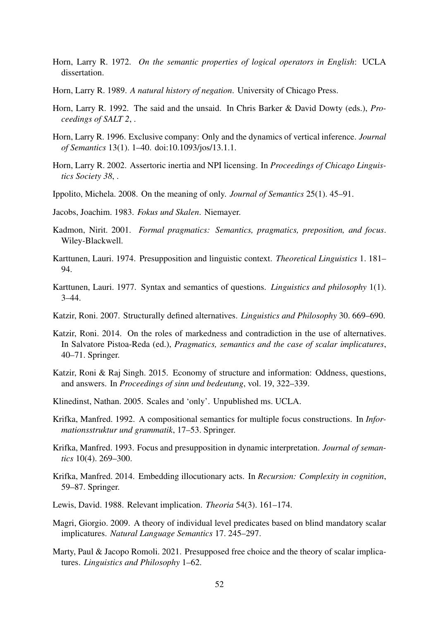- <span id="page-51-0"></span>Horn, Larry R. 1972. *On the semantic properties of logical operators in English*: UCLA dissertation.
- <span id="page-51-6"></span>Horn, Larry R. 1989. *A natural history of negation*. University of Chicago Press.
- <span id="page-51-19"></span>Horn, Larry R. 1992. The said and the unsaid. In Chris Barker & David Dowty (eds.), *Proceedings of SALT 2*, .
- <span id="page-51-1"></span>Horn, Larry R. 1996. Exclusive company: Only and the dynamics of vertical inference. *Journal of Semantics* 13(1). 1–40. doi:10.1093/jos/13.1.1.
- <span id="page-51-2"></span>Horn, Larry R. 2002. Assertoric inertia and NPI licensing. In *Proceedings of Chicago Linguistics Society 38*, .
- <span id="page-51-5"></span>Ippolito, Michela. 2008. On the meaning of only. *Journal of Semantics* 25(1). 45–91.
- <span id="page-51-8"></span>Jacobs, Joachim. 1983. *Fokus und Skalen*. Niemayer.
- <span id="page-51-7"></span>Kadmon, Nirit. 2001. *Formal pragmatics: Semantics, pragmatics, preposition, and focus*. Wiley-Blackwell.
- <span id="page-51-12"></span>Karttunen, Lauri. 1974. Presupposition and linguistic context. *Theoretical Linguistics* 1. 181– 94.
- <span id="page-51-11"></span>Karttunen, Lauri. 1977. Syntax and semantics of questions. *Linguistics and philosophy* 1(1). 3–44.
- <span id="page-51-17"></span>Katzir, Roni. 2007. Structurally defined alternatives. *Linguistics and Philosophy* 30. 669–690.
- <span id="page-51-18"></span>Katzir, Roni. 2014. On the roles of markedness and contradiction in the use of alternatives. In Salvatore Pistoa-Reda (ed.), *Pragmatics, semantics and the case of scalar implicatures*, 40–71. Springer.
- <span id="page-51-14"></span>Katzir, Roni & Raj Singh. 2015. Economy of structure and information: Oddness, questions, and answers. In *Proceedings of sinn und bedeutung*, vol. 19, 322–339.
- <span id="page-51-4"></span>Klinedinst, Nathan. 2005. Scales and 'only'. Unpublished ms. UCLA.
- <span id="page-51-10"></span>Krifka, Manfred. 1992. A compositional semantics for multiple focus constructions. In *Informationsstruktur und grammatik*, 17–53. Springer.
- <span id="page-51-3"></span>Krifka, Manfred. 1993. Focus and presupposition in dynamic interpretation. *Journal of semantics* 10(4). 269–300.
- <span id="page-51-9"></span>Krifka, Manfred. 2014. Embedding illocutionary acts. In *Recursion: Complexity in cognition*, 59–87. Springer.
- <span id="page-51-13"></span>Lewis, David. 1988. Relevant implication. *Theoria* 54(3). 161–174.
- <span id="page-51-15"></span>Magri, Giorgio. 2009. A theory of individual level predicates based on blind mandatory scalar implicatures. *Natural Language Semantics* 17. 245–297.
- <span id="page-51-16"></span>Marty, Paul & Jacopo Romoli. 2021. Presupposed free choice and the theory of scalar implicatures. *Linguistics and Philosophy* 1–62.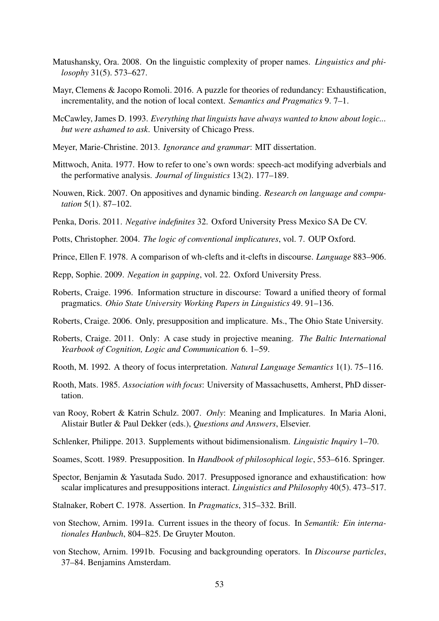- <span id="page-52-21"></span>Matushansky, Ora. 2008. On the linguistic complexity of proper names. *Linguistics and philosophy* 31(5). 573–627.
- <span id="page-52-18"></span>Mayr, Clemens & Jacopo Romoli. 2016. A puzzle for theories of redundancy: Exhaustification, incrementality, and the notion of local context. *Semantics and Pragmatics* 9. 7–1.
- <span id="page-52-0"></span>McCawley, James D. 1993. *Everything that linguists have always wanted to know about logic... but were ashamed to ask*. University of Chicago Press.
- <span id="page-52-10"></span>Meyer, Marie-Christine. 2013. *Ignorance and grammar*: MIT dissertation.
- <span id="page-52-9"></span>Mittwoch, Anita. 1977. How to refer to one's own words: speech-act modifying adverbials and the performative analysis. *Journal of linguistics* 13(2). 177–189.
- <span id="page-52-15"></span>Nouwen, Rick. 2007. On appositives and dynamic binding. *Research on language and computation* 5(1). 87–102.
- <span id="page-52-8"></span>Penka, Doris. 2011. *Negative indefinites* 32. Oxford University Press Mexico SA De CV.
- <span id="page-52-14"></span>Potts, Christopher. 2004. *The logic of conventional implicatures*, vol. 7. OUP Oxford.
- <span id="page-52-13"></span>Prince, Ellen F. 1978. A comparison of wh-clefts and it-clefts in discourse. *Language* 883–906.
- <span id="page-52-11"></span>Repp, Sophie. 2009. *Negation in gapping*, vol. 22. Oxford University Press.
- <span id="page-52-19"></span>Roberts, Craige. 1996. Information structure in discourse: Toward a unified theory of formal pragmatics. *Ohio State University Working Papers in Linguistics* 49. 91–136.
- <span id="page-52-5"></span>Roberts, Craige. 2006. Only, presupposition and implicature. Ms., The Ohio State University.
- <span id="page-52-6"></span>Roberts, Craige. 2011. Only: A case study in projective meaning. *The Baltic International Yearbook of Cognition, Logic and Communication* 6. 1–59.
- <span id="page-52-4"></span>Rooth, M. 1992. A theory of focus interpretation. *Natural Language Semantics* 1(1). 75–116.
- <span id="page-52-3"></span>Rooth, Mats. 1985. *Association with focus*: University of Massachusetts, Amherst, PhD dissertation.
- <span id="page-52-7"></span>van Rooy, Robert & Katrin Schulz. 2007. *Only*: Meaning and Implicatures. In Maria Aloni, Alistair Butler & Paul Dekker (eds.), *Questions and Answers*, Elsevier.
- <span id="page-52-16"></span>Schlenker, Philippe. 2013. Supplements without bidimensionalism. *Linguistic Inquiry* 1–70.
- <span id="page-52-12"></span>Soames, Scott. 1989. Presupposition. In *Handbook of philosophical logic*, 553–616. Springer.
- <span id="page-52-20"></span>Spector, Benjamin & Yasutada Sudo. 2017. Presupposed ignorance and exhaustification: how scalar implicatures and presuppositions interact. *Linguistics and Philosophy* 40(5). 473–517.
- <span id="page-52-17"></span>Stalnaker, Robert C. 1978. Assertion. In *Pragmatics*, 315–332. Brill.
- <span id="page-52-1"></span>von Stechow, Arnim. 1991a. Current issues in the theory of focus. In *Semantik: Ein internationales Hanbuch*, 804–825. De Gruyter Mouton.
- <span id="page-52-2"></span>von Stechow, Arnim. 1991b. Focusing and backgrounding operators. In *Discourse particles*, 37–84. Benjamins Amsterdam.